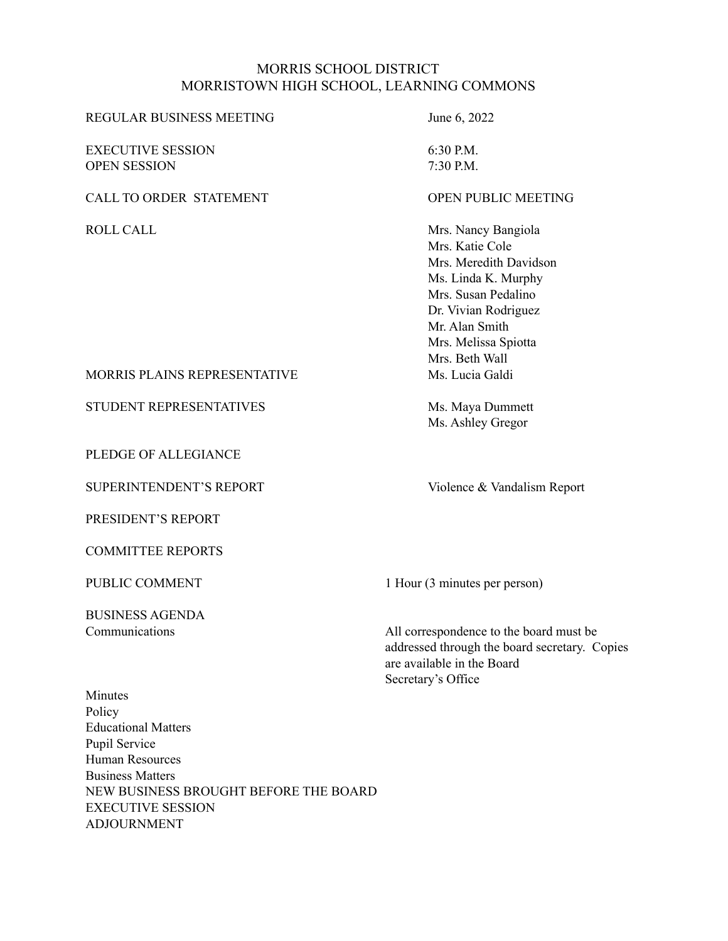#### MORRIS SCHOOL DISTRICT MORRISTOWN HIGH SCHOOL, LEARNING COMMONS

| 6:30 P.M.                  |
|----------------------------|
| 7:30 P.M.                  |
| <b>OPEN PUBLIC MEETING</b> |
| Mrs. Nancy Bangiola        |
| Mrs. Katie Cole            |
| Mrs. Meredith Davidson     |
| Ms. Linda K. Murphy        |
| Mrs. Susan Pedalino        |
| Dr. Vivian Rodriguez       |
| Mr. Alan Smith             |
| Mrs. Melissa Spiotta       |
| Mrs. Beth Wall             |
| Ms. Lucia Galdi            |
| Ms. Maya Dummett           |
| Ms. Ashley Gregor          |
|                            |

PUBLIC COMMENT 1 Hour (3 minutes per person)

Communications All correspondence to the board must be addressed through the board secretary. Copies are available in the Board Secretary's Office

PLEDGE OF ALLEGIANCE

SUPERINTENDENT'S REPORT Violence & Vandalism Report

PRESIDENT'S REPORT

COMMITTEE REPORTS

BUSINESS AGENDA

Minutes Policy Educational Matters Pupil Service Human Resources Business Matters NEW BUSINESS BROUGHT BEFORE THE BOARD EXECUTIVE SESSION ADJOURNMENT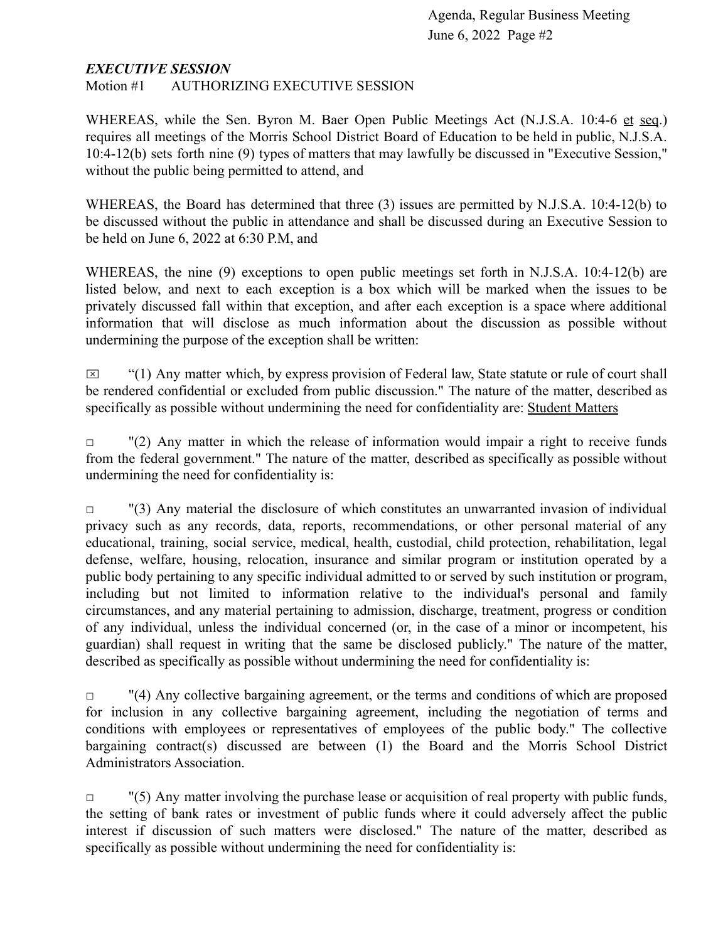#### *EXECUTIVE SESSION*

Motion #1 AUTHORIZING EXECUTIVE SESSION

WHEREAS, while the Sen. Byron M. Baer Open Public Meetings Act (N.J.S.A. 10:4-6 et seq.) requires all meetings of the Morris School District Board of Education to be held in public, N.J.S.A. 10:4-12(b) sets forth nine (9) types of matters that may lawfully be discussed in "Executive Session," without the public being permitted to attend, and

WHEREAS, the Board has determined that three (3) issues are permitted by N.J.S.A. 10:4-12(b) to be discussed without the public in attendance and shall be discussed during an Executive Session to be held on June 6, 2022 at 6:30 P.M, and

WHEREAS, the nine (9) exceptions to open public meetings set forth in N.J.S.A. 10:4-12(b) are listed below, and next to each exception is a box which will be marked when the issues to be privately discussed fall within that exception, and after each exception is a space where additional information that will disclose as much information about the discussion as possible without undermining the purpose of the exception shall be written:

 $\boxtimes$  "(1) Any matter which, by express provision of Federal law, State statute or rule of court shall be rendered confidential or excluded from public discussion." The nature of the matter, described as specifically as possible without undermining the need for confidentiality are: Student Matters

 $\Box$  "(2) Any matter in which the release of information would impair a right to receive funds from the federal government." The nature of the matter, described as specifically as possible without undermining the need for confidentiality is:

 $\Box$  "(3) Any material the disclosure of which constitutes an unwarranted invasion of individual privacy such as any records, data, reports, recommendations, or other personal material of any educational, training, social service, medical, health, custodial, child protection, rehabilitation, legal defense, welfare, housing, relocation, insurance and similar program or institution operated by a public body pertaining to any specific individual admitted to or served by such institution or program, including but not limited to information relative to the individual's personal and family circumstances, and any material pertaining to admission, discharge, treatment, progress or condition of any individual, unless the individual concerned (or, in the case of a minor or incompetent, his guardian) shall request in writing that the same be disclosed publicly." The nature of the matter, described as specifically as possible without undermining the need for confidentiality is:

 $\Box$  "(4) Any collective bargaining agreement, or the terms and conditions of which are proposed for inclusion in any collective bargaining agreement, including the negotiation of terms and conditions with employees or representatives of employees of the public body." The collective bargaining contract(s) discussed are between (1) the Board and the Morris School District Administrators Association.

 $\Box$  "(5) Any matter involving the purchase lease or acquisition of real property with public funds, the setting of bank rates or investment of public funds where it could adversely affect the public interest if discussion of such matters were disclosed." The nature of the matter, described as specifically as possible without undermining the need for confidentiality is: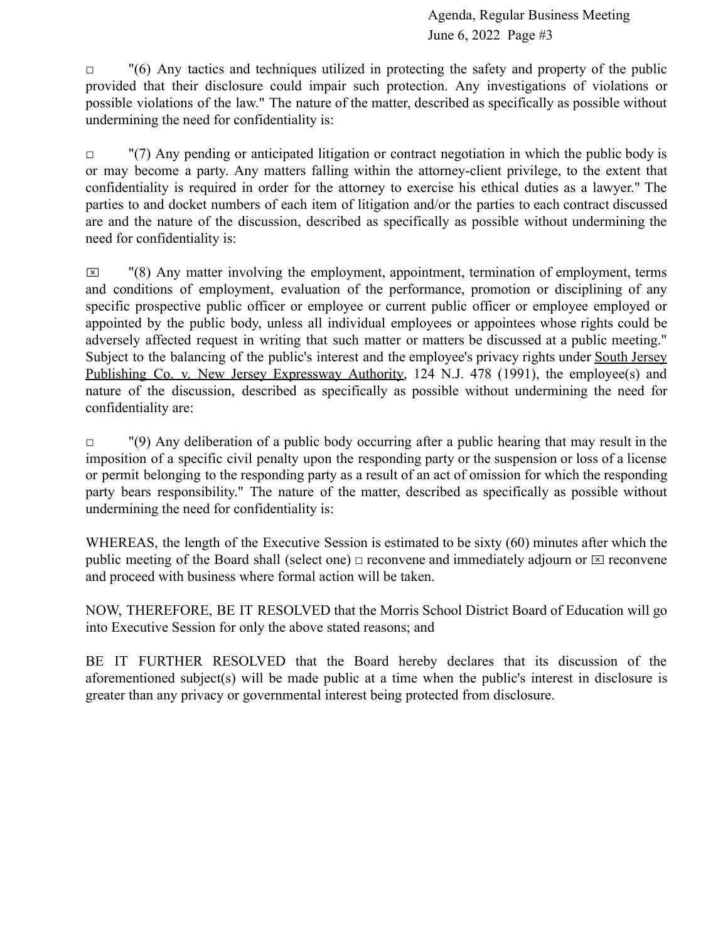$\Box$  "(6) Any tactics and techniques utilized in protecting the safety and property of the public provided that their disclosure could impair such protection. Any investigations of violations or possible violations of the law." The nature of the matter, described as specifically as possible without undermining the need for confidentiality is:

 $\Box$  "(7) Any pending or anticipated litigation or contract negotiation in which the public body is or may become a party. Any matters falling within the attorney-client privilege, to the extent that confidentiality is required in order for the attorney to exercise his ethical duties as a lawyer." The parties to and docket numbers of each item of litigation and/or the parties to each contract discussed are and the nature of the discussion, described as specifically as possible without undermining the need for confidentiality is:

 $\boxtimes$  "(8) Any matter involving the employment, appointment, termination of employment, terms and conditions of employment, evaluation of the performance, promotion or disciplining of any specific prospective public officer or employee or current public officer or employee employed or appointed by the public body, unless all individual employees or appointees whose rights could be adversely affected request in writing that such matter or matters be discussed at a public meeting." Subject to the balancing of the public's interest and the employee's privacy rights under South Jersey Publishing Co. v. New Jersey Expressway Authority, 124 N.J. 478 (1991), the employee(s) and nature of the discussion, described as specifically as possible without undermining the need for confidentiality are:

 $\Box$  "(9) Any deliberation of a public body occurring after a public hearing that may result in the imposition of a specific civil penalty upon the responding party or the suspension or loss of a license or permit belonging to the responding party as a result of an act of omission for which the responding party bears responsibility." The nature of the matter, described as specifically as possible without undermining the need for confidentiality is:

WHEREAS, the length of the Executive Session is estimated to be sixty (60) minutes after which the public meeting of the Board shall (select one)  $\Box$  reconvene and immediately adjourn or  $\Box$  reconvene and proceed with business where formal action will be taken.

NOW, THEREFORE, BE IT RESOLVED that the Morris School District Board of Education will go into Executive Session for only the above stated reasons; and

BE IT FURTHER RESOLVED that the Board hereby declares that its discussion of the aforementioned subject(s) will be made public at a time when the public's interest in disclosure is greater than any privacy or governmental interest being protected from disclosure.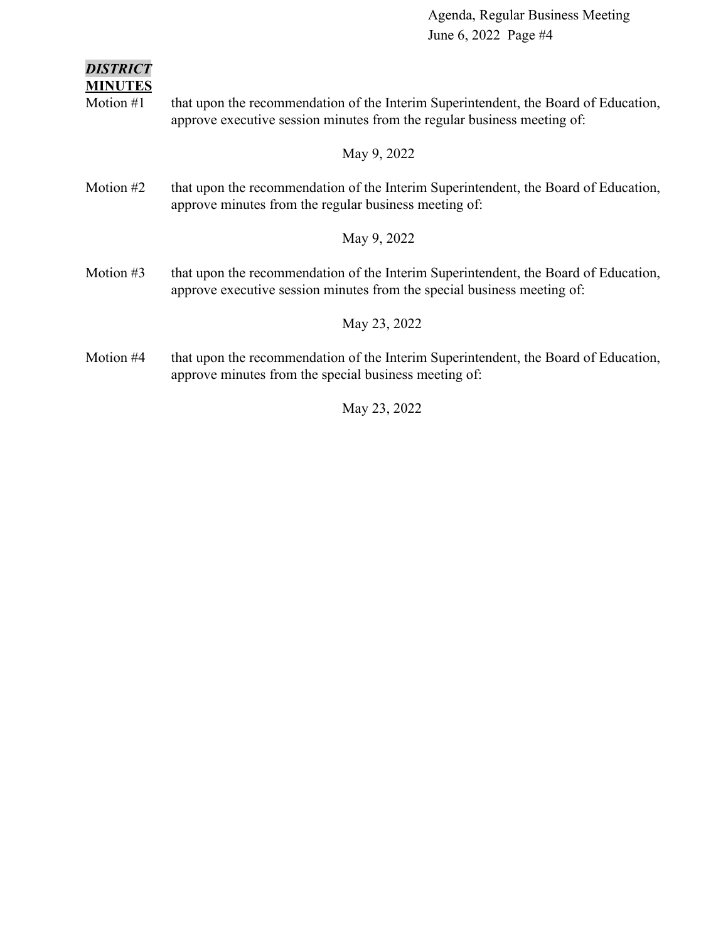### *DISTRICT*

**MINUTES**

Motion #1 that upon the recommendation of the Interim Superintendent, the Board of Education, approve executive session minutes from the regular business meeting of:

#### May 9, 2022

Motion #2 that upon the recommendation of the Interim Superintendent, the Board of Education, approve minutes from the regular business meeting of:

#### May 9, 2022

Motion #3 that upon the recommendation of the Interim Superintendent, the Board of Education, approve executive session minutes from the special business meeting of:

#### May 23, 2022

Motion #4 that upon the recommendation of the Interim Superintendent, the Board of Education, approve minutes from the special business meeting of:

#### May 23, 2022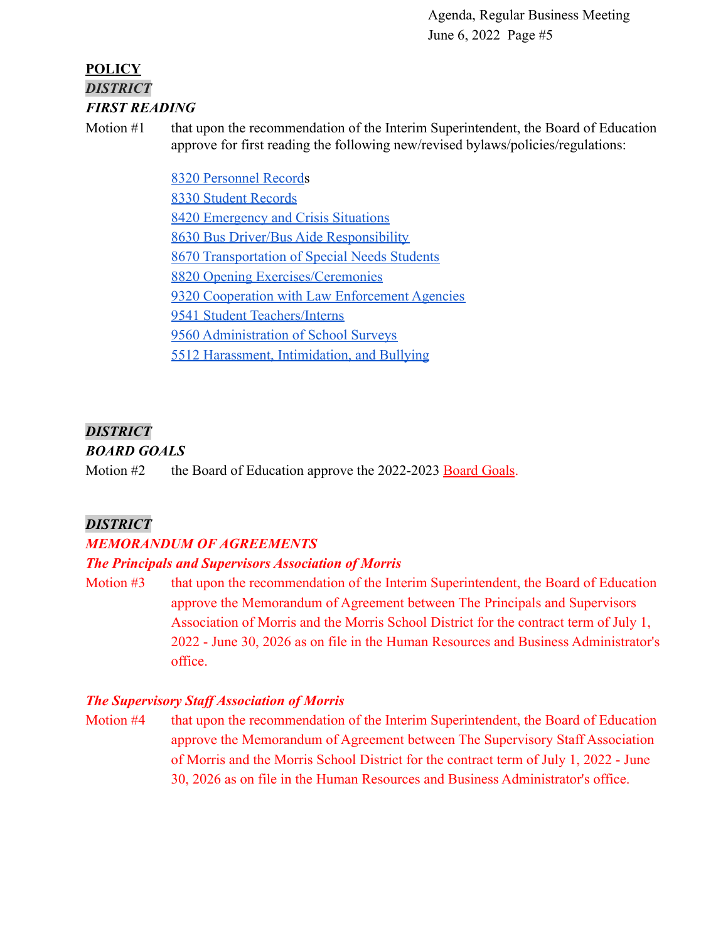### **POLICY** *DISTRICT FIRST READING*

Motion #1 that upon the recommendation of the Interim Superintendent, the Board of Education approve for first reading the following new/revised bylaws/policies/regulations:

> [8320 Personnel Records](https://drive.google.com/file/d/1X2NU8VCZmTEyg3J4Ynjvp2zy-OZ9m3kP/view?usp=sharing) [8330 Student Records](https://drive.google.com/file/d/1eQHbj0mqBwzC2pbugzpbffI6IVw9XVrF/view?usp=sharing) [8420 Emergency and Crisis Situations](https://docs.google.com/document/d/1II72FHKfhj5wZ0JNJitD2jRRFD7SPPE5/edit?usp=sharing&ouid=116999334560462810204&rtpof=true&sd=true) [8630 Bus Driver/Bus Aide Responsibility](https://drive.google.com/file/d/1FUZNX-HnaDKNelsbvh_ykDXu-mpb8bmQ/view?usp=sharing) [8670 Transportation of Special Needs Students](https://drive.google.com/file/d/11LF5uoBZ_MA_NCbwBUZ0hzo-wveV1l98/view?usp=sharing) [8820 Opening Exercises/Ceremonies](https://drive.google.com/file/d/1BobC_qZvTwhyn6wdjWry-XtE3ROLbKZZ/view?usp=sharing) [9320 Cooperation with Law Enforcement Agencies](https://docs.google.com/document/d/1ExRxMqHEY5h315W7qOIvSddZjUYy_7JB/edit?usp=sharing&ouid=116999334560462810204&rtpof=true&sd=true) [9541 Student Teachers/Interns](https://drive.google.com/file/d/1KQUCuv9WpWPBn5iMiR4pPrgT_-HdxmTz/view?usp=sharing) [9560 Administration of School Surveys](https://docs.google.com/document/d/1ryMxUuN0kLg4tbf2_2yE71Z1G1QBCzEi/edit?usp=sharing&ouid=116999334560462810204&rtpof=true&sd=true) [5512 Harassment, Intimidation, and Bullying](https://drive.google.com/file/d/1oJ1FhzSq-IwhK3BXDSu7b3S0Gu6TND9u/view?usp=sharing)

### *DISTRICT*

### *BOARD GOALS*

Motion  $#2$  the Board of Education approve the 2022-2023 [Board Goals](https://drive.google.com/file/d/1Mha7dDUYuGkuzS0_5wBsR1mTAzVfQ1Rj/view?usp=sharing).

### *DISTRICT*

### *MEMORANDUM OF AGREEMENTS*

### *The Principals and Supervisors Association of Morris*

Motion #3 that upon the recommendation of the Interim Superintendent, the Board of Education approve the Memorandum of Agreement between The Principals and Supervisors Association of Morris and the Morris School District for the contract term of July 1, 2022 - June 30, 2026 as on file in the Human Resources and Business Administrator's office.

### *The Supervisory Staff Association of Morris*

Motion #4 that upon the recommendation of the Interim Superintendent, the Board of Education approve the Memorandum of Agreement between The Supervisory Staff Association of Morris and the Morris School District for the contract term of July 1, 2022 - June 30, 2026 as on file in the Human Resources and Business Administrator's office.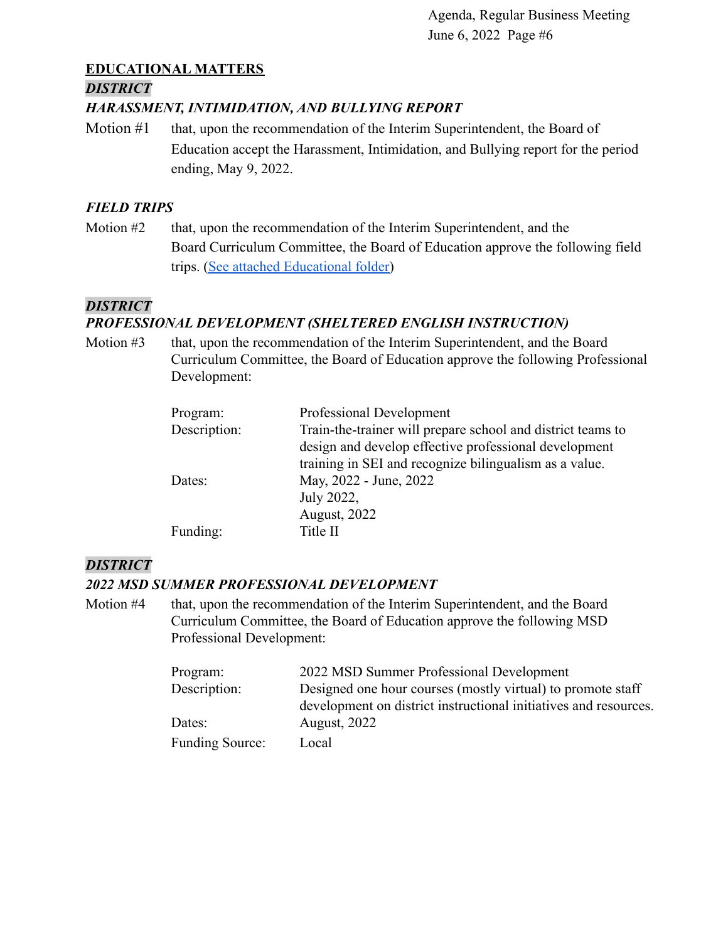### **EDUCATIONAL MATTERS**

#### *DISTRICT*

#### *HARASSMENT, INTIMIDATION, AND BULLYING REPORT*

Motion #1 that, upon the recommendation of the Interim Superintendent, the Board of Education accept the Harassment, Intimidation, and Bullying report for the period ending, May 9, 2022.

#### *FIELD TRIPS*

Motion #2 that, upon the recommendation of the Interim Superintendent, and the Board Curriculum Committee, the Board of Education approve the following field trips. [\(See attached Educational folder\)](https://drive.google.com/file/d/1RCGqYMHOQs_CPZxLPEK7S2VD6S2HobPC/view?usp=sharing)

#### *DISTRICT*

### *PROFESSIONAL DEVELOPMENT (SHELTERED ENGLISH INSTRUCTION)*

Motion #3 that, upon the recommendation of the Interim Superintendent, and the Board Curriculum Committee, the Board of Education approve the following Professional Development:

| Program:     | Professional Development                                    |
|--------------|-------------------------------------------------------------|
| Description: | Train-the-trainer will prepare school and district teams to |
|              | design and develop effective professional development       |
|              | training in SEI and recognize bilingualism as a value.      |
| Dates:       | May, 2022 - June, 2022                                      |
|              | July 2022,                                                  |
|              | <b>August, 2022</b>                                         |
| Funding:     | Title II                                                    |

### *DISTRICT*

#### *2022 MSD SUMMER PROFESSIONAL DEVELOPMENT*

Motion #4 that, upon the recommendation of the Interim Superintendent, and the Board Curriculum Committee, the Board of Education approve the following MSD Professional Development:

| Program:               | 2022 MSD Summer Professional Development                         |
|------------------------|------------------------------------------------------------------|
| Description:           | Designed one hour courses (mostly virtual) to promote staff      |
|                        | development on district instructional initiatives and resources. |
| Dates:                 | <b>August, 2022</b>                                              |
| <b>Funding Source:</b> | Local                                                            |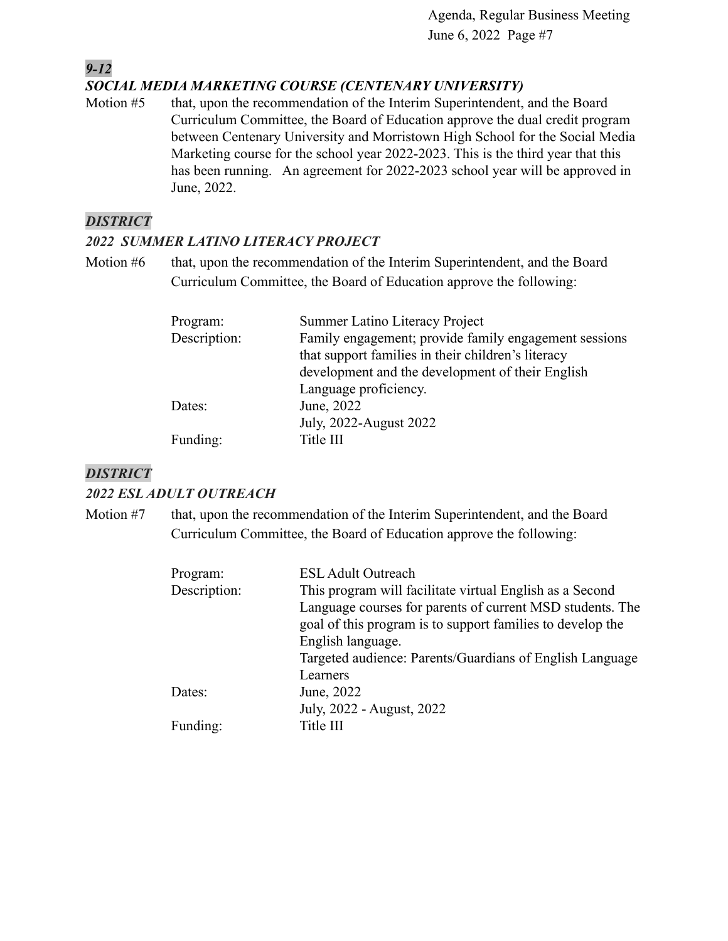### *SOCIAL MEDIA MARKETING COURSE (CENTENARY UNIVERSITY)*

Motion #5 that, upon the recommendation of the Interim Superintendent, and the Board Curriculum Committee, the Board of Education approve the dual credit program between Centenary University and Morristown High School for the Social Media Marketing course for the school year 2022-2023. This is the third year that this has been running. An agreement for 2022-2023 school year will be approved in June, 2022.

#### *DISTRICT*

*9-12*

#### *2022 SUMMER LATINO LITERACY PROJECT*

Motion #6 that, upon the recommendation of the Interim Superintendent, and the Board Curriculum Committee, the Board of Education approve the following:

| Program:     | Summer Latino Literacy Project                        |
|--------------|-------------------------------------------------------|
| Description: | Family engagement; provide family engagement sessions |
|              | that support families in their children's literacy    |
|              | development and the development of their English      |
|              | Language proficiency.                                 |
| Dates:       | June, 2022                                            |
|              | July, 2022-August 2022                                |
| Funding:     | Title III                                             |

### *DISTRICT*

#### *2022 ESL ADULT OUTREACH*

Motion #7 that, upon the recommendation of the Interim Superintendent, and the Board Curriculum Committee, the Board of Education approve the following:

| Program:     | <b>ESL Adult Outreach</b>                                  |
|--------------|------------------------------------------------------------|
| Description: | This program will facilitate virtual English as a Second   |
|              | Language courses for parents of current MSD students. The  |
|              | goal of this program is to support families to develop the |
|              | English language.                                          |
|              | Targeted audience: Parents/Guardians of English Language   |
|              | Learners                                                   |
| Dates:       | June, 2022                                                 |
|              | July, 2022 - August, 2022                                  |
| Funding:     | Title III                                                  |
|              |                                                            |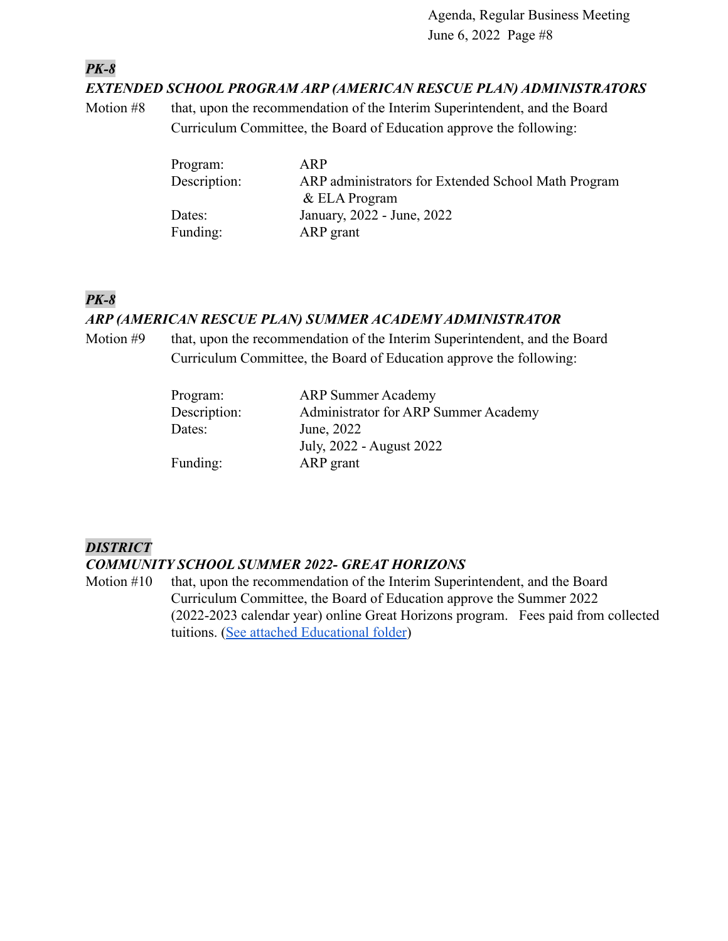*PK-8*

#### *EXTENDED SCHOOL PROGRAM ARP (AMERICAN RESCUE PLAN) ADMINISTRATORS*

Motion #8 that, upon the recommendation of the Interim Superintendent, and the Board Curriculum Committee, the Board of Education approve the following:

| Program:     | ARP                                                 |
|--------------|-----------------------------------------------------|
| Description: | ARP administrators for Extended School Math Program |
|              | $&$ ELA Program                                     |
| Dates:       | January, 2022 - June, 2022                          |
| Funding:     | ARP grant                                           |

### *PK-8*

#### *ARP (AMERICAN RESCUE PLAN) SUMMER ACADEMY ADMINISTRATOR*

Motion #9 that, upon the recommendation of the Interim Superintendent, and the Board Curriculum Committee, the Board of Education approve the following:

| <b>ARP Summer Academy</b>            |
|--------------------------------------|
| Administrator for ARP Summer Academy |
| June, 2022                           |
| July, 2022 - August 2022             |
| ARP grant                            |
|                                      |

### *DISTRICT*

#### *COMMUNITY SCHOOL SUMMER 2022- GREAT HORIZONS*

Motion #10 that, upon the recommendation of the Interim Superintendent, and the Board Curriculum Committee, the Board of Education approve the Summer 2022 (2022-2023 calendar year) online Great Horizons program. Fees paid from collected tuitions. ([See attached Educational folder](https://drive.google.com/file/d/1ZH4yqCQbA0RpDykeQa82r5tYjdsAIS7E/view?usp=sharing))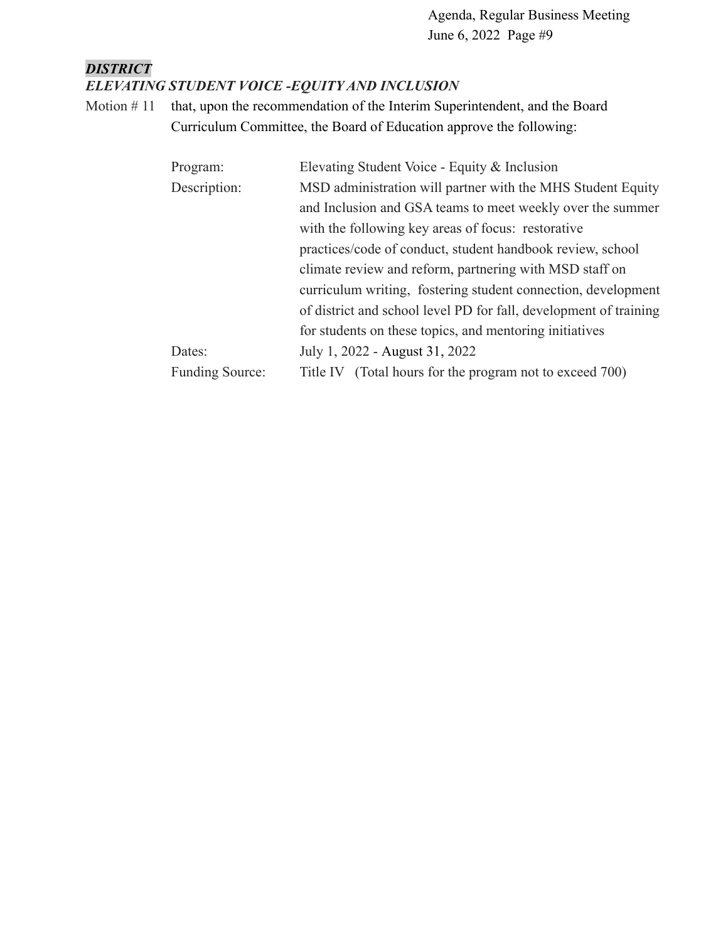### *DISTRICT ELEVATING STUDENT VOICE -EQUITY AND INCLUSION*

Motion #11 that, upon the recommendation of the Interim Superintendent, and the Board Curriculum Committee, the Board of Education approve the following:

| Program:               | Elevating Student Voice - Equity & Inclusion                      |  |  |
|------------------------|-------------------------------------------------------------------|--|--|
| Description:           | MSD administration will partner with the MHS Student Equity       |  |  |
|                        | and Inclusion and GSA teams to meet weekly over the summer        |  |  |
|                        | with the following key areas of focus: restorative                |  |  |
|                        | practices/code of conduct, student handbook review, school        |  |  |
|                        | climate review and reform, partnering with MSD staff on           |  |  |
|                        | curriculum writing, fostering student connection, development     |  |  |
|                        | of district and school level PD for fall, development of training |  |  |
|                        | for students on these topics, and mentoring initiatives           |  |  |
| Dates:                 | July 1, 2022 - August 31, 2022                                    |  |  |
| <b>Funding Source:</b> | Title IV (Total hours for the program not to exceed 700)          |  |  |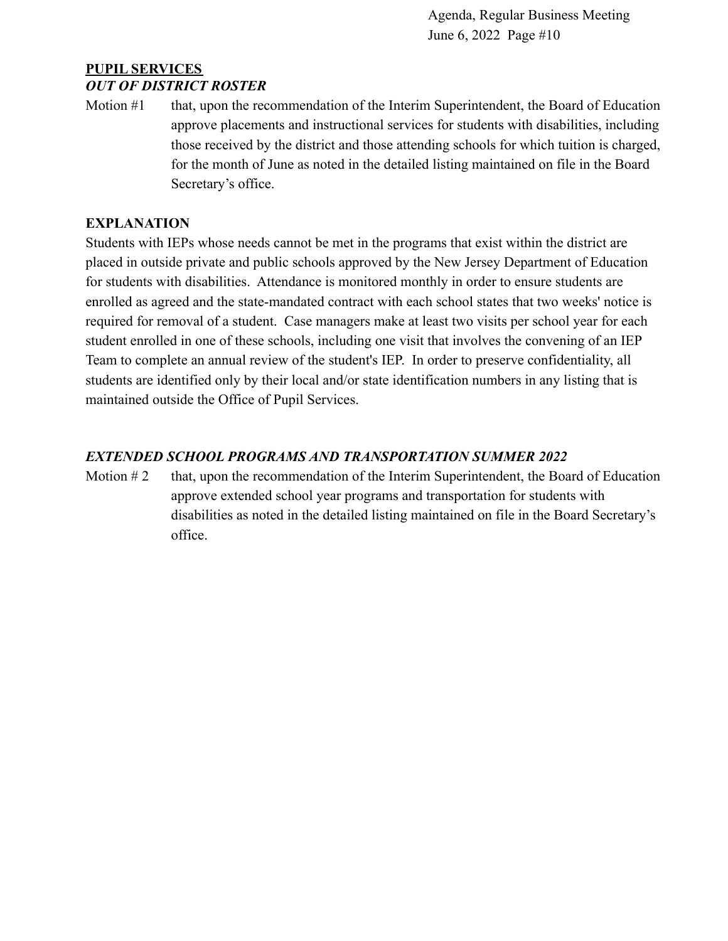### **PUPIL SERVICES** *OUT OF DISTRICT ROSTER*

Motion #1 that, upon the recommendation of the Interim Superintendent, the Board of Education approve placements and instructional services for students with disabilities, including those received by the district and those attending schools for which tuition is charged, for the month of June as noted in the detailed listing maintained on file in the Board Secretary's office.

### **EXPLANATION**

Students with IEPs whose needs cannot be met in the programs that exist within the district are placed in outside private and public schools approved by the New Jersey Department of Education for students with disabilities. Attendance is monitored monthly in order to ensure students are enrolled as agreed and the state-mandated contract with each school states that two weeks' notice is required for removal of a student. Case managers make at least two visits per school year for each student enrolled in one of these schools, including one visit that involves the convening of an IEP Team to complete an annual review of the student's IEP. In order to preserve confidentiality, all students are identified only by their local and/or state identification numbers in any listing that is maintained outside the Office of Pupil Services.

### *EXTENDED SCHOOL PROGRAMS AND TRANSPORTATION SUMMER 2022*

Motion  $#2$  that, upon the recommendation of the Interim Superintendent, the Board of Education approve extended school year programs and transportation for students with disabilities as noted in the detailed listing maintained on file in the Board Secretary's office.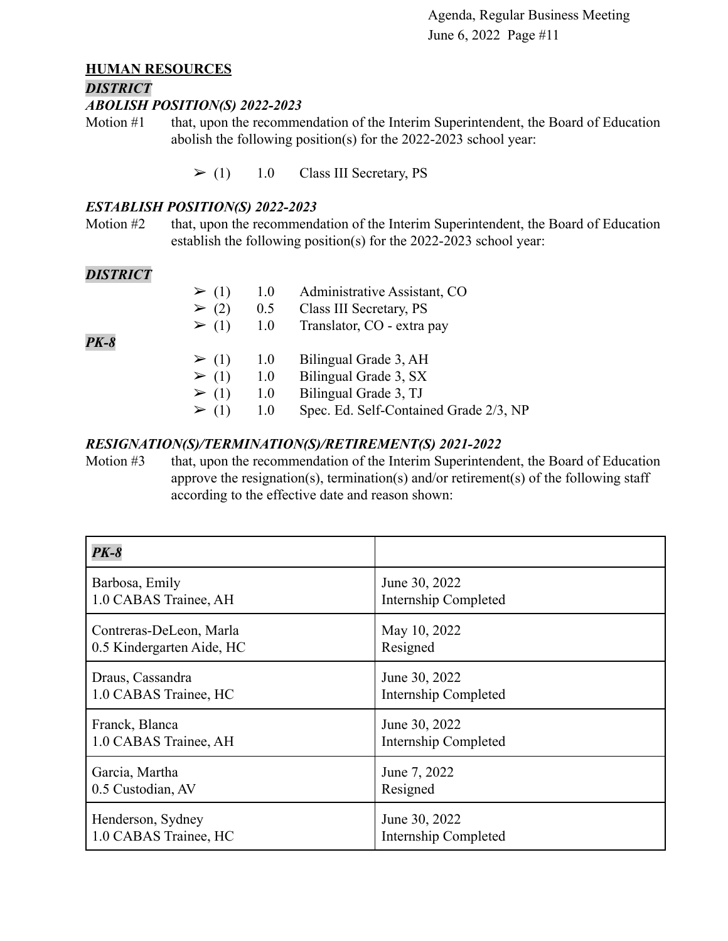#### **HUMAN RESOURCES**

#### *DISTRICT*

### *ABOLISH POSITION(S) 2022-2023*

Motion #1 that, upon the recommendation of the Interim Superintendent, the Board of Education abolish the following position(s) for the 2022-2023 school year:

 $\geq$  (1) 1.0 Class III Secretary, PS

#### *ESTABLISH POSITION(S) 2022-2023*

Motion #2 that, upon the recommendation of the Interim Superintendent, the Board of Education establish the following position(s) for the 2022-2023 school year:

#### *DISTRICT*

*PK-8*

| $\geq (1)$ | 1.0      | Administrative Assistant, CO                                                        |
|------------|----------|-------------------------------------------------------------------------------------|
| $\geq$ (2) | 0.5      | Class III Secretary, PS                                                             |
| $\geq (1)$ | 1.0      | Translator, CO - extra pay                                                          |
| $\geq (1)$ | 1.0      | Bilingual Grade 3, AH                                                               |
| $\geq (1)$ | 1.0      | Bilingual Grade 3, SX                                                               |
| $\geq (1)$ | 1.0      | Bilingual Grade 3, TJ                                                               |
| $\sim$ (1) | $\Omega$ | $C_{\text{max}}$ $\Gamma A$ $C_{\text{alt}}$ $C_{\text{optained}}$ $C_{\text{rad}}$ |

 $\geq$  (1) 1.0 Spec. Ed. Self-Contained Grade 2/3, NP

#### *RESIGNATION(S)/TERMINATION(S)/RETIREMENT(S) 2021-2022*

Motion #3 that, upon the recommendation of the Interim Superintendent, the Board of Education approve the resignation(s), termination(s) and/or retirement(s) of the following staff according to the effective date and reason shown:

| $PK-8$                    |                             |
|---------------------------|-----------------------------|
| Barbosa, Emily            | June 30, 2022               |
| 1.0 CABAS Trainee, AH     | <b>Internship Completed</b> |
| Contreras-DeLeon, Marla   | May 10, 2022                |
| 0.5 Kindergarten Aide, HC | Resigned                    |
| Draus, Cassandra          | June 30, 2022               |
| 1.0 CABAS Trainee, HC     | <b>Internship Completed</b> |
| Franck, Blanca            | June 30, 2022               |
| 1.0 CABAS Trainee, AH     | <b>Internship Completed</b> |
| Garcia, Martha            | June 7, 2022                |
| 0.5 Custodian, AV         | Resigned                    |
| Henderson, Sydney         | June 30, 2022               |
| 1.0 CABAS Trainee, HC     | Internship Completed        |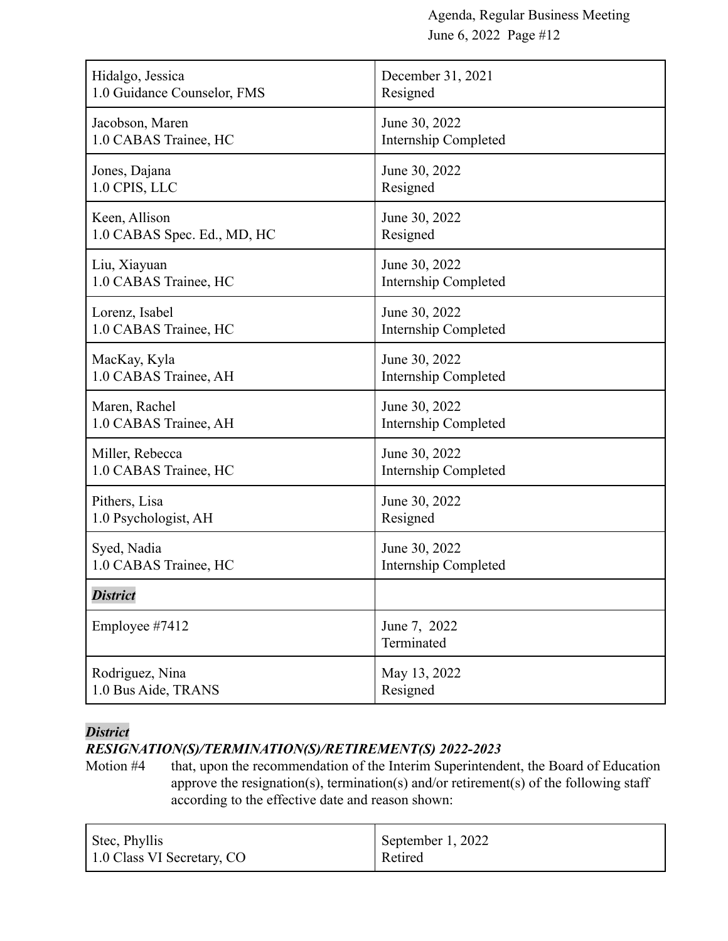| Hidalgo, Jessica            | December 31, 2021          |
|-----------------------------|----------------------------|
| 1.0 Guidance Counselor, FMS | Resigned                   |
| Jacobson, Maren             | June 30, 2022              |
| 1.0 CABAS Trainee, HC       | Internship Completed       |
| Jones, Dajana               | June 30, 2022              |
| 1.0 CPIS, LLC               | Resigned                   |
| Keen, Allison               | June 30, 2022              |
| 1.0 CABAS Spec. Ed., MD, HC | Resigned                   |
| Liu, Xiayuan                | June 30, 2022              |
| 1.0 CABAS Trainee, HC       | Internship Completed       |
| Lorenz, Isabel              | June 30, 2022              |
| 1.0 CABAS Trainee, HC       | Internship Completed       |
| MacKay, Kyla                | June 30, 2022              |
| 1.0 CABAS Trainee, AH       | Internship Completed       |
| Maren, Rachel               | June 30, 2022              |
| 1.0 CABAS Trainee, AH       | Internship Completed       |
| Miller, Rebecca             | June 30, 2022              |
| 1.0 CABAS Trainee, HC       | Internship Completed       |
| Pithers, Lisa               | June 30, 2022              |
| 1.0 Psychologist, AH        | Resigned                   |
| Syed, Nadia                 | June 30, 2022              |
| 1.0 CABAS Trainee, HC       | Internship Completed       |
| <b>District</b>             |                            |
| Employee #7412              | June 7, 2022<br>Terminated |
| Rodriguez, Nina             | May 13, 2022               |
| 1.0 Bus Aide, TRANS         | Resigned                   |

### *District*

### *RESIGNATION(S)/TERMINATION(S)/RETIREMENT(S) 2022-2023*

Motion #4 that, upon the recommendation of the Interim Superintendent, the Board of Education approve the resignation(s), termination(s) and/or retirement(s) of the following staff according to the effective date and reason shown:

| Stec, Phyllis              | September 1, 2022 |
|----------------------------|-------------------|
| 1.0 Class VI Secretary, CO | Retired           |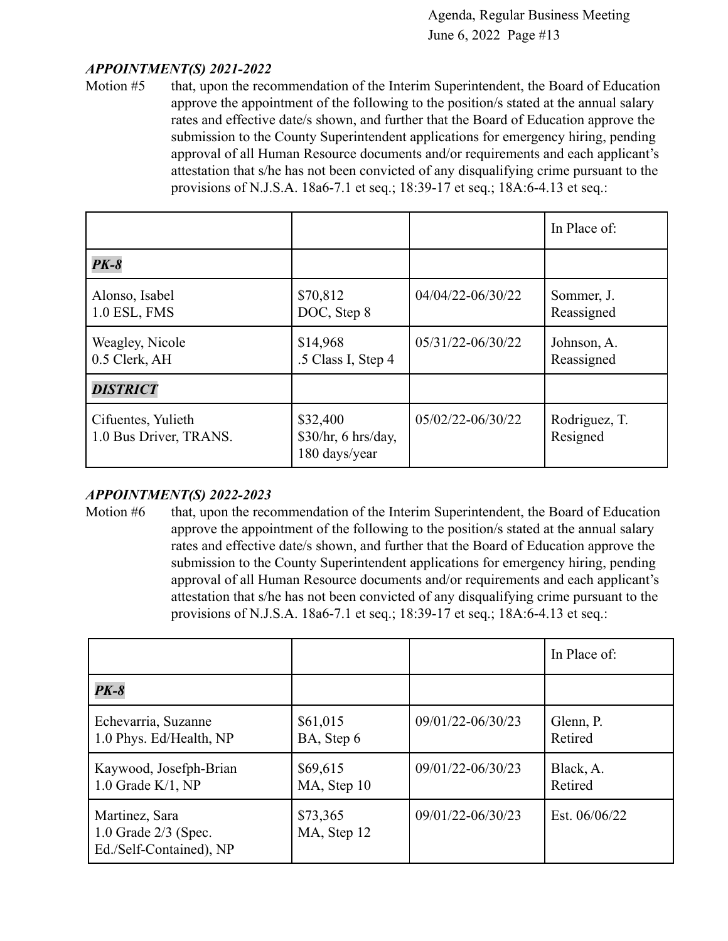#### *APPOINTMENT(S) 2021-2022*

Motion #5 that, upon the recommendation of the Interim Superintendent, the Board of Education approve the appointment of the following to the position/s stated at the annual salary rates and effective date/s shown, and further that the Board of Education approve the submission to the County Superintendent applications for emergency hiring, pending approval of all Human Resource documents and/or requirements and each applicant's attestation that s/he has not been convicted of any disqualifying crime pursuant to the provisions of N.J.S.A. 18a6-7.1 et seq.; 18:39-17 et seq.; 18A:6-4.13 et seq.:

|                                              |                                                  |                   | In Place of:              |
|----------------------------------------------|--------------------------------------------------|-------------------|---------------------------|
| $PK-8$                                       |                                                  |                   |                           |
| Alonso, Isabel<br>$1.0$ ESL, FMS             | \$70,812<br>DOC, Step 8                          | 04/04/22-06/30/22 | Sommer, J.<br>Reassigned  |
| Weagley, Nicole<br>0.5 Clerk, AH             | \$14,968<br>.5 Class I, Step 4                   | 05/31/22-06/30/22 | Johnson, A.<br>Reassigned |
| <b>DISTRICT</b>                              |                                                  |                   |                           |
| Cifuentes, Yulieth<br>1.0 Bus Driver, TRANS. | \$32,400<br>\$30/hr, 6 hrs/day,<br>180 days/year | 05/02/22-06/30/22 | Rodriguez, T.<br>Resigned |

#### *APPOINTMENT(S) 2022-2023*

Motion #6 that, upon the recommendation of the Interim Superintendent, the Board of Education approve the appointment of the following to the position/s stated at the annual salary rates and effective date/s shown, and further that the Board of Education approve the submission to the County Superintendent applications for emergency hiring, pending approval of all Human Resource documents and/or requirements and each applicant's attestation that s/he has not been convicted of any disqualifying crime pursuant to the provisions of N.J.S.A. 18a6-7.1 et seq.; 18:39-17 et seq.; 18A:6-4.13 et seq.:

|                                                                       |                         |                   | In Place of:         |
|-----------------------------------------------------------------------|-------------------------|-------------------|----------------------|
| $PK-8$                                                                |                         |                   |                      |
| Echevarria, Suzanne<br>1.0 Phys. Ed/Health, NP                        | \$61,015<br>BA, Step 6  | 09/01/22-06/30/23 | Glenn, P.<br>Retired |
| Kaywood, Josefph-Brian<br>$1.0$ Grade K/1, NP                         | \$69,615<br>MA, Step 10 | 09/01/22-06/30/23 | Black, A.<br>Retired |
| Martinez, Sara<br>$1.0$ Grade $2/3$ (Spec.<br>Ed./Self-Contained), NP | \$73,365<br>MA, Step 12 | 09/01/22-06/30/23 | Est. 06/06/22        |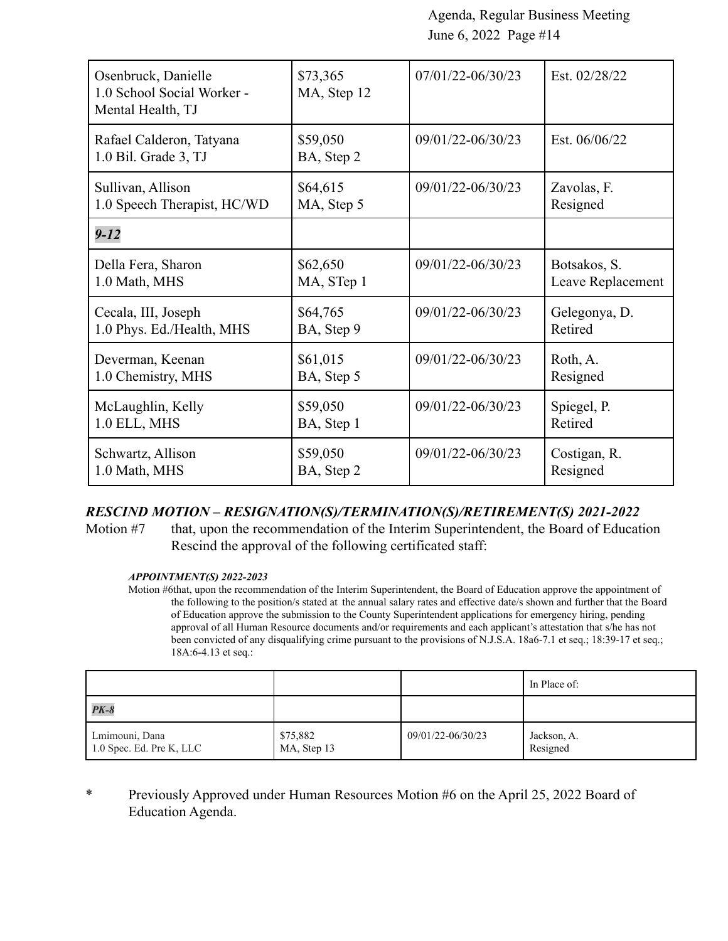| Osenbruck, Danielle<br>1.0 School Social Worker -<br>Mental Health, TJ | \$73,365<br>MA, Step 12 | 07/01/22-06/30/23 | Est. 02/28/22     |
|------------------------------------------------------------------------|-------------------------|-------------------|-------------------|
| Rafael Calderon, Tatyana<br>1.0 Bil. Grade 3, TJ                       | \$59,050<br>BA, Step 2  | 09/01/22-06/30/23 | Est. 06/06/22     |
| Sullivan, Allison                                                      | \$64,615                | 09/01/22-06/30/23 | Zavolas, F.       |
| 1.0 Speech Therapist, HC/WD                                            | MA, Step 5              |                   | Resigned          |
| $9 - 12$                                                               |                         |                   |                   |
| Della Fera, Sharon                                                     | \$62,650                | 09/01/22-06/30/23 | Botsakos, S.      |
| 1.0 Math, MHS                                                          | MA, STep 1              |                   | Leave Replacement |
| Cecala, III, Joseph                                                    | \$64,765                | 09/01/22-06/30/23 | Gelegonya, D.     |
| 1.0 Phys. Ed./Health, MHS                                              | BA, Step 9              |                   | Retired           |
| Deverman, Keenan                                                       | \$61,015                | 09/01/22-06/30/23 | Roth, A.          |
| 1.0 Chemistry, MHS                                                     | BA, Step 5              |                   | Resigned          |
| McLaughlin, Kelly                                                      | \$59,050                | 09/01/22-06/30/23 | Spiegel, P.       |
| 1.0 ELL, MHS                                                           | BA, Step 1              |                   | Retired           |
| Schwartz, Allison                                                      | \$59,050                | 09/01/22-06/30/23 | Costigan, R.      |
| 1.0 Math, MHS                                                          | BA, Step 2              |                   | Resigned          |

#### *RESCIND MOTION – RESIGNATION(S)/TERMINATION(S)/RETIREMENT(S) 2021-2022*

Motion #7 that, upon the recommendation of the Interim Superintendent, the Board of Education Rescind the approval of the following certificated staff:

#### *APPOINTMENT(S) 2022-2023*

Motion #6that, upon the recommendation of the Interim Superintendent, the Board of Education approve the appointment of the following to the position/s stated at the annual salary rates and effective date/s shown and further that the Board of Education approve the submission to the County Superintendent applications for emergency hiring, pending approval of all Human Resource documents and/or requirements and each applicant's attestation that s/he has not been convicted of any disqualifying crime pursuant to the provisions of N.J.S.A. 18a6-7.1 et seq.; 18:39-17 et seq.; 18A:6-4.13 et seq.:

|                                            |                         |                   | In Place of:            |
|--------------------------------------------|-------------------------|-------------------|-------------------------|
| $PK-8$                                     |                         |                   |                         |
| Lmimouni, Dana<br>1.0 Spec. Ed. Pre K, LLC | \$75,882<br>MA, Step 13 | 09/01/22-06/30/23 | Jackson, A.<br>Resigned |

\* Previously Approved under Human Resources Motion #6 on the April 25, 2022 Board of Education Agenda.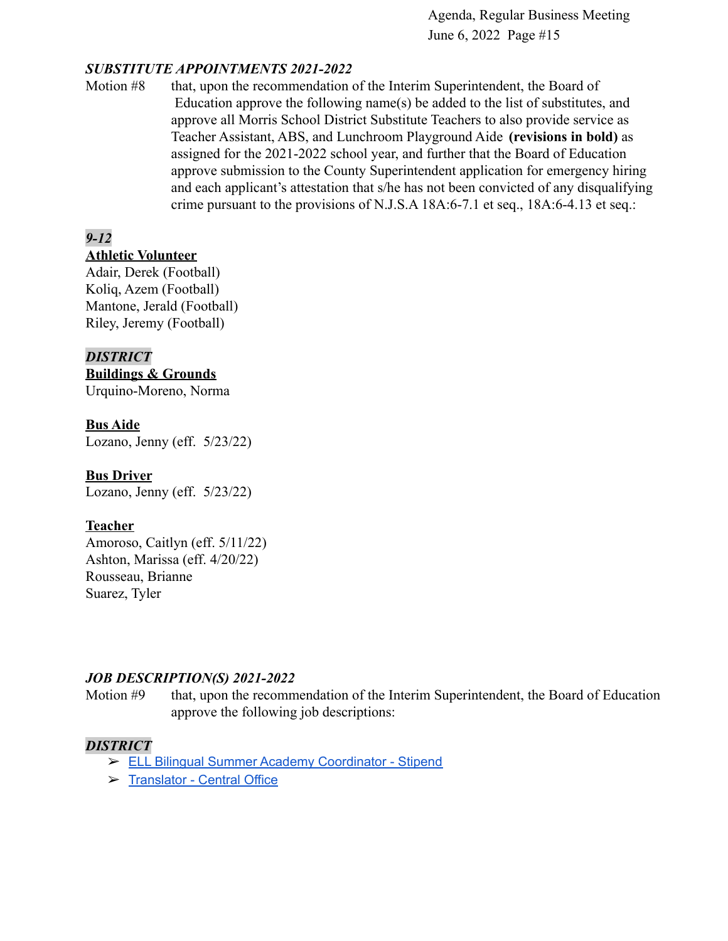#### *SUBSTITUTE APPOINTMENTS 2021-2022*

Motion #8 that, upon the recommendation of the Interim Superintendent, the Board of Education approve the following name(s) be added to the list of substitutes, and approve all Morris School District Substitute Teachers to also provide service as Teacher Assistant, ABS, and Lunchroom Playground Aide **(revisions in bold)** as assigned for the 2021-2022 school year, and further that the Board of Education approve submission to the County Superintendent application for emergency hiring and each applicant's attestation that s/he has not been convicted of any disqualifying crime pursuant to the provisions of N.J.S.A 18A:6-7.1 et seq., 18A:6-4.13 et seq.:

### *9-12*

### **Athletic Volunteer**

Adair, Derek (Football) Koliq, Azem (Football) Mantone, Jerald (Football) Riley, Jeremy (Football)

#### *DISTRICT*

**Buildings & Grounds** Urquino-Moreno, Norma

#### **Bus Aide**

Lozano, Jenny (eff. 5/23/22)

#### **Bus Driver**

Lozano, Jenny (eff. 5/23/22)

#### **Teacher**

Amoroso, Caitlyn (eff. 5/11/22) Ashton, Marissa (eff. 4/20/22) Rousseau, Brianne Suarez, Tyler

#### *JOB DESCRIPTION(S) 2021-2022*

Motion #9 that, upon the recommendation of the Interim Superintendent, the Board of Education approve the following job descriptions:

#### *DISTRICT*

- ➢ ELL Bilingual Summer Academy [Coordinator](https://drive.google.com/file/d/1z-9agw5BbIg-6R99mzlv7-5Qje-3duQM/view?usp=sharingqenp4vOJZdO5Dp1ihh4wTC9sPBhfu_YPVUegEIZXs/edit?usp=sharing) Stipend
- ➢ [Translator](https://drive.google.com/file/d/1fZo0V3qxQS9hthGDxlsIlWdqqSmHJkeE/view?usp=sharing) Central Office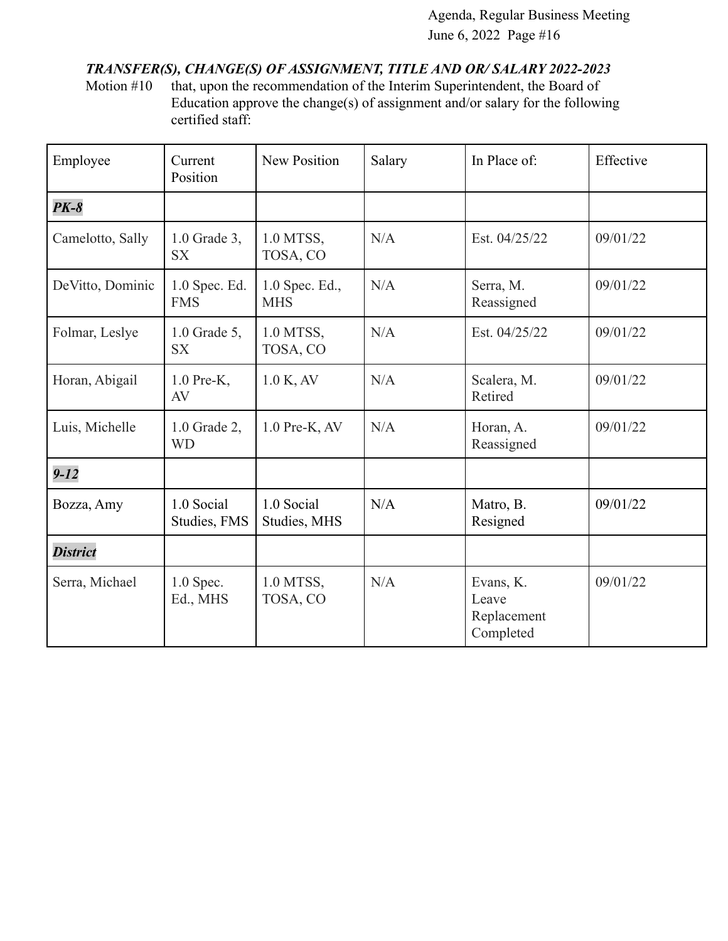### *TRANSFER(S), CHANGE(S) OF ASSIGNMENT, TITLE AND OR/ SALARY 2022-2023*

Motion #10 that, upon the recommendation of the Interim Superintendent, the Board of Education approve the change(s) of assignment and/or salary for the following certified staff:

| Employee         | Current<br>Position         | New Position                 | Salary | In Place of:                                   | Effective |
|------------------|-----------------------------|------------------------------|--------|------------------------------------------------|-----------|
| $PK-8$           |                             |                              |        |                                                |           |
| Camelotto, Sally | $1.0$ Grade 3,<br><b>SX</b> | 1.0 MTSS,<br>TOSA, CO        | N/A    | Est. 04/25/22                                  | 09/01/22  |
| DeVitto, Dominic | 1.0 Spec. Ed.<br><b>FMS</b> | 1.0 Spec. Ed.,<br><b>MHS</b> | N/A    | Serra, M.<br>Reassigned                        | 09/01/22  |
| Folmar, Leslye   | $1.0$ Grade 5,<br><b>SX</b> | 1.0 MTSS,<br>TOSA, CO        | N/A    | Est. 04/25/22                                  | 09/01/22  |
| Horan, Abigail   | $1.0$ Pre-K,<br>AV          | 1.0 K, AV                    | N/A    | Scalera, M.<br>Retired                         | 09/01/22  |
| Luis, Michelle   | 1.0 Grade 2,<br><b>WD</b>   | $1.0$ Pre-K, AV              | N/A    | Horan, A.<br>Reassigned                        | 09/01/22  |
| $9 - 12$         |                             |                              |        |                                                |           |
| Bozza, Amy       | 1.0 Social<br>Studies, FMS  | 1.0 Social<br>Studies, MHS   | N/A    | Matro, B.<br>Resigned                          | 09/01/22  |
| <b>District</b>  |                             |                              |        |                                                |           |
| Serra, Michael   | $1.0$ Spec.<br>Ed., MHS     | 1.0 MTSS,<br>TOSA, CO        | N/A    | Evans, K.<br>Leave<br>Replacement<br>Completed | 09/01/22  |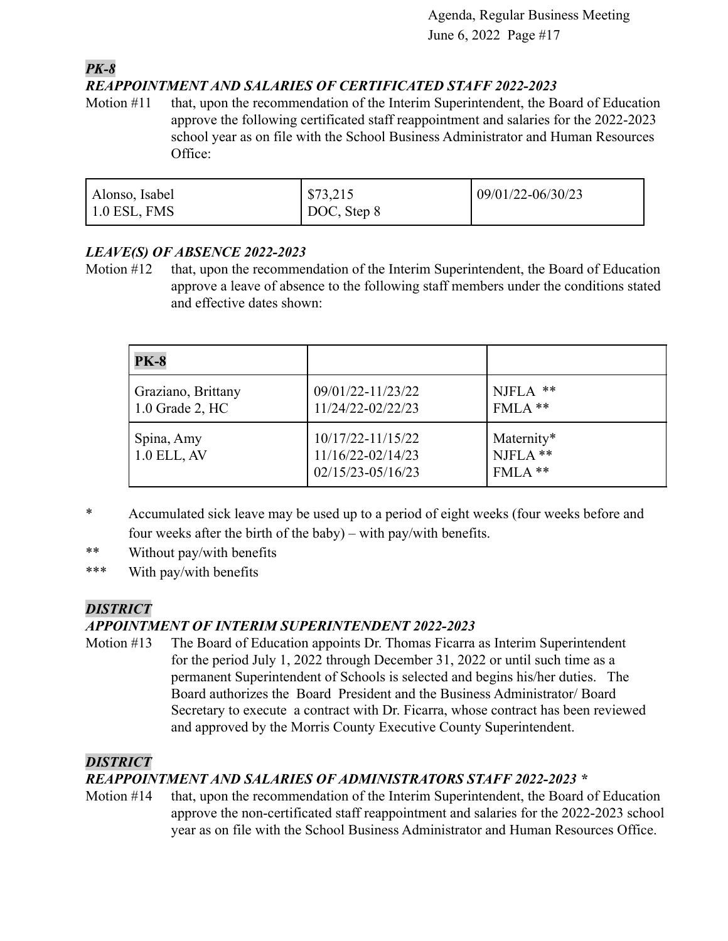#### *PK-8 REAPPOINTMENT AND SALARIES OF CERTIFICATED STAFF 2022-2023*

Motion #11 that, upon the recommendation of the Interim Superintendent, the Board of Education approve the following certificated staff reappointment and salaries for the 2022-2023 school year as on file with the School Business Administrator and Human Resources Office:

| Alonso, Isabel       | $\sqrt{573,215}$ | $09/01/22 - 06/30/23$ |
|----------------------|------------------|-----------------------|
| $\vert$ 1.0 ESL, FMS | DOC, Step 8      |                       |

### *LEAVE(S) OF ABSENCE 2022-2023*

Motion #12 that, upon the recommendation of the Interim Superintendent, the Board of Education approve a leave of absence to the following staff members under the conditions stated and effective dates shown:

| <b>PK-8</b>                             |                                                                     |                                   |
|-----------------------------------------|---------------------------------------------------------------------|-----------------------------------|
| Graziano, Brittany<br>$1.0$ Grade 2, HC | 09/01/22-11/23/22<br>11/24/22-02/22/23                              | $NJFLA$ **<br>$FMLA$ **           |
| Spina, Amy<br>$1.0$ ELL, AV             | $10/17/22 - 11/15/22$<br>11/16/22-02/14/23<br>$02/15/23 - 05/16/23$ | Maternity*<br>NJFLA **<br>FMLA ** |

- \* Accumulated sick leave may be used up to a period of eight weeks (four weeks before and four weeks after the birth of the baby) – with pay/with benefits.
- \*\* Without pay/with benefits
- \*\*\* With pay/with benefits

### *DISTRICT*

### *APPOINTMENT OF INTERIM SUPERINTENDENT 2022-2023*

Motion #13 The Board of Education appoints Dr. Thomas Ficarra as Interim Superintendent for the period July 1, 2022 through December 31, 2022 or until such time as a permanent Superintendent of Schools is selected and begins his/her duties. The Board authorizes the Board President and the Business Administrator/ Board Secretary to execute a contract with Dr. Ficarra, whose contract has been reviewed and approved by the Morris County Executive County Superintendent.

### *DISTRICT*

## *REAPPOINTMENT AND SALARIES OF ADMINISTRATORS STAFF 2022-2023 \**

Motion #14 that, upon the recommendation of the Interim Superintendent, the Board of Education approve the non-certificated staff reappointment and salaries for the 2022-2023 school year as on file with the School Business Administrator and Human Resources Office.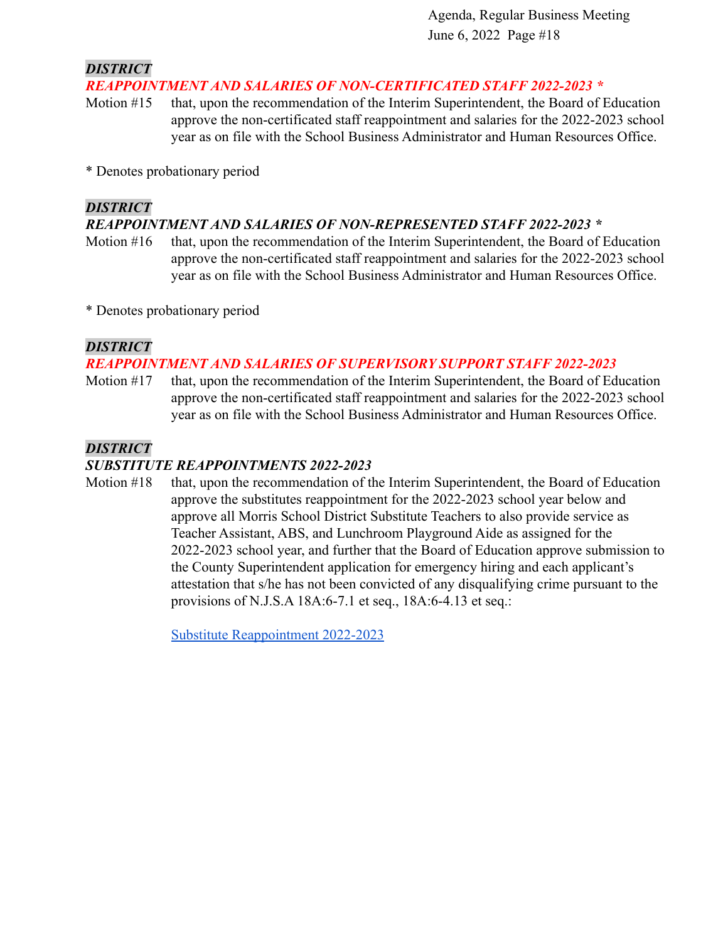*DISTRICT*

#### *REAPPOINTMENT AND SALARIES OF NON-CERTIFICATED STAFF 2022-2023 \**

Motion #15 that, upon the recommendation of the Interim Superintendent, the Board of Education approve the non-certificated staff reappointment and salaries for the 2022-2023 school year as on file with the School Business Administrator and Human Resources Office.

\* Denotes probationary period

### *DISTRICT*

### *REAPPOINTMENT AND SALARIES OF NON-REPRESENTED STAFF 2022-2023 \**

Motion #16 that, upon the recommendation of the Interim Superintendent, the Board of Education approve the non-certificated staff reappointment and salaries for the 2022-2023 school year as on file with the School Business Administrator and Human Resources Office.

\* Denotes probationary period

### *DISTRICT*

### *REAPPOINTMENT AND SALARIES OF SUPERVISORY SUPPORT STAFF 2022-2023*

Motion #17 that, upon the recommendation of the Interim Superintendent, the Board of Education approve the non-certificated staff reappointment and salaries for the 2022-2023 school year as on file with the School Business Administrator and Human Resources Office.

### *DISTRICT*

### *SUBSTITUTE REAPPOINTMENTS 2022-2023*

Motion #18 that, upon the recommendation of the Interim Superintendent, the Board of Education approve the substitutes reappointment for the 2022-2023 school year below and approve all Morris School District Substitute Teachers to also provide service as Teacher Assistant, ABS, and Lunchroom Playground Aide as assigned for the 2022-2023 school year, and further that the Board of Education approve submission to the County Superintendent application for emergency hiring and each applicant's attestation that s/he has not been convicted of any disqualifying crime pursuant to the provisions of N.J.S.A 18A:6-7.1 et seq., 18A:6-4.13 et seq.:

[Substitute Reappointment 2022-2023](https://drive.google.com/file/d/1PTejR_9_0IiUXm56eos4Vefs8VupYNZ5/view?usp=sharing8VupYNZ5/view?usp=sharingakjU6TteylE7WK3/view?usp=sharing)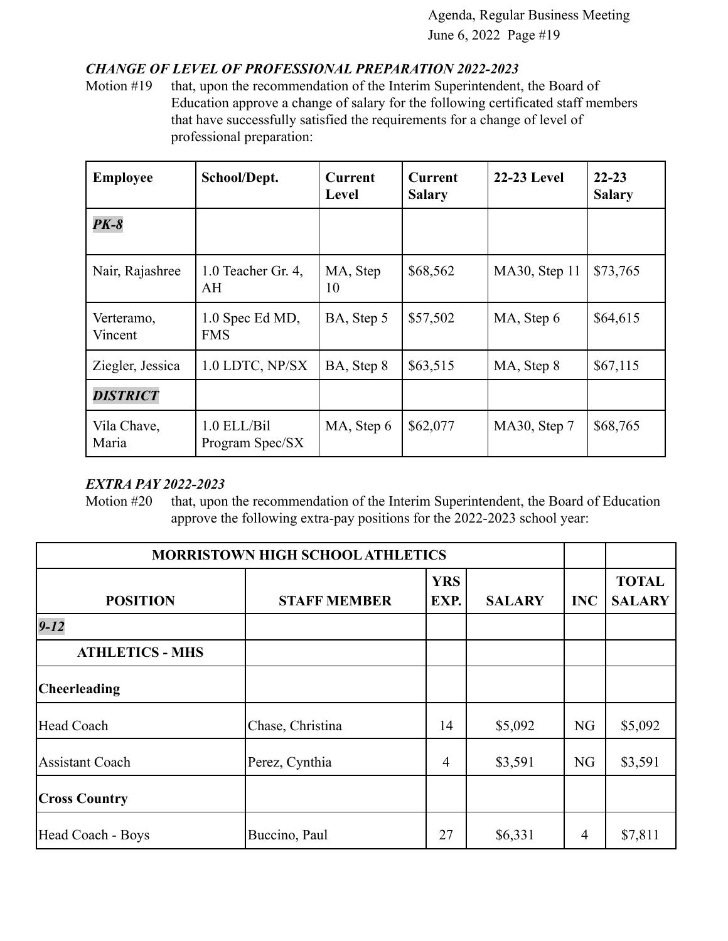### *CHANGE OF LEVEL OF PROFESSIONAL PREPARATION 2022-2023*

Motion #19 that, upon the recommendation of the Interim Superintendent, the Board of Education approve a change of salary for the following certificated staff members that have successfully satisfied the requirements for a change of level of professional preparation:

| <b>Employee</b>       | School/Dept.                     | <b>Current</b><br>Level | <b>Current</b><br><b>Salary</b> | <b>22-23 Level</b> | $22 - 23$<br><b>Salary</b> |
|-----------------------|----------------------------------|-------------------------|---------------------------------|--------------------|----------------------------|
| $PK-8$                |                                  |                         |                                 |                    |                            |
| Nair, Rajashree       | 1.0 Teacher Gr. 4,<br>AH         | MA, Step<br>10          | \$68,562                        | MA30, Step 11      | \$73,765                   |
| Verteramo,<br>Vincent | 1.0 Spec Ed MD,<br><b>FMS</b>    | BA, Step 5              | \$57,502                        | MA, Step 6         | \$64,615                   |
| Ziegler, Jessica      | 1.0 LDTC, NP/SX                  | BA, Step 8              | \$63,515                        | MA, Step 8         | \$67,115                   |
| <b>DISTRICT</b>       |                                  |                         |                                 |                    |                            |
| Vila Chave,<br>Maria  | $1.0$ ELL/Bil<br>Program Spec/SX | MA, Step 6              | \$62,077                        | MA30, Step 7       | \$68,765                   |

#### *EXTRA PAY 2022-2023*

Motion #20 that, upon the recommendation of the Interim Superintendent, the Board of Education approve the following extra-pay positions for the 2022-2023 school year:

| <b>MORRISTOWN HIGH SCHOOL ATHLETICS</b> |                     |                    |               |                |                               |
|-----------------------------------------|---------------------|--------------------|---------------|----------------|-------------------------------|
| <b>POSITION</b>                         | <b>STAFF MEMBER</b> | <b>YRS</b><br>EXP. | <b>SALARY</b> | <b>INC</b>     | <b>TOTAL</b><br><b>SALARY</b> |
| $9 - 12$                                |                     |                    |               |                |                               |
| <b>ATHLETICS - MHS</b>                  |                     |                    |               |                |                               |
| <b>Cheerleading</b>                     |                     |                    |               |                |                               |
| Head Coach                              | Chase, Christina    | 14                 | \$5,092       | <b>NG</b>      | \$5,092                       |
| <b>Assistant Coach</b>                  | Perez, Cynthia      | 4                  | \$3,591       | <b>NG</b>      | \$3,591                       |
| <b>Cross Country</b>                    |                     |                    |               |                |                               |
| Head Coach - Boys                       | Buccino, Paul       | 27                 | \$6,331       | $\overline{4}$ | \$7,811                       |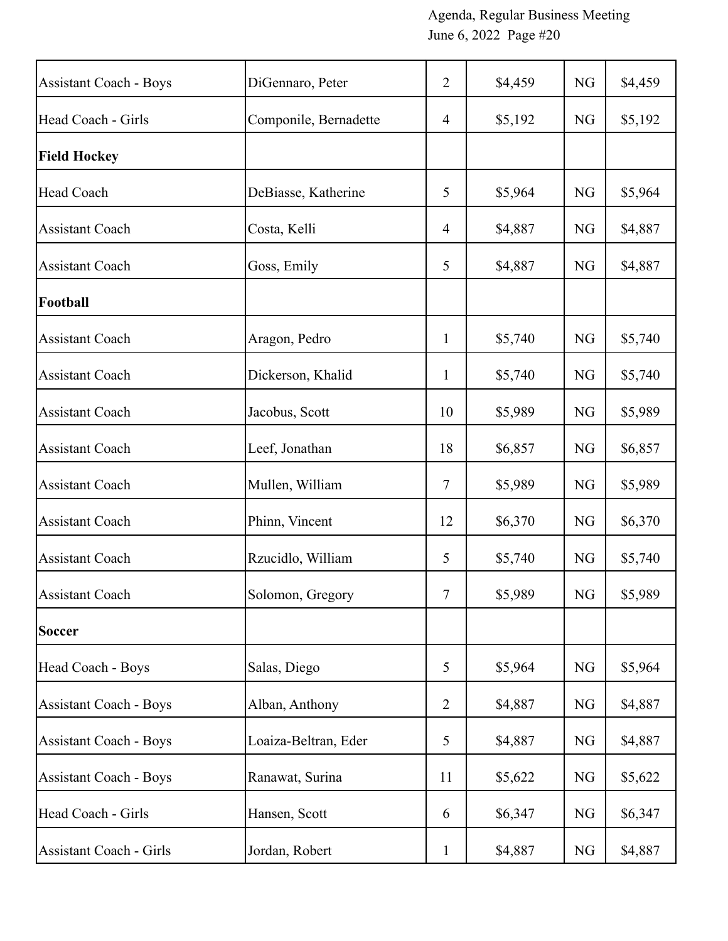| <b>Assistant Coach - Boys</b>  | DiGennaro, Peter      | $\overline{2}$ | \$4,459 | NG        | \$4,459 |
|--------------------------------|-----------------------|----------------|---------|-----------|---------|
| Head Coach - Girls             | Componile, Bernadette | $\overline{4}$ | \$5,192 | NG        | \$5,192 |
| <b>Field Hockey</b>            |                       |                |         |           |         |
| Head Coach                     | DeBiasse, Katherine   | 5              | \$5,964 | <b>NG</b> | \$5,964 |
| <b>Assistant Coach</b>         | Costa, Kelli          | $\overline{4}$ | \$4,887 | NG        | \$4,887 |
| <b>Assistant Coach</b>         | Goss, Emily           | 5              | \$4,887 | <b>NG</b> | \$4,887 |
| Football                       |                       |                |         |           |         |
| <b>Assistant Coach</b>         | Aragon, Pedro         | $\mathbf{1}$   | \$5,740 | NG        | \$5,740 |
| <b>Assistant Coach</b>         | Dickerson, Khalid     | $\mathbf{1}$   | \$5,740 | NG        | \$5,740 |
| <b>Assistant Coach</b>         | Jacobus, Scott        | 10             | \$5,989 | NG        | \$5,989 |
| <b>Assistant Coach</b>         | Leef, Jonathan        | 18             | \$6,857 | <b>NG</b> | \$6,857 |
| <b>Assistant Coach</b>         | Mullen, William       | 7              | \$5,989 | <b>NG</b> | \$5,989 |
| <b>Assistant Coach</b>         | Phinn, Vincent        | 12             | \$6,370 | NG        | \$6,370 |
| <b>Assistant Coach</b>         | Rzucidlo, William     | 5              | \$5,740 | NG        | \$5,740 |
| <b>Assistant Coach</b>         | Solomon, Gregory      | 7              | \$5,989 | NG        | \$5,989 |
| Soccer                         |                       |                |         |           |         |
| Head Coach - Boys              | Salas, Diego          | 5              | \$5,964 | NG        | \$5,964 |
| <b>Assistant Coach - Boys</b>  | Alban, Anthony        | $\overline{2}$ | \$4,887 | <b>NG</b> | \$4,887 |
| <b>Assistant Coach - Boys</b>  | Loaiza-Beltran, Eder  | 5              | \$4,887 | NG        | \$4,887 |
| <b>Assistant Coach - Boys</b>  | Ranawat, Surina       | 11             | \$5,622 | <b>NG</b> | \$5,622 |
| Head Coach - Girls             | Hansen, Scott         | 6              | \$6,347 | NG        | \$6,347 |
| <b>Assistant Coach - Girls</b> | Jordan, Robert        | $\mathbf{1}$   | \$4,887 | NG        | \$4,887 |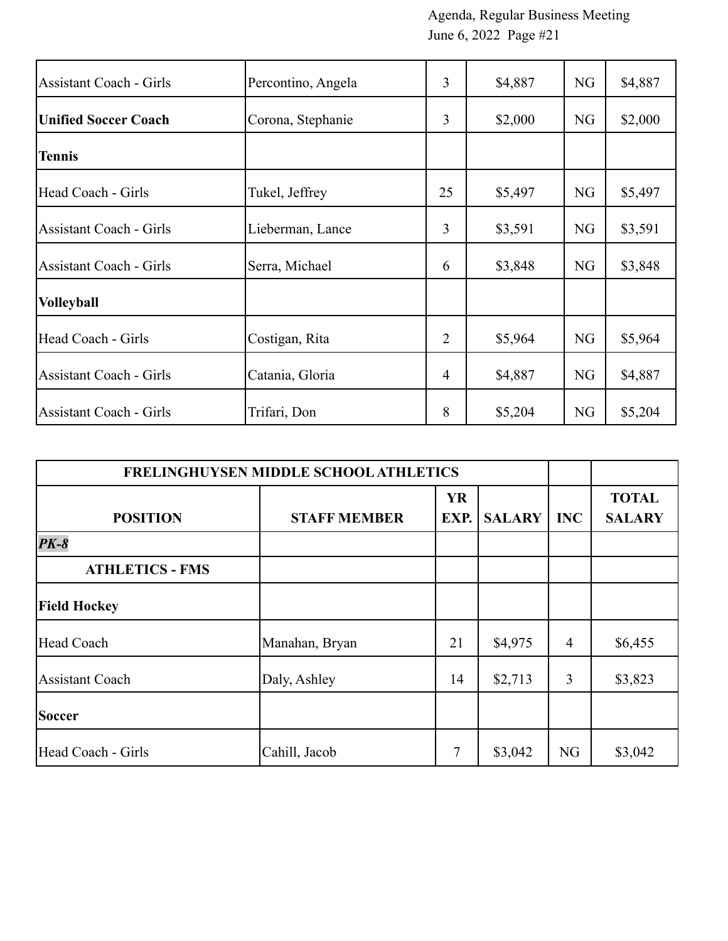| <b>Assistant Coach - Girls</b> | Percontino, Angela | $\overline{3}$ | \$4,887 | <b>NG</b> | \$4,887 |
|--------------------------------|--------------------|----------------|---------|-----------|---------|
| <b>Unified Soccer Coach</b>    | Corona, Stephanie  | 3              | \$2,000 | NG        | \$2,000 |
| <b>Tennis</b>                  |                    |                |         |           |         |
| Head Coach - Girls             | Tukel, Jeffrey     | 25             | \$5,497 | <b>NG</b> | \$5,497 |
| Assistant Coach - Girls        | Lieberman, Lance   | 3              | \$3,591 | NG        | \$3,591 |
| <b>Assistant Coach - Girls</b> | Serra, Michael     | 6              | \$3,848 | NG        | \$3,848 |
| <b>Volleyball</b>              |                    |                |         |           |         |
| Head Coach - Girls             | Costigan, Rita     | 2              | \$5,964 | <b>NG</b> | \$5,964 |
| <b>Assistant Coach - Girls</b> | Catania, Gloria    | $\overline{4}$ | \$4,887 | <b>NG</b> | \$4,887 |
| <b>Assistant Coach - Girls</b> | Trifari, Don       | 8              | \$5,204 | <b>NG</b> | \$5,204 |

| FRELINGHUYSEN MIDDLE SCHOOL ATHLETICS |                     |                   |               |                |                               |
|---------------------------------------|---------------------|-------------------|---------------|----------------|-------------------------------|
| <b>POSITION</b>                       | <b>STAFF MEMBER</b> | <b>YR</b><br>EXP. | <b>SALARY</b> | <b>INC</b>     | <b>TOTAL</b><br><b>SALARY</b> |
| $PK-8$                                |                     |                   |               |                |                               |
| <b>ATHLETICS - FMS</b>                |                     |                   |               |                |                               |
| <b>Field Hockey</b>                   |                     |                   |               |                |                               |
| Head Coach                            | Manahan, Bryan      | 21                | \$4,975       | $\overline{4}$ | \$6,455                       |
| <b>Assistant Coach</b>                | Daly, Ashley        | 14                | \$2,713       | 3              | \$3,823                       |
| <b>Soccer</b>                         |                     |                   |               |                |                               |
| Head Coach - Girls                    | Cahill, Jacob       | 7                 | \$3,042       | <b>NG</b>      | \$3,042                       |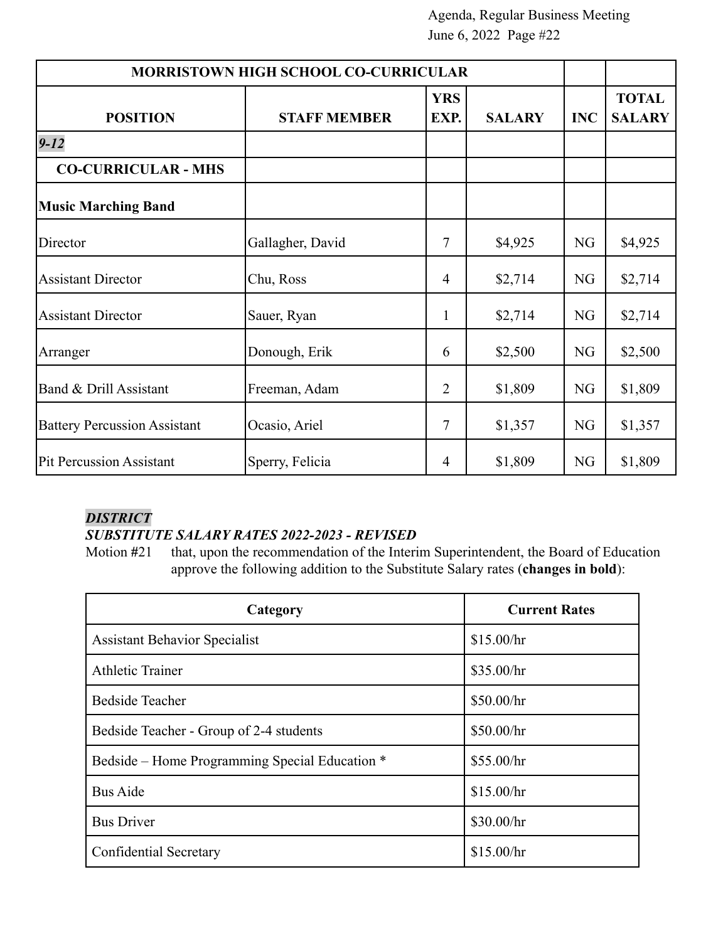| <b>MORRISTOWN HIGH SCHOOL CO-CURRICULAR</b> |                     |                    |               |            |                               |
|---------------------------------------------|---------------------|--------------------|---------------|------------|-------------------------------|
| <b>POSITION</b>                             | <b>STAFF MEMBER</b> | <b>YRS</b><br>EXP. | <b>SALARY</b> | <b>INC</b> | <b>TOTAL</b><br><b>SALARY</b> |
| $9 - 12$                                    |                     |                    |               |            |                               |
| <b>CO-CURRICULAR - MHS</b>                  |                     |                    |               |            |                               |
| <b>Music Marching Band</b>                  |                     |                    |               |            |                               |
| Director                                    | Gallagher, David    | 7                  | \$4,925       | <b>NG</b>  | \$4,925                       |
| <b>Assistant Director</b>                   | Chu, Ross           | 4                  | \$2,714       | NG         | \$2,714                       |
| <b>Assistant Director</b>                   | Sauer, Ryan         | 1                  | \$2,714       | NG         | \$2,714                       |
| Arranger                                    | Donough, Erik       | 6                  | \$2,500       | NG         | \$2,500                       |
| Band & Drill Assistant                      | Freeman, Adam       | 2                  | \$1,809       | NG         | \$1,809                       |
| <b>Battery Percussion Assistant</b>         | Ocasio, Ariel       | 7                  | \$1,357       | <b>NG</b>  | \$1,357                       |
| <b>Pit Percussion Assistant</b>             | Sperry, Felicia     | 4                  | \$1,809       | NG         | \$1,809                       |

### *DISTRICT*

### *SUBSTITUTE SALARY RATES 2022-2023 - REVISED*

Motion #21 that, upon the recommendation of the Interim Superintendent, the Board of Education approve the following addition to the Substitute Salary rates (**changes in bold**):

| Category                                       | <b>Current Rates</b> |
|------------------------------------------------|----------------------|
| <b>Assistant Behavior Specialist</b>           | \$15.00/hr           |
| <b>Athletic Trainer</b>                        | \$35.00/hr           |
| <b>Bedside Teacher</b>                         | \$50.00/hr           |
| Bedside Teacher - Group of 2-4 students        | \$50.00/hr           |
| Bedside – Home Programming Special Education * | \$55.00/hr           |
| <b>Bus Aide</b>                                | \$15.00/hr           |
| <b>Bus Driver</b>                              | \$30.00/hr           |
| Confidential Secretary                         | \$15.00/hr           |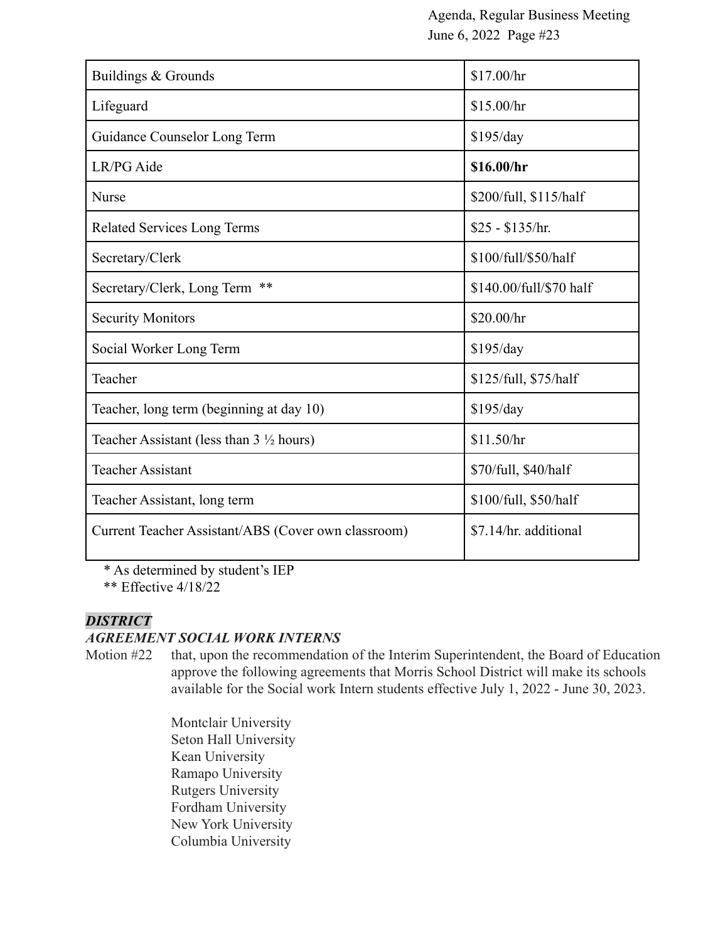| Buildings & Grounds                                 | \$17.00/hr              |
|-----------------------------------------------------|-------------------------|
| Lifeguard                                           | \$15.00/hr              |
| Guidance Counselor Long Term                        | \$195/day               |
| LR/PG Aide                                          | \$16.00/hr              |
| <b>Nurse</b>                                        | \$200/full, \$115/half  |
| <b>Related Services Long Terms</b>                  | $$25 - $135/hr$ .       |
| Secretary/Clerk                                     | \$100/full/\$50/half    |
| Secretary/Clerk, Long Term<br>$***$                 | \$140.00/full/\$70 half |
| <b>Security Monitors</b>                            | \$20.00/hr              |
| Social Worker Long Term                             | \$195/day               |
| Teacher                                             | \$125/full, \$75/half   |
| Teacher, long term (beginning at day 10)            | \$195/day               |
| Teacher Assistant (less than $3\frac{1}{2}$ hours)  | \$11.50/hr              |
| <b>Teacher Assistant</b>                            | \$70/full, \$40/half    |
| Teacher Assistant, long term                        | \$100/full, \$50/half   |
| Current Teacher Assistant/ABS (Cover own classroom) | \$7.14/hr. additional   |
|                                                     |                         |

\* As determined by student's IEP

\*\* Effective 4/18/22

#### *DISTRICT*

#### *AGREEMENT SOCIAL WORK INTERNS*

Motion #22 that, upon the recommendation of the Interim Superintendent, the Board of Education approve the following agreements that Morris School District will make its schools available for the Social work Intern students effective July 1, 2022 - June 30, 2023.

> Montclair University Seton Hall University Kean University Ramapo University Rutgers University Fordham University New York University Columbia University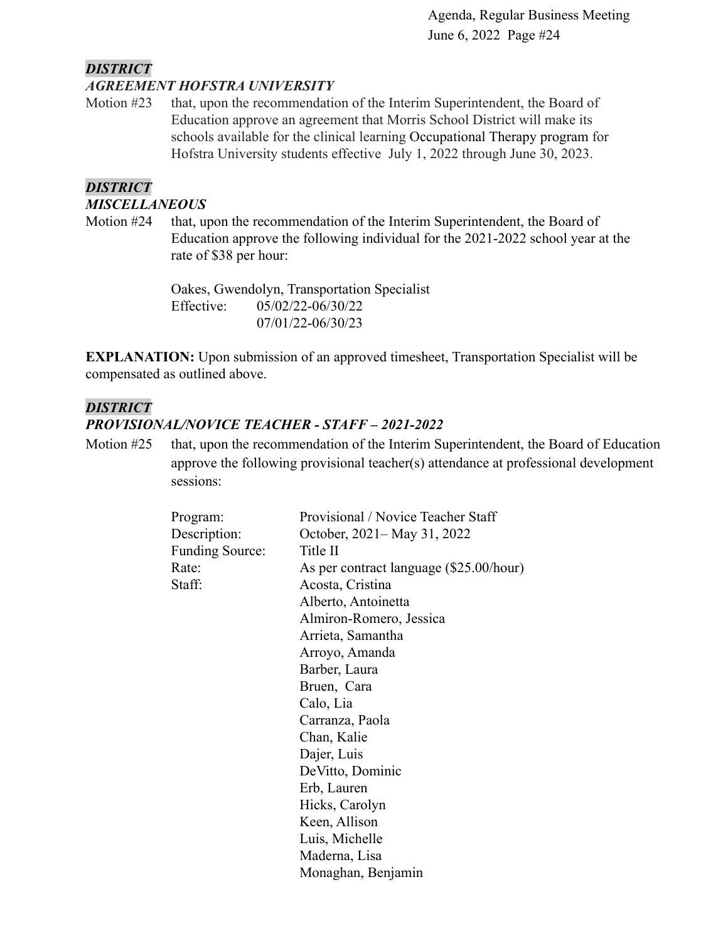### *DISTRICT*

#### *AGREEMENT HOFSTRA UNIVERSITY*

Motion #23 that, upon the recommendation of the Interim Superintendent, the Board of Education approve an agreement that Morris School District will make its schools available for the clinical learning Occupational Therapy program for Hofstra University students effective July 1, 2022 through June 30, 2023.

#### *DISTRICT*

#### *MISCELLANEOUS*

Motion #24 that, upon the recommendation of the Interim Superintendent, the Board of Education approve the following individual for the 2021-2022 school year at the rate of \$38 per hour:

> Oakes, Gwendolyn, Transportation Specialist Effective: 05/02/22-06/30/22 07/01/22-06/30/23

**EXPLANATION:** Upon submission of an approved timesheet, Transportation Specialist will be compensated as outlined above.

#### *DISTRICT*

#### *PROVISIONAL/NOVICE TEACHER - STAFF – 2021-2022*

Motion #25 that, upon the recommendation of the Interim Superintendent, the Board of Education approve the following provisional teacher(s) attendance at professional development sessions:

| Program:               | Provisional / Novice Teacher Staff      |  |  |
|------------------------|-----------------------------------------|--|--|
| Description:           | October, 2021–May 31, 2022              |  |  |
| <b>Funding Source:</b> | Title II                                |  |  |
| Rate:                  | As per contract language (\$25.00/hour) |  |  |
| Staff:                 | Acosta, Cristina                        |  |  |
|                        | Alberto, Antoinetta                     |  |  |
|                        | Almiron-Romero, Jessica                 |  |  |
|                        | Arrieta, Samantha                       |  |  |
|                        | Arroyo, Amanda                          |  |  |
|                        | Barber, Laura                           |  |  |
|                        | Bruen, Cara                             |  |  |
|                        | Calo, Lia                               |  |  |
|                        | Carranza, Paola                         |  |  |
|                        | Chan, Kalie                             |  |  |
|                        | Dajer, Luis                             |  |  |
|                        | DeVitto, Dominic                        |  |  |
|                        | Erb, Lauren                             |  |  |
|                        | Hicks, Carolyn                          |  |  |
|                        | Keen, Allison                           |  |  |
|                        | Luis, Michelle                          |  |  |
|                        | Maderna, Lisa                           |  |  |
|                        | Monaghan, Benjamin                      |  |  |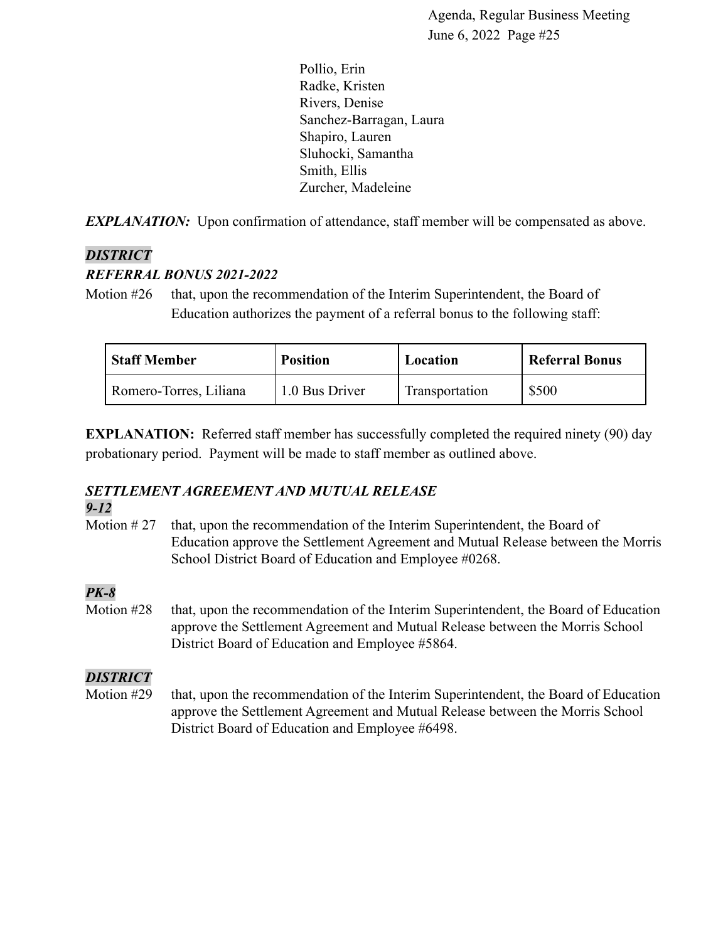Pollio, Erin Radke, Kristen Rivers, Denise Sanchez-Barragan, Laura Shapiro, Lauren Sluhocki, Samantha Smith, Ellis Zurcher, Madeleine

*EXPLANATION:* Upon confirmation of attendance, staff member will be compensated as above.

### *DISTRICT*

#### *REFERRAL BONUS 2021-2022*

Motion #26 that, upon the recommendation of the Interim Superintendent, the Board of Education authorizes the payment of a referral bonus to the following staff:

| <b>Staff Member</b>    | <b>Position</b> | Location       | <b>Referral Bonus</b> |
|------------------------|-----------------|----------------|-----------------------|
| Romero-Torres, Liliana | 1.0 Bus Driver  | Transportation | \$500                 |

**EXPLANATION:** Referred staff member has successfully completed the required ninety (90) day probationary period. Payment will be made to staff member as outlined above.

# *SETTLEMENT AGREEMENT AND MUTUAL RELEASE*

#### *9-12*

Motion #27 that, upon the recommendation of the Interim Superintendent, the Board of Education approve the Settlement Agreement and Mutual Release between the Morris School District Board of Education and Employee #0268.

### *PK-8*

Motion #28 that, upon the recommendation of the Interim Superintendent, the Board of Education approve the Settlement Agreement and Mutual Release between the Morris School District Board of Education and Employee #5864.

### *DISTRICT*

Motion #29 that, upon the recommendation of the Interim Superintendent, the Board of Education approve the Settlement Agreement and Mutual Release between the Morris School District Board of Education and Employee #6498.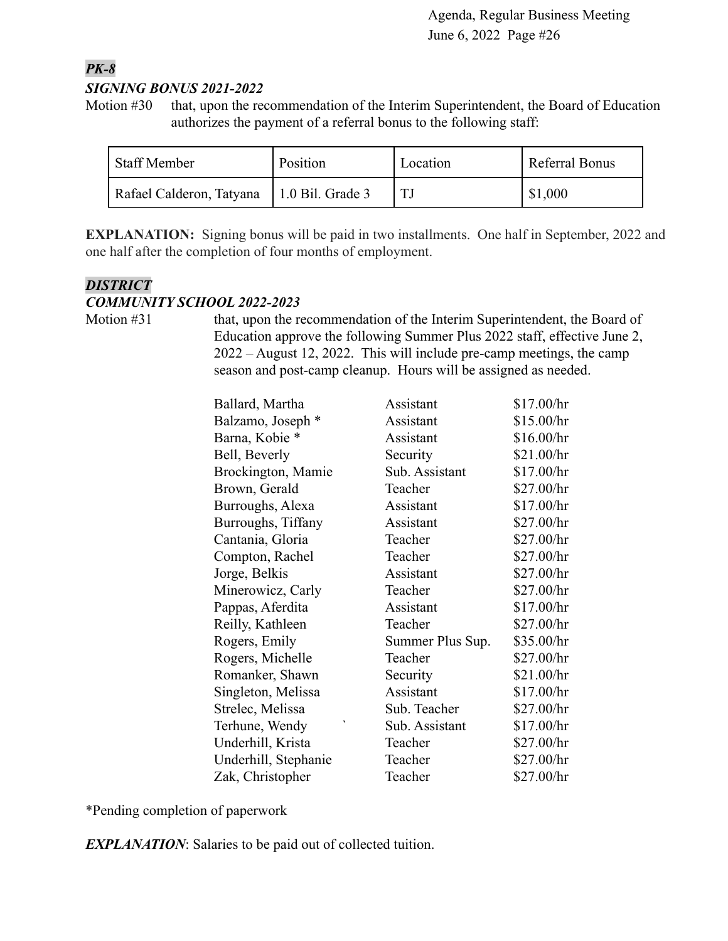### *PK-8 SIGNING BONUS 2021-2022*

Motion #30 that, upon the recommendation of the Interim Superintendent, the Board of Education authorizes the payment of a referral bonus to the following staff:

| <b>Staff Member</b>      | Position                 | Location | Referral Bonus |
|--------------------------|--------------------------|----------|----------------|
| Rafael Calderon, Tatyana | $\vert$ 1.0 Bil. Grade 3 |          | \$1,000        |

**EXPLANATION:** Signing bonus will be paid in two installments. One half in September, 2022 and one half after the completion of four months of employment.

### *DISTRICT*

#### *COMMUNITY SCHOOL 2022-2023*

Motion #31 that, upon the recommendation of the Interim Superintendent, the Board of Education approve the following Summer Plus 2022 staff, effective June 2, 2022 – August 12, 2022. This will include pre-camp meetings, the camp season and post-camp cleanup. Hours will be assigned as needed.

| Ballard, Martha      | Assistant        | \$17.00/hr |
|----------------------|------------------|------------|
| Balzamo, Joseph *    | Assistant        | \$15.00/hr |
| Barna, Kobie *       | Assistant        | \$16.00/hr |
| Bell, Beverly        | Security         | \$21.00/hr |
| Brockington, Mamie   | Sub. Assistant   | \$17.00/hr |
| Brown, Gerald        | Teacher          | \$27.00/hr |
| Burroughs, Alexa     | Assistant        | \$17.00/hr |
| Burroughs, Tiffany   | Assistant        | \$27.00/hr |
| Cantania, Gloria     | Teacher          | \$27.00/hr |
| Compton, Rachel      | Teacher          | \$27.00/hr |
| Jorge, Belkis        | Assistant        | \$27.00/hr |
| Minerowicz, Carly    | Teacher          | \$27.00/hr |
| Pappas, Aferdita     | Assistant        | \$17.00/hr |
| Reilly, Kathleen     | Teacher          | \$27.00/hr |
| Rogers, Emily        | Summer Plus Sup. | \$35.00/hr |
| Rogers, Michelle     | Teacher          | \$27.00/hr |
| Romanker, Shawn      | Security         | \$21.00/hr |
| Singleton, Melissa   | Assistant        | \$17.00/hr |
| Strelec, Melissa     | Sub. Teacher     | \$27.00/hr |
| Terhune, Wendy       | Sub. Assistant   | \$17.00/hr |
| Underhill, Krista    | Teacher          | \$27.00/hr |
| Underhill, Stephanie | Teacher          | \$27.00/hr |
| Zak, Christopher     | Teacher          | \$27.00/hr |

\*Pending completion of paperwork

*EXPLANATION*: Salaries to be paid out of collected tuition.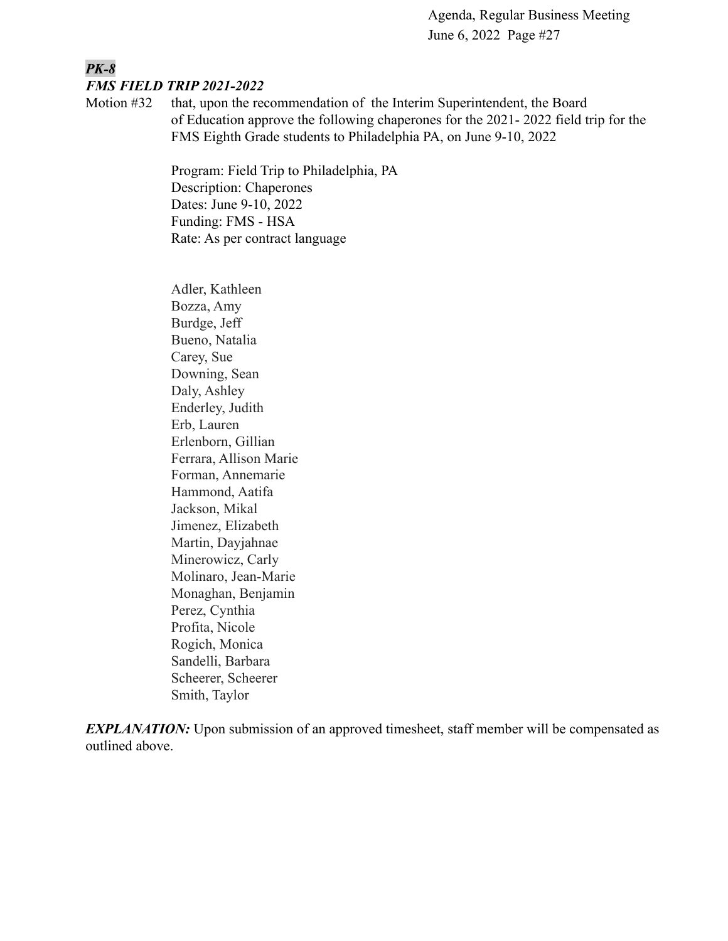### *PK-8 FMS FIELD TRIP 2021-2022*

Motion #32 that, upon the recommendation of the Interim Superintendent, the Board of Education approve the following chaperones for the 2021- 2022 field trip for the FMS Eighth Grade students to Philadelphia PA, on June 9-10, 2022

> Program: Field Trip to Philadelphia, PA Description: Chaperones Dates: June 9-10, 2022 Funding: FMS - HSA Rate: As per contract language

Adler, Kathleen Bozza, Amy Burdge, Jeff Bueno, Natalia Carey, Sue Downing, Sean Daly, Ashley Enderley, Judith Erb, Lauren Erlenborn, Gillian Ferrara, Allison Marie Forman, Annemarie Hammond, Aatifa Jackson, Mikal Jimenez, Elizabeth Martin, Dayjahnae Minerowicz, Carly Molinaro, Jean-Marie Monaghan, Benjamin Perez, Cynthia Profita, Nicole Rogich, Monica Sandelli, Barbara Scheerer, Scheerer Smith, Taylor

*EXPLANATION:* Upon submission of an approved timesheet, staff member will be compensated as outlined above.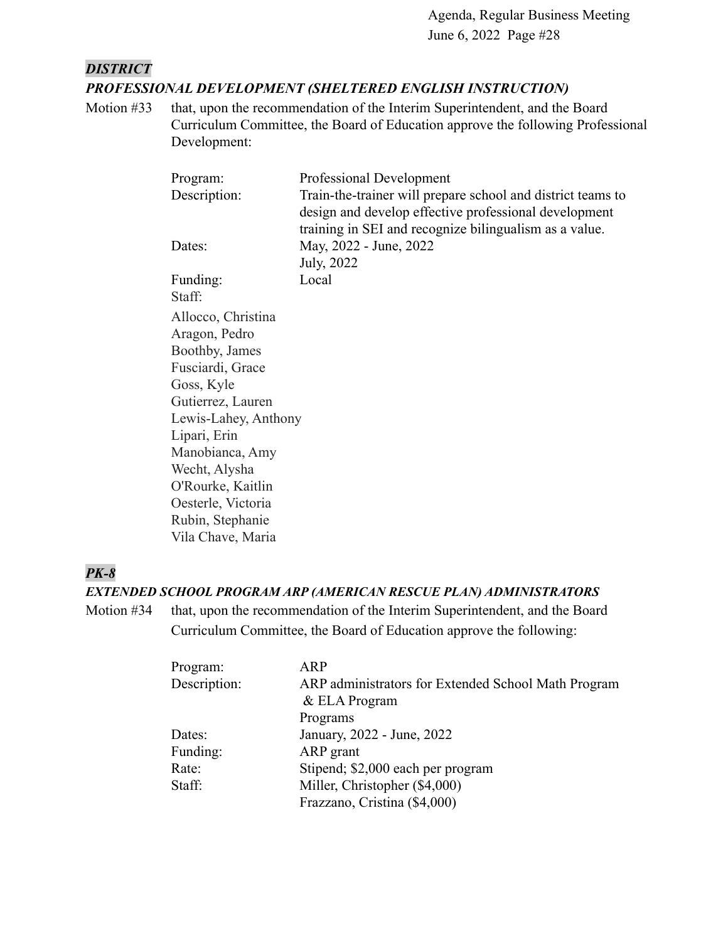### *DISTRICT PROFESSIONAL DEVELOPMENT (SHELTERED ENGLISH INSTRUCTION)*

Motion #33 that, upon the recommendation of the Interim Superintendent, and the Board Curriculum Committee, the Board of Education approve the following Professional Development:

| Program:             | Professional Development                                    |
|----------------------|-------------------------------------------------------------|
| Description:         | Train-the-trainer will prepare school and district teams to |
|                      | design and develop effective professional development       |
|                      | training in SEI and recognize bilingualism as a value.      |
| Dates:               | May, 2022 - June, 2022                                      |
|                      | July, 2022                                                  |
| Funding:             | Local                                                       |
| Staff:               |                                                             |
| Allocco, Christina   |                                                             |
| Aragon, Pedro        |                                                             |
| Boothby, James       |                                                             |
| Fusciardi, Grace     |                                                             |
| Goss, Kyle           |                                                             |
| Gutierrez, Lauren    |                                                             |
| Lewis-Lahey, Anthony |                                                             |
| Lipari, Erin         |                                                             |
| Manobianca, Amy      |                                                             |
| Wecht, Alysha        |                                                             |
| O'Rourke, Kaitlin    |                                                             |
| Oesterle, Victoria   |                                                             |
| Rubin, Stephanie     |                                                             |
| Vila Chave, Maria    |                                                             |

### *PK-8*

### *EXTENDED SCHOOL PROGRAM ARP (AMERICAN RESCUE PLAN) ADMINISTRATORS*

Motion #34 that, upon the recommendation of the Interim Superintendent, and the Board Curriculum Committee, the Board of Education approve the following:

| Program:     | <b>ARP</b>                                          |
|--------------|-----------------------------------------------------|
| Description: | ARP administrators for Extended School Math Program |
|              | $&$ ELA Program                                     |
|              | Programs                                            |
| Dates:       | January, 2022 - June, 2022                          |
| Funding:     | ARP grant                                           |
| Rate:        | Stipend; \$2,000 each per program                   |
| Staff:       | Miller, Christopher (\$4,000)                       |
|              | Frazzano, Cristina (\$4,000)                        |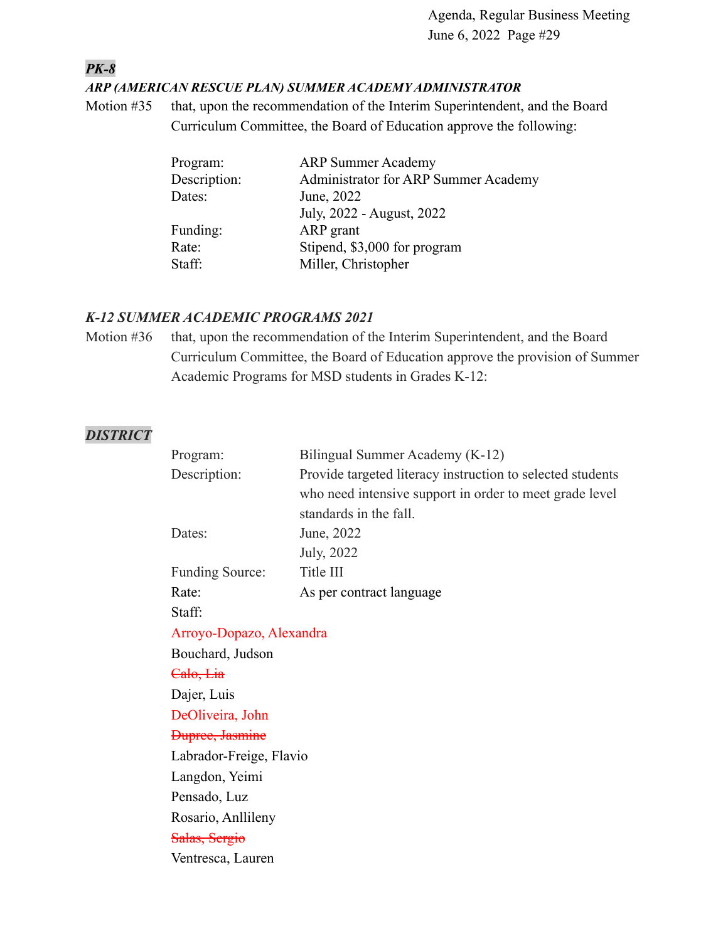### *PK-8*

#### *ARP (AMERICAN RESCUE PLAN) SUMMER ACADEMY ADMINISTRATOR*

Motion #35 that, upon the recommendation of the Interim Superintendent, and the Board Curriculum Committee, the Board of Education approve the following:

| <b>ARP Summer Academy</b>            |
|--------------------------------------|
| Administrator for ARP Summer Academy |
| June, 2022                           |
| July, 2022 - August, 2022            |
| ARP grant                            |
| Stipend, \$3,000 for program         |
| Miller, Christopher                  |
|                                      |

#### *K-12 SUMMER ACADEMIC PROGRAMS 2021*

Motion #36 that, upon the recommendation of the Interim Superintendent, and the Board Curriculum Committee, the Board of Education approve the provision of Summer Academic Programs for MSD students in Grades K-12:

### *DISTRICT*

| Program:                 | Bilingual Summer Academy (K-12)                            |
|--------------------------|------------------------------------------------------------|
| Description:             | Provide targeted literacy instruction to selected students |
|                          | who need intensive support in order to meet grade level    |
|                          | standards in the fall.                                     |
| Dates:                   | June, 2022                                                 |
|                          | July, 2022                                                 |
| <b>Funding Source:</b>   | Title III                                                  |
| Rate:                    | As per contract language                                   |
| Staff:                   |                                                            |
| Arroyo-Dopazo, Alexandra |                                                            |
| Bouchard, Judson         |                                                            |
| Calo, Lia                |                                                            |
| Dajer, Luis              |                                                            |
| DeOliveira, John         |                                                            |
| <b>Dupree</b> , Jasmine  |                                                            |
| Labrador-Freige, Flavio  |                                                            |
| Langdon, Yeimi           |                                                            |
| Pensado, Luz             |                                                            |
| Rosario, Anllileny       |                                                            |
| Salas, Sergio            |                                                            |
| Ventresca, Lauren        |                                                            |
|                          |                                                            |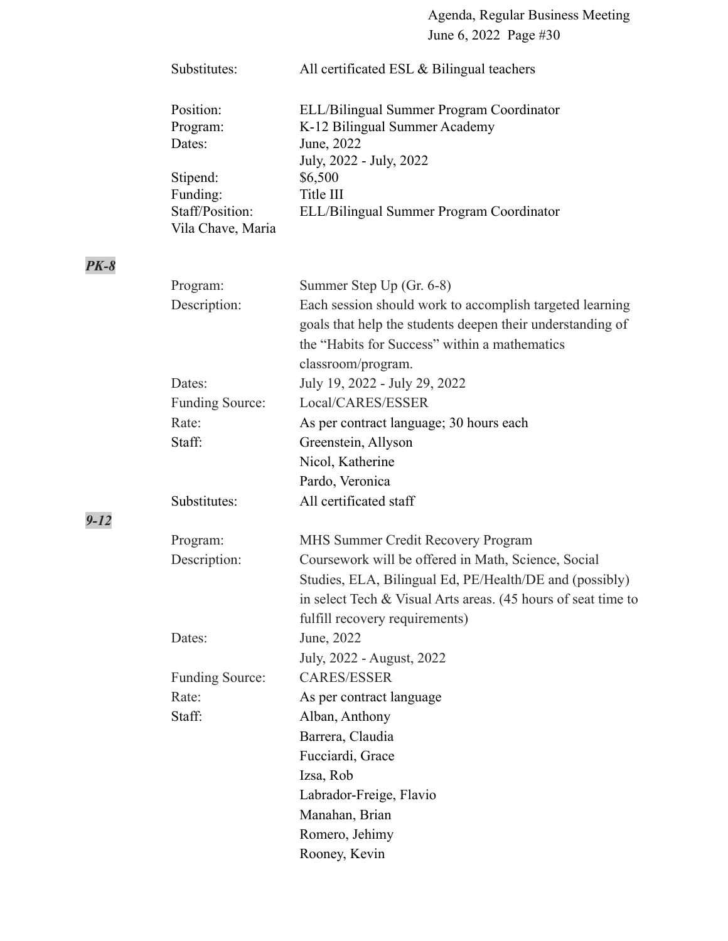| Substitutes:                         | All certificated ESL & Bilingual teachers                                                                                         |
|--------------------------------------|-----------------------------------------------------------------------------------------------------------------------------------|
| Position:<br>Program:<br>Dates:      | ELL/Bilingual Summer Program Coordinator<br>K-12 Bilingual Summer Academy<br>June, 2022                                           |
| Stipend:                             | July, 2022 - July, 2022<br>\$6,500                                                                                                |
| Funding:                             | Title III                                                                                                                         |
| Staff/Position:<br>Vila Chave, Maria | ELL/Bilingual Summer Program Coordinator                                                                                          |
| Program:                             | Summer Step Up (Gr. 6-8)                                                                                                          |
| Description:                         | Each session should work to accomplish targeted learning                                                                          |
|                                      | goals that help the students deepen their understanding of<br>the "Habits for Success" within a mathematics<br>classroom/program. |
| Dates:                               | July 19, 2022 - July 29, 2022                                                                                                     |
| Funding Source:                      | Local/CARES/ESSER                                                                                                                 |
| Rate:                                | As per contract language; 30 hours each                                                                                           |
| Staff:                               | Greenstein, Allyson                                                                                                               |
|                                      | Nicol, Katherine                                                                                                                  |
|                                      | Pardo, Veronica                                                                                                                   |
| Substitutes:                         | All certificated staff                                                                                                            |
| Program:                             | MHS Summer Credit Recovery Program                                                                                                |
| Description:                         | Coursework will be offered in Math, Science, Social                                                                               |
|                                      | Studies, ELA, Bilingual Ed, PE/Health/DE and (possibly)                                                                           |
|                                      | in select Tech $& Visual Arts$ areas. (45 hours of seat time to                                                                   |
|                                      | fulfill recovery requirements)                                                                                                    |
| Dates:                               | June, 2022                                                                                                                        |
|                                      | July, 2022 - August, 2022                                                                                                         |
| Funding Source:                      | <b>CARES/ESSER</b>                                                                                                                |
| Rate:                                | As per contract language                                                                                                          |
| Staff:                               | Alban, Anthony                                                                                                                    |
|                                      | Barrera, Claudia                                                                                                                  |
|                                      | Fucciardi, Grace                                                                                                                  |
|                                      | Izsa, Rob                                                                                                                         |
|                                      | Labrador-Freige, Flavio                                                                                                           |
|                                      | Manahan, Brian                                                                                                                    |
|                                      | Romero, Jehimy                                                                                                                    |
|                                      | Rooney, Kevin                                                                                                                     |

*PK-8*

*9-12*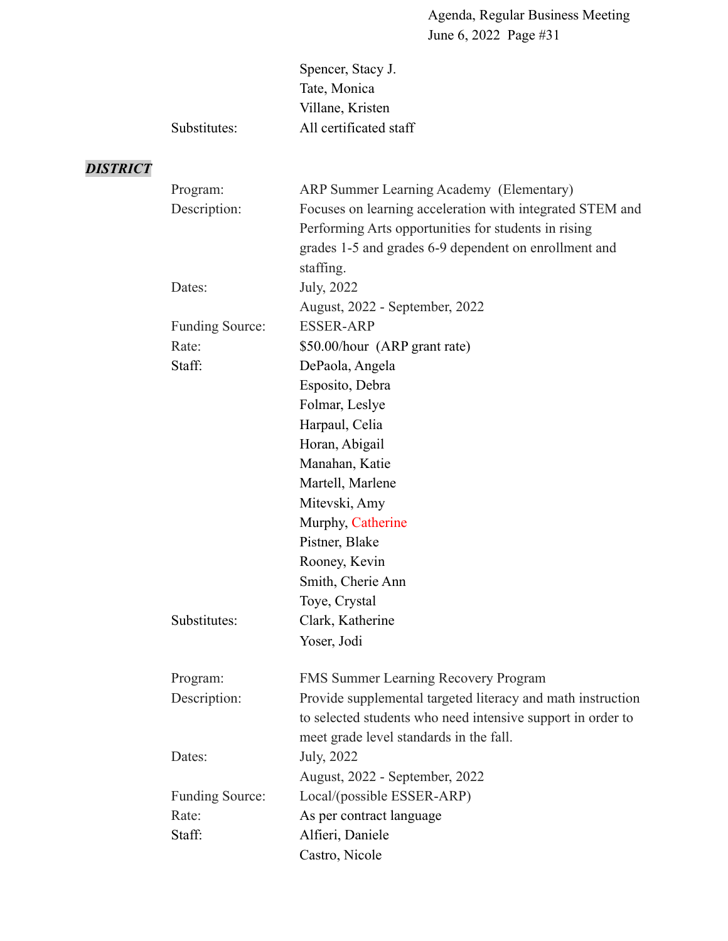|              | Spencer, Stacy J.      |
|--------------|------------------------|
|              | Tate, Monica           |
|              | Villane, Kristen       |
| Substitutes: | All certificated staff |
|              |                        |

# *DISTRICT*

| Program:               | ARP Summer Learning Academy (Elementary)                    |
|------------------------|-------------------------------------------------------------|
| Description:           | Focuses on learning acceleration with integrated STEM and   |
|                        | Performing Arts opportunities for students in rising        |
|                        | grades 1-5 and grades 6-9 dependent on enrollment and       |
|                        | staffing.                                                   |
| Dates:                 | July, 2022                                                  |
|                        | August, 2022 - September, 2022                              |
| <b>Funding Source:</b> | <b>ESSER-ARP</b>                                            |
| Rate:                  | \$50.00/hour (ARP grant rate)                               |
| Staff:                 | DePaola, Angela                                             |
|                        | Esposito, Debra                                             |
|                        | Folmar, Leslye                                              |
|                        | Harpaul, Celia                                              |
|                        | Horan, Abigail                                              |
|                        | Manahan, Katie                                              |
|                        | Martell, Marlene                                            |
|                        | Mitevski, Amy                                               |
|                        | Murphy, Catherine                                           |
|                        | Pistner, Blake                                              |
|                        | Rooney, Kevin                                               |
|                        | Smith, Cherie Ann                                           |
|                        | Toye, Crystal                                               |
| Substitutes:           | Clark, Katherine                                            |
|                        | Yoser, Jodi                                                 |
| Program:               | FMS Summer Learning Recovery Program                        |
| Description:           | Provide supplemental targeted literacy and math instruction |
|                        | to selected students who need intensive support in order to |
|                        | meet grade level standards in the fall.                     |
| Dates:                 | July, 2022                                                  |
|                        | August, 2022 - September, 2022                              |
| <b>Funding Source:</b> | Local/(possible ESSER-ARP)                                  |
| Rate:                  | As per contract language                                    |
| Staff:                 | Alfieri, Daniele                                            |
|                        | Castro, Nicole                                              |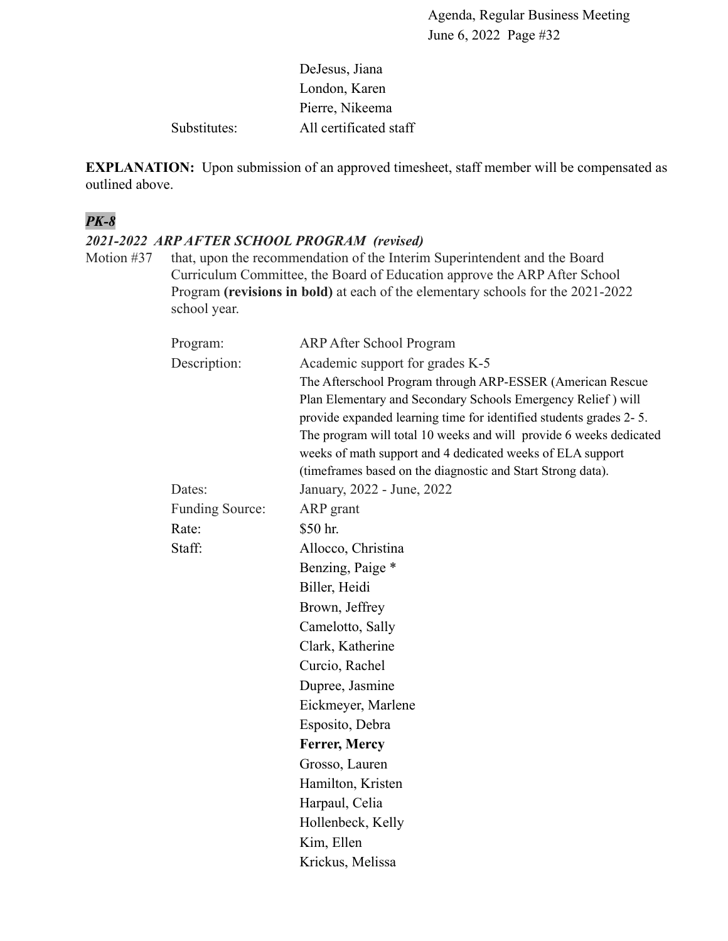### DeJesus, Jiana London, Karen Pierre, Nikeema Substitutes: All certificated staff

**EXPLANATION:** Upon submission of an approved timesheet, staff member will be compensated as outlined above.

### *PK-8*

### *2021-2022 ARP AFTER SCHOOL PROGRAM (revised)*

Motion #37 that, upon the recommendation of the Interim Superintendent and the Board Curriculum Committee, the Board of Education approve the ARP After School Program **(revisions in bold)** at each of the elementary schools for the 2021-2022 school year.

| Program:               | <b>ARP After School Program</b>                                                                                                  |
|------------------------|----------------------------------------------------------------------------------------------------------------------------------|
| Description:           | Academic support for grades K-5                                                                                                  |
|                        | The Afterschool Program through ARP-ESSER (American Rescue                                                                       |
|                        | Plan Elementary and Secondary Schools Emergency Relief) will                                                                     |
|                        | provide expanded learning time for identified students grades 2-5.                                                               |
|                        | The program will total 10 weeks and will provide 6 weeks dedicated<br>weeks of math support and 4 dedicated weeks of ELA support |
|                        | (timeframes based on the diagnostic and Start Strong data).                                                                      |
| Dates:                 | January, 2022 - June, 2022                                                                                                       |
| <b>Funding Source:</b> | ARP grant                                                                                                                        |
| Rate:                  | \$50 hr.                                                                                                                         |
| Staff:                 | Allocco, Christina                                                                                                               |
|                        | Benzing, Paige *                                                                                                                 |
|                        | Biller, Heidi                                                                                                                    |
|                        | Brown, Jeffrey                                                                                                                   |
|                        | Camelotto, Sally                                                                                                                 |
|                        | Clark, Katherine                                                                                                                 |
|                        | Curcio, Rachel                                                                                                                   |
|                        | Dupree, Jasmine                                                                                                                  |
|                        | Eickmeyer, Marlene                                                                                                               |
|                        | Esposito, Debra                                                                                                                  |
|                        | Ferrer, Mercy                                                                                                                    |
|                        | Grosso, Lauren                                                                                                                   |
|                        | Hamilton, Kristen                                                                                                                |
|                        | Harpaul, Celia                                                                                                                   |
|                        | Hollenbeck, Kelly                                                                                                                |
|                        | Kim, Ellen                                                                                                                       |
|                        | Krickus, Melissa                                                                                                                 |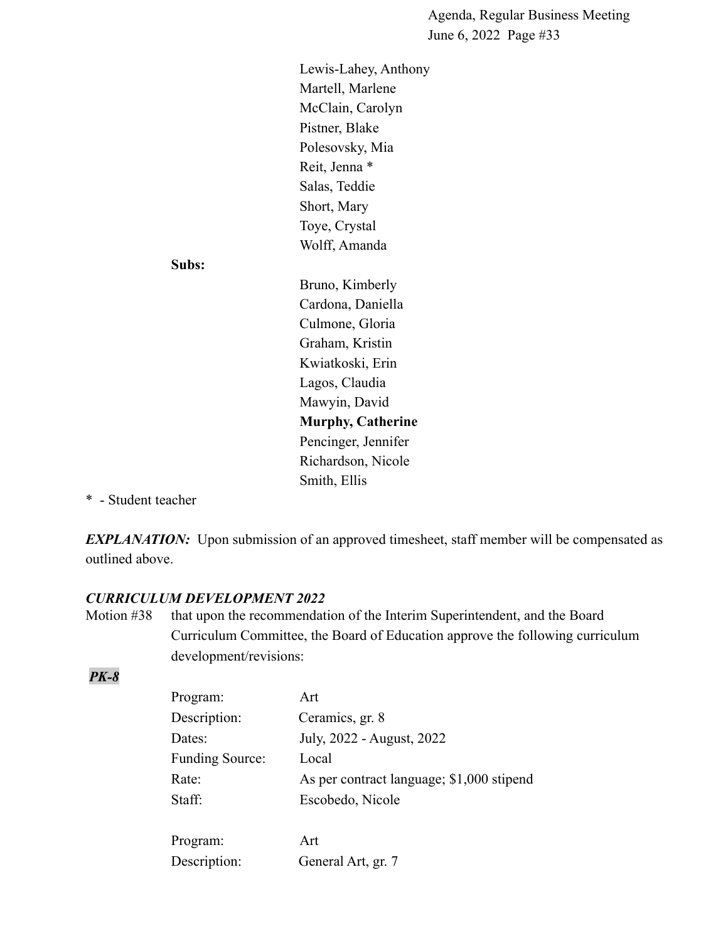Lewis-Lahey, Anthony Martell, Marlene McClain, Carolyn Pistner, Blake Polesovsky, Mia Reit, Jenna \* Salas, Teddie Short, Mary Toye, Crystal Wolff, Amanda

#### **Subs:**

Bruno, Kimberly Cardona, Daniella Culmone, Gloria Graham, Kristin Kwiatkoski, Erin Lagos, Claudia Mawyin, David **Murphy, Catherine** Pencinger, Jennifer Richardson, Nicole Smith, Ellis

\* - Student teacher

*EXPLANATION:* Upon submission of an approved timesheet, staff member will be compensated as outlined above.

### *CURRICULUM DEVELOPMENT 2022*

Motion #38 that upon the recommendation of the Interim Superintendent, and the Board Curriculum Committee, the Board of Education approve the following curriculum development/revisions:

#### *PK-8*

| Program:               | Art                                       |
|------------------------|-------------------------------------------|
| Description:           | Ceramics, gr. 8                           |
| Dates:                 | July, 2022 - August, 2022                 |
| <b>Funding Source:</b> | Local                                     |
| Rate:                  | As per contract language; \$1,000 stipend |
| Staff:                 | Escobedo, Nicole                          |
|                        |                                           |
| Program:               | Art                                       |
| Description:           | General Art, gr. 7                        |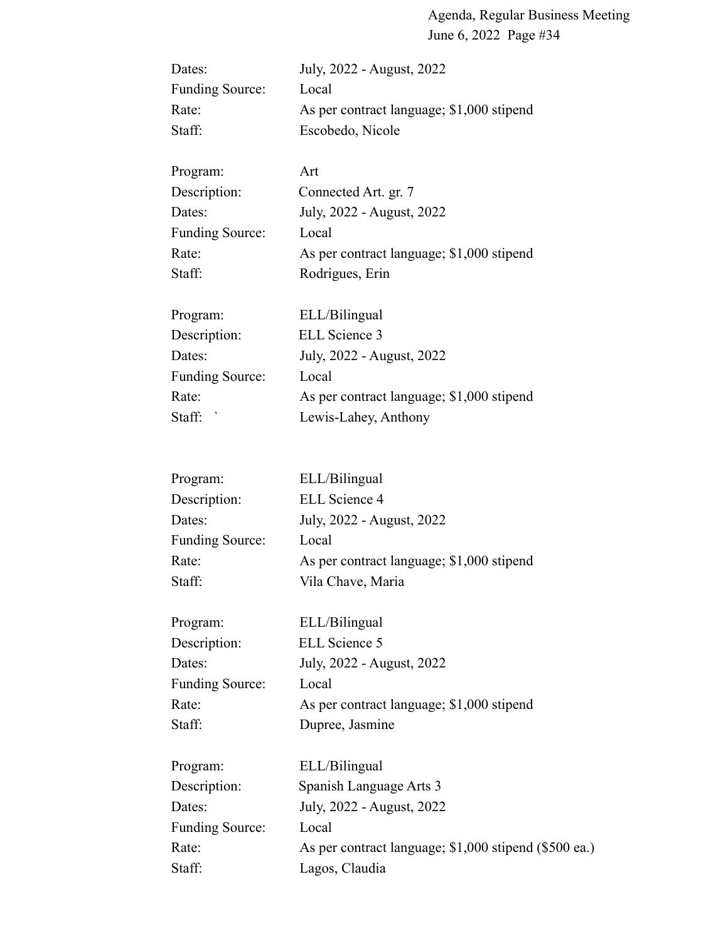| Dates:                 | July, 2022 - August, 2022                 |
|------------------------|-------------------------------------------|
| <b>Funding Source:</b> | Local                                     |
| Rate:                  | As per contract language; \$1,000 stipend |
| Staff:                 | Escobedo, Nicole                          |
| Program:               | Art                                       |
| Description:           | Connected Art. gr. 7                      |
| Dates:                 | July, 2022 - August, 2022                 |
| <b>Funding Source:</b> | Local                                     |
| Rate:                  | As per contract language; \$1,000 stipend |
| Staff:                 | Rodrigues, Erin                           |
| Program:               | ELL/Bilingual                             |
| Description:           | ELL Science 3                             |
| Dates:                 | July, 2022 - August, 2022                 |
| <b>Funding Source:</b> | Local                                     |
| Rate:                  | As per contract language; \$1,000 stipend |
| Staff:                 | Lewis-Lahey, Anthony                      |
|                        |                                           |
| Program:               | ELL/Bilingual                             |
| Description:           | <b>ELL Science 4</b>                      |
| Dates:                 | July, 2022 - August, 2022                 |
| <b>Funding Source:</b> | Local                                     |
| Rate:                  | As per contract language; \$1,000 stipend |
| Staff:                 | Vila Chave, Maria                         |
| Program:               | ELL/Bilingual                             |
| Description:           | ELL Science 5                             |
| Dates:                 | July, 2022 - August, 2022                 |
| <b>Funding Source:</b> | Local                                     |
| Rate:                  | As per contract language; \$1,000 stipend |
| Staff:                 | Dupree, Jasmine                           |
| Program:               | ELL/Bilingual                             |
| Description:           | Spanish Language Arts 3                   |
| Dates:                 | July, 2022 - August, 2022                 |
| <b>Funding Source:</b> | Local                                     |

Rate: As per contract language; \$1,000 stipend (\$500 ea.) Staff: Lagos, Claudia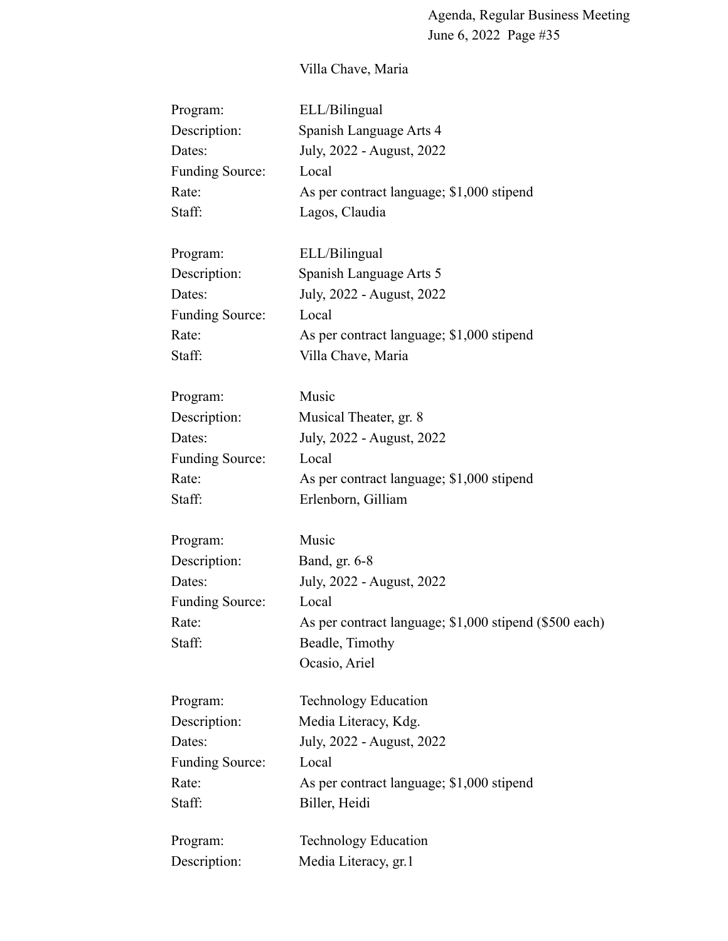# Villa Chave, Maria

| Program:               | ELL/Bilingual                                          |
|------------------------|--------------------------------------------------------|
| Description:           | Spanish Language Arts 4                                |
| Dates:                 | July, 2022 - August, 2022                              |
| <b>Funding Source:</b> | Local                                                  |
| Rate:                  | As per contract language; \$1,000 stipend              |
| Staff:                 | Lagos, Claudia                                         |
| Program:               | ELL/Bilingual                                          |
| Description:           | Spanish Language Arts 5                                |
| Dates:                 | July, 2022 - August, 2022                              |
| <b>Funding Source:</b> | Local                                                  |
| Rate:                  | As per contract language; \$1,000 stipend              |
| Staff:                 | Villa Chave, Maria                                     |
| Program:               | Music                                                  |
| Description:           | Musical Theater, gr. 8                                 |
| Dates:                 | July, 2022 - August, 2022                              |
| <b>Funding Source:</b> | Local                                                  |
| Rate:                  | As per contract language; \$1,000 stipend              |
| Staff:                 | Erlenborn, Gilliam                                     |
| Program:               | Music                                                  |
| Description:           | Band, gr. 6-8                                          |
| Dates:                 | July, 2022 - August, 2022                              |
| <b>Funding Source:</b> | Local                                                  |
| Rate:                  | As per contract language; \$1,000 stipend (\$500 each) |
| Staff:                 | Beadle, Timothy                                        |
|                        | Ocasio, Ariel                                          |
| Program:               | <b>Technology Education</b>                            |
| Description:           | Media Literacy, Kdg.                                   |
| Dates:                 | July, 2022 - August, 2022                              |
| <b>Funding Source:</b> | Local                                                  |
| Rate:                  | As per contract language; \$1,000 stipend              |
| Staff:                 | Biller, Heidi                                          |
| Program:               | <b>Technology Education</b>                            |
| Description:           | Media Literacy, gr.1                                   |
|                        |                                                        |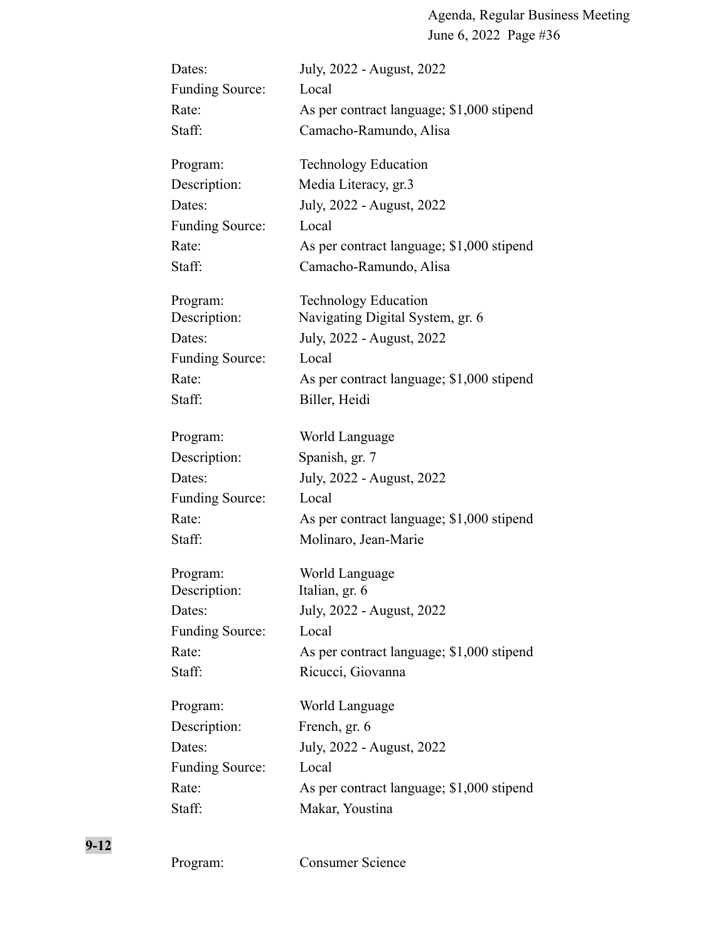| Dates:                 | July, 2022 - August, 2022                 |
|------------------------|-------------------------------------------|
| <b>Funding Source:</b> | Local                                     |
| Rate:                  | As per contract language; \$1,000 stipend |
| Staff:                 | Camacho-Ramundo, Alisa                    |
| Program:               | <b>Technology Education</b>               |
| Description:           | Media Literacy, gr.3                      |
| Dates:                 | July, 2022 - August, 2022                 |
| <b>Funding Source:</b> | Local                                     |
| Rate:                  | As per contract language; \$1,000 stipend |
| Staff:                 | Camacho-Ramundo, Alisa                    |
| Program:               | Technology Education                      |
| Description:           | Navigating Digital System, gr. 6          |
| Dates:                 | July, 2022 - August, 2022                 |
| <b>Funding Source:</b> | Local                                     |
| Rate:                  | As per contract language; \$1,000 stipend |
| Staff:                 | Biller, Heidi                             |
| Program:               | World Language                            |
| Description:           | Spanish, gr. 7                            |
| Dates:                 | July, 2022 - August, 2022                 |
| <b>Funding Source:</b> | Local                                     |
| Rate:                  | As per contract language; \$1,000 stipend |
| Staff:                 | Molinaro, Jean-Marie                      |
| Program:               | World Language                            |
| Description:           | Italian, gr. 6                            |
| Dates:                 | July, 2022 - August, 2022                 |
| <b>Funding Source:</b> | Local                                     |
| Rate:                  | As per contract language; \$1,000 stipend |
| Staff:                 | Ricucci, Giovanna                         |
| Program:               | World Language                            |
| Description:           | French, gr. 6                             |
| Dates:                 | July, 2022 - August, 2022                 |
| <b>Funding Source:</b> | Local                                     |
| Rate:                  | As per contract language; \$1,000 stipend |
| Staff:                 | Makar, Youstina                           |
|                        |                                           |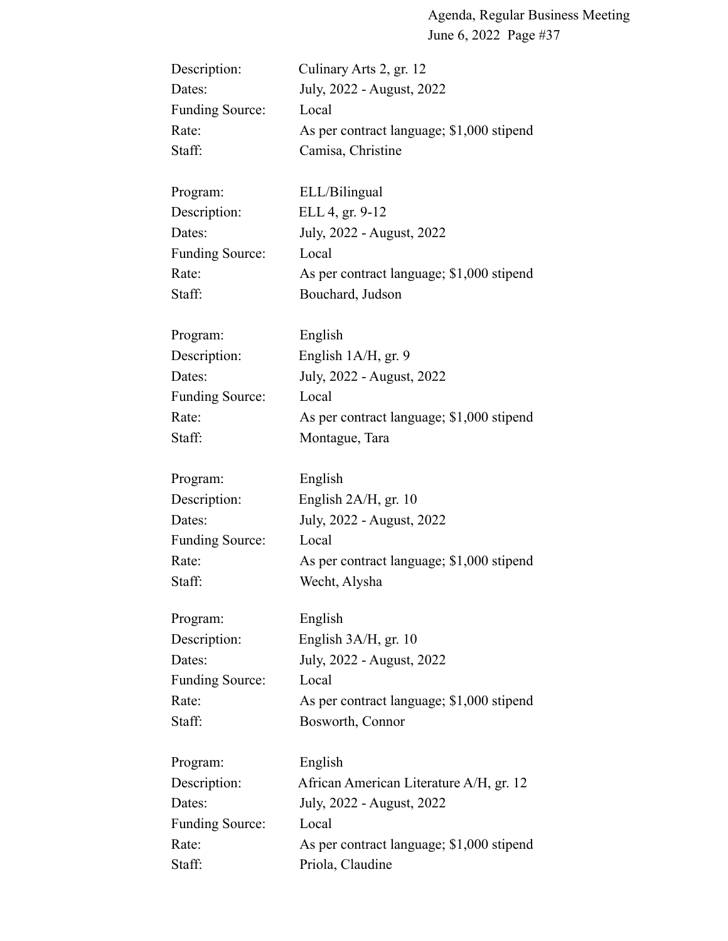| Description:           | Culinary Arts 2, gr. 12                   |
|------------------------|-------------------------------------------|
| Dates:                 | July, 2022 - August, 2022                 |
| <b>Funding Source:</b> | Local                                     |
| Rate:                  | As per contract language; \$1,000 stipend |
| Staff:                 | Camisa, Christine                         |
| Program:               | ELL/Bilingual                             |
| Description:           | ELL 4, gr. 9-12                           |
| Dates:                 | July, 2022 - August, 2022                 |
| <b>Funding Source:</b> | Local                                     |
| Rate:                  | As per contract language; \$1,000 stipend |
| Staff:                 | Bouchard, Judson                          |
| Program:               | English                                   |
| Description:           | English 1A/H, gr. 9                       |
| Dates:                 | July, 2022 - August, 2022                 |
| <b>Funding Source:</b> | Local                                     |
| Rate:                  | As per contract language; \$1,000 stipend |
| Staff:                 | Montague, Tara                            |
| Program:               | English                                   |
| Description:           | English 2A/H, gr. 10                      |
| Dates:                 | July, 2022 - August, 2022                 |
| <b>Funding Source:</b> | Local                                     |
| Rate:                  | As per contract language; \$1,000 stipend |
| Staff:                 | Wecht, Alysha                             |
| Program:               | English                                   |
| Description:           | English $3A/H$ , gr. 10                   |
| Dates:                 | July, 2022 - August, 2022                 |
| <b>Funding Source:</b> | Local                                     |
| Rate:                  | As per contract language; \$1,000 stipend |
| Staff:                 | Bosworth, Connor                          |
| Program:               | English                                   |
| Description:           | African American Literature A/H, gr. 12   |
| Dates:                 | July, 2022 - August, 2022                 |
| <b>Funding Source:</b> | Local                                     |
| Rate:                  | As per contract language; \$1,000 stipend |
| Staff:                 | Priola, Claudine                          |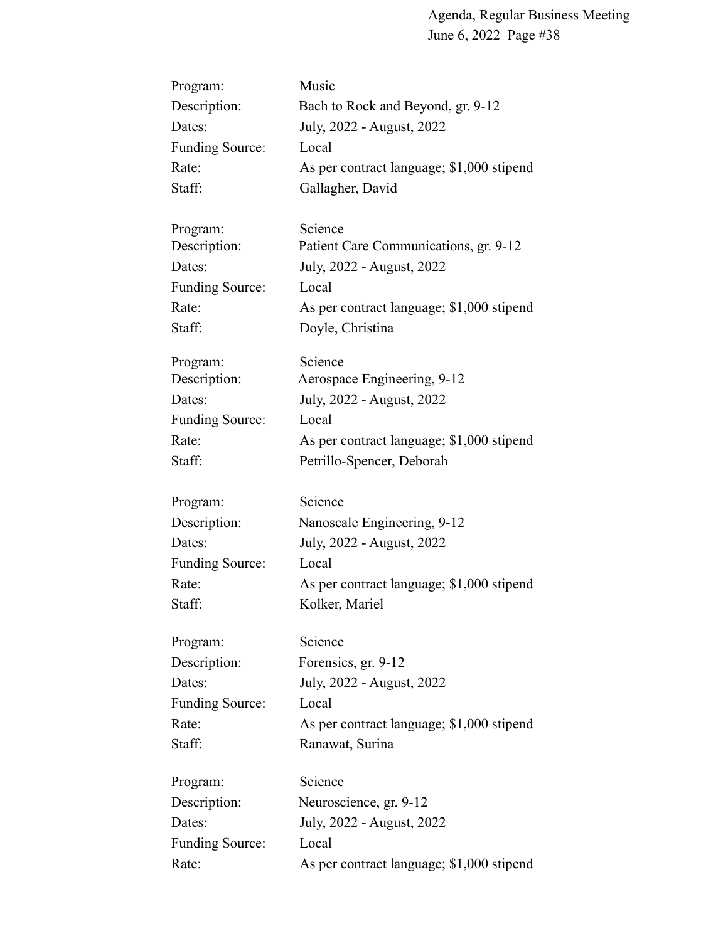| Program:               | Music                                     |
|------------------------|-------------------------------------------|
| Description:           | Bach to Rock and Beyond, gr. 9-12         |
| Dates:                 | July, 2022 - August, 2022                 |
| <b>Funding Source:</b> | Local                                     |
| Rate:                  | As per contract language; \$1,000 stipend |
| Staff:                 | Gallagher, David                          |
| Program:               | Science                                   |
| Description:           | Patient Care Communications, gr. 9-12     |
| Dates:                 | July, 2022 - August, 2022                 |
| <b>Funding Source:</b> | Local                                     |
| Rate:                  | As per contract language; \$1,000 stipend |
| Staff:                 | Doyle, Christina                          |
| Program:               | Science                                   |
| Description:           | Aerospace Engineering, 9-12               |
| Dates:                 | July, 2022 - August, 2022                 |
| <b>Funding Source:</b> | Local                                     |
| Rate:                  | As per contract language; \$1,000 stipend |
| Staff:                 | Petrillo-Spencer, Deborah                 |
| Program:               | Science                                   |
| Description:           | Nanoscale Engineering, 9-12               |
| Dates:                 | July, 2022 - August, 2022                 |
| <b>Funding Source:</b> | Local                                     |
| Rate:                  | As per contract language; \$1,000 stipend |
| Staff:                 | Kolker, Mariel                            |
| Program:               | Science                                   |
| Description:           | Forensics, gr. 9-12                       |
| Dates:                 | July, 2022 - August, 2022                 |
| <b>Funding Source:</b> | Local                                     |
| Rate:                  | As per contract language; \$1,000 stipend |
| Staff:                 | Ranawat, Surina                           |
| Program:               | Science                                   |
| Description:           | Neuroscience, gr. 9-12                    |
| Dates:                 | July, 2022 - August, 2022                 |
| <b>Funding Source:</b> | Local                                     |
| Rate:                  | As per contract language; \$1,000 stipend |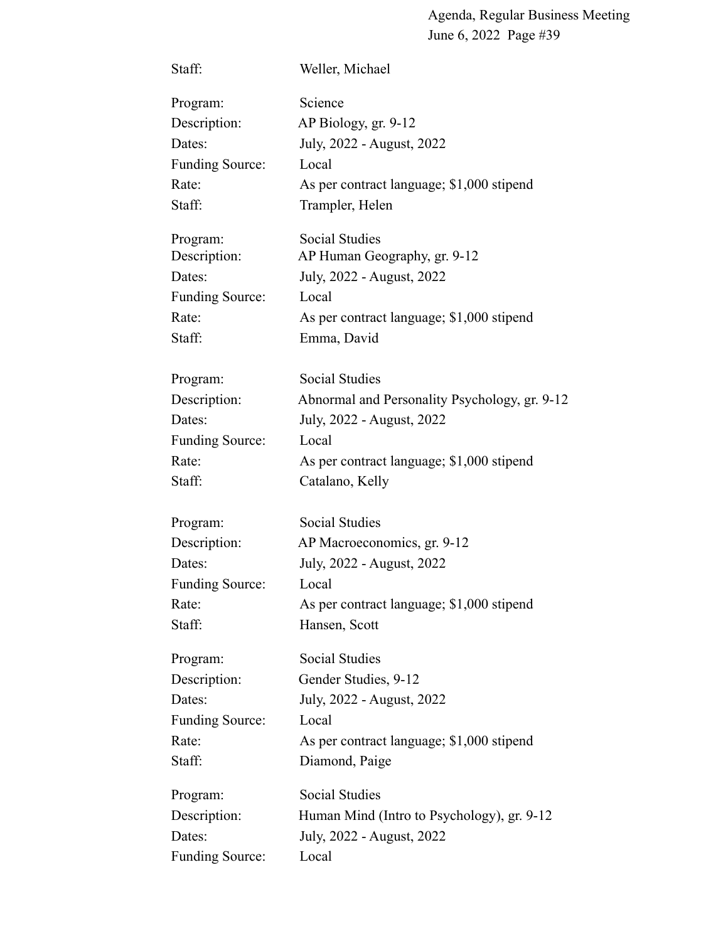| Staff:                 | Weller, Michael                               |
|------------------------|-----------------------------------------------|
| Program:               | Science                                       |
| Description:           | AP Biology, gr. 9-12                          |
| Dates:                 | July, 2022 - August, 2022                     |
| <b>Funding Source:</b> | Local                                         |
| Rate:                  | As per contract language; \$1,000 stipend     |
| Staff:                 | Trampler, Helen                               |
| Program:               | <b>Social Studies</b>                         |
| Description:           | AP Human Geography, gr. 9-12                  |
| Dates:                 | July, 2022 - August, 2022                     |
| <b>Funding Source:</b> | Local                                         |
| Rate:                  | As per contract language; \$1,000 stipend     |
| Staff:                 | Emma, David                                   |
| Program:               | <b>Social Studies</b>                         |
| Description:           | Abnormal and Personality Psychology, gr. 9-12 |
| Dates:                 | July, 2022 - August, 2022                     |
| <b>Funding Source:</b> | Local                                         |
| Rate:                  | As per contract language; \$1,000 stipend     |
| Staff:                 | Catalano, Kelly                               |
| Program:               | <b>Social Studies</b>                         |
| Description:           | AP Macroeconomics, gr. 9-12                   |
| Dates:                 | July, 2022 - August, 2022                     |
| <b>Funding Source:</b> | Local                                         |
| Rate:                  | As per contract language; \$1,000 stipend     |
| Staff:                 | Hansen, Scott                                 |
| Program:               | Social Studies                                |
| Description:           | Gender Studies, 9-12                          |
| Dates:                 | July, 2022 - August, 2022                     |
| <b>Funding Source:</b> | Local                                         |
| Rate:                  | As per contract language; \$1,000 stipend     |
| Staff:                 | Diamond, Paige                                |
| Program:               | <b>Social Studies</b>                         |
| Description:           | Human Mind (Intro to Psychology), gr. 9-12    |
| Dates:                 | July, 2022 - August, 2022                     |
| <b>Funding Source:</b> | Local                                         |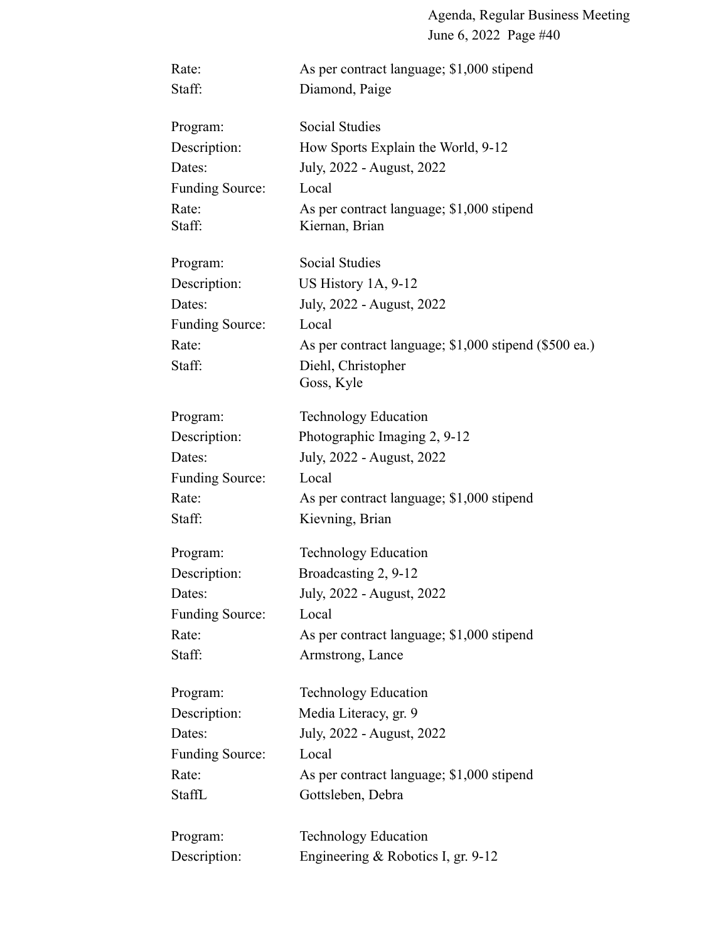| Rate:                  | As per contract language; \$1,000 stipend                   |
|------------------------|-------------------------------------------------------------|
| Staff:                 | Diamond, Paige                                              |
| Program:               | <b>Social Studies</b>                                       |
| Description:           | How Sports Explain the World, 9-12                          |
| Dates:                 | July, 2022 - August, 2022                                   |
| <b>Funding Source:</b> | Local                                                       |
| Rate:<br>Staff:        | As per contract language; \$1,000 stipend<br>Kiernan, Brian |
| Program:               | <b>Social Studies</b>                                       |
| Description:           | US History $1A$ , $9-12$                                    |
| Dates:                 | July, 2022 - August, 2022                                   |
| <b>Funding Source:</b> | Local                                                       |
| Rate:                  | As per contract language; \$1,000 stipend (\$500 ea.)       |
| Staff:                 | Diehl, Christopher<br>Goss, Kyle                            |
| Program:               | <b>Technology Education</b>                                 |
| Description:           | Photographic Imaging 2, 9-12                                |
| Dates:                 | July, 2022 - August, 2022                                   |
| <b>Funding Source:</b> | Local                                                       |
| Rate:                  | As per contract language; \$1,000 stipend                   |
| Staff:                 | Kievning, Brian                                             |
| Program:               | <b>Technology Education</b>                                 |
| Description:           | Broadcasting 2, 9-12                                        |
| Dates:                 | July, 2022 - August, 2022                                   |
| Funding Source:        | Local                                                       |
| Rate:                  | As per contract language; \$1,000 stipend                   |
| Staff:                 | Armstrong, Lance                                            |
| Program:               | <b>Technology Education</b>                                 |
| Description:           | Media Literacy, gr. 9                                       |
| Dates:                 | July, 2022 - August, 2022                                   |
| <b>Funding Source:</b> | Local                                                       |
| Rate:                  | As per contract language; \$1,000 stipend                   |
| StaffL                 | Gottsleben, Debra                                           |
| Program:               | <b>Technology Education</b>                                 |
| Description:           | Engineering & Robotics I, gr. 9-12                          |
|                        |                                                             |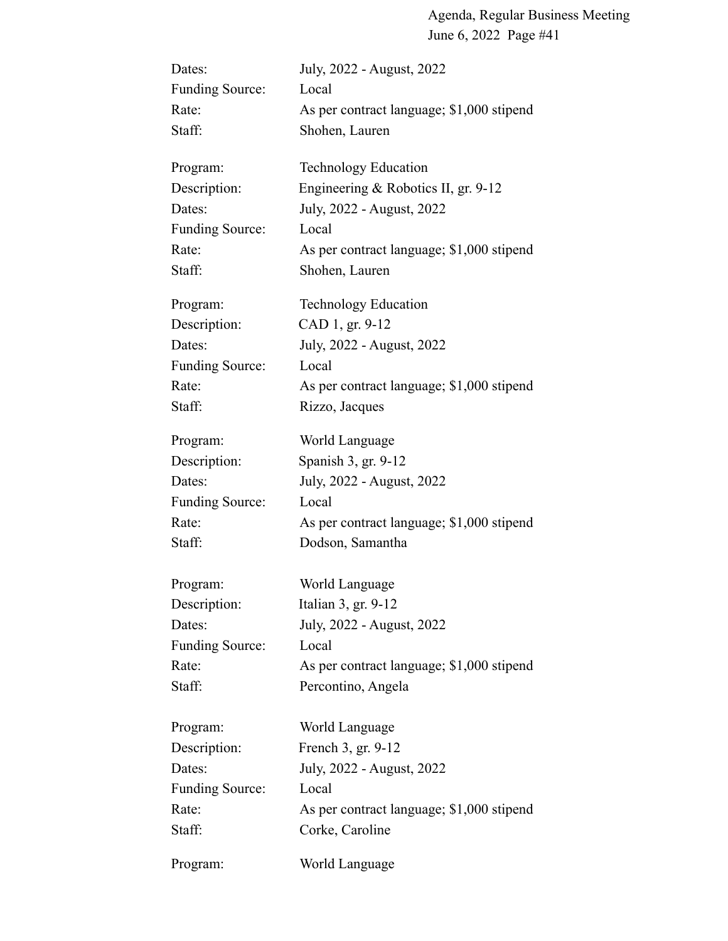| Dates:                 | July, 2022 - August, 2022                 |
|------------------------|-------------------------------------------|
| <b>Funding Source:</b> | Local                                     |
| Rate:                  | As per contract language; \$1,000 stipend |
| Staff:                 | Shohen, Lauren                            |
| Program:               | <b>Technology Education</b>               |
| Description:           | Engineering & Robotics II, gr. 9-12       |
| Dates:                 | July, 2022 - August, 2022                 |
| <b>Funding Source:</b> | Local                                     |
| Rate:                  | As per contract language; \$1,000 stipend |
| Staff:                 | Shohen, Lauren                            |
| Program:               | <b>Technology Education</b>               |
| Description:           | CAD 1, gr. 9-12                           |
| Dates:                 | July, 2022 - August, 2022                 |
| <b>Funding Source:</b> | Local                                     |
| Rate:                  | As per contract language; \$1,000 stipend |
| Staff:                 | Rizzo, Jacques                            |
| Program:               | World Language                            |
| Description:           | Spanish 3, gr. 9-12                       |
| Dates:                 | July, 2022 - August, 2022                 |
| <b>Funding Source:</b> | Local                                     |
| Rate:                  | As per contract language; \$1,000 stipend |
| Staff:                 | Dodson, Samantha                          |
| Program:               | World Language                            |
| Description:           | Italian 3, gr. 9-12                       |
| Dates:                 | July, 2022 - August, 2022                 |
| <b>Funding Source:</b> | Local                                     |
| Rate:                  | As per contract language; \$1,000 stipend |
| Staff:                 | Percontino, Angela                        |
| Program:               | World Language                            |
| Description:           | French 3, gr. 9-12                        |
| Dates:                 | July, 2022 - August, 2022                 |
| <b>Funding Source:</b> | Local                                     |
| Rate:                  | As per contract language; \$1,000 stipend |
| Staff:                 | Corke, Caroline                           |
| Program:               | World Language                            |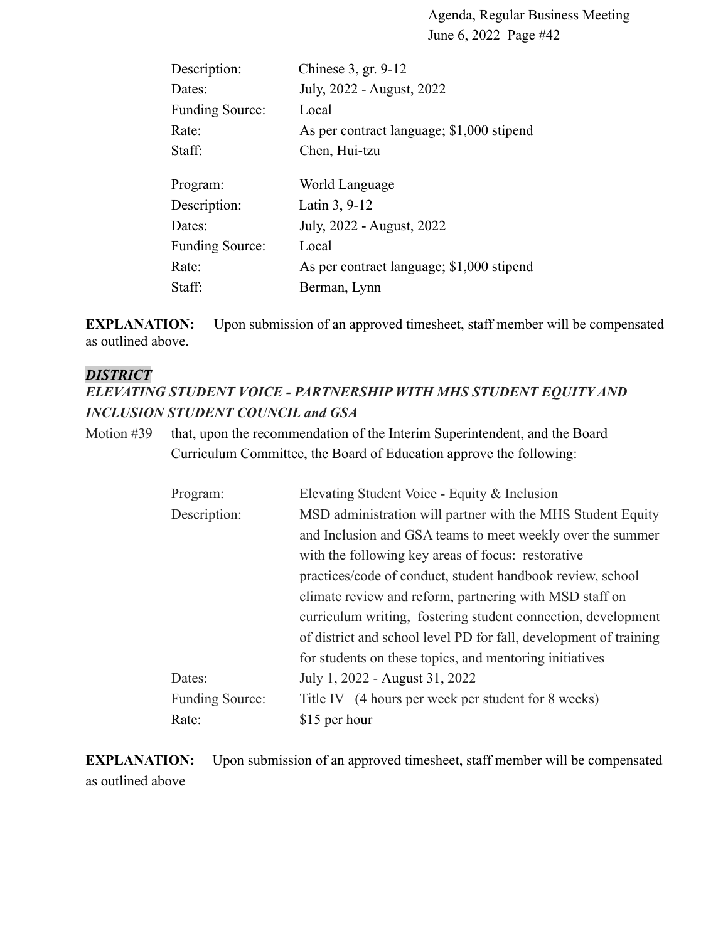| Chinese 3, gr. 9-12                       |
|-------------------------------------------|
| July, 2022 - August, 2022                 |
| Local                                     |
| As per contract language; \$1,000 stipend |
| Chen, Hui-tzu                             |
| World Language                            |
| Latin 3, 9-12                             |
| July, 2022 - August, 2022                 |
| Local                                     |
| As per contract language; \$1,000 stipend |
| Berman, Lynn                              |
|                                           |

**EXPLANATION:** Upon submission of an approved timesheet, staff member will be compensated as outlined above.

#### *DISTRICT*

## *ELEVATING STUDENT VOICE - PARTNERSHIP WITH MHS STUDENT EQUITY AND INCLUSION STUDENT COUNCIL and GSA*

Motion #39 that, upon the recommendation of the Interim Superintendent, and the Board Curriculum Committee, the Board of Education approve the following:

| Program:               | Elevating Student Voice - Equity & Inclusion                      |
|------------------------|-------------------------------------------------------------------|
| Description:           | MSD administration will partner with the MHS Student Equity       |
|                        | and Inclusion and GSA teams to meet weekly over the summer        |
|                        | with the following key areas of focus: restorative                |
|                        | practices/code of conduct, student handbook review, school        |
|                        | climate review and reform, partnering with MSD staff on           |
|                        | curriculum writing, fostering student connection, development     |
|                        | of district and school level PD for fall, development of training |
|                        | for students on these topics, and mentoring initiatives           |
| Dates:                 | July 1, 2022 - August 31, 2022                                    |
| <b>Funding Source:</b> | Title IV (4 hours per week per student for 8 weeks)               |
| Rate:                  | \$15 per hour                                                     |

**EXPLANATION:** Upon submission of an approved timesheet, staff member will be compensated as outlined above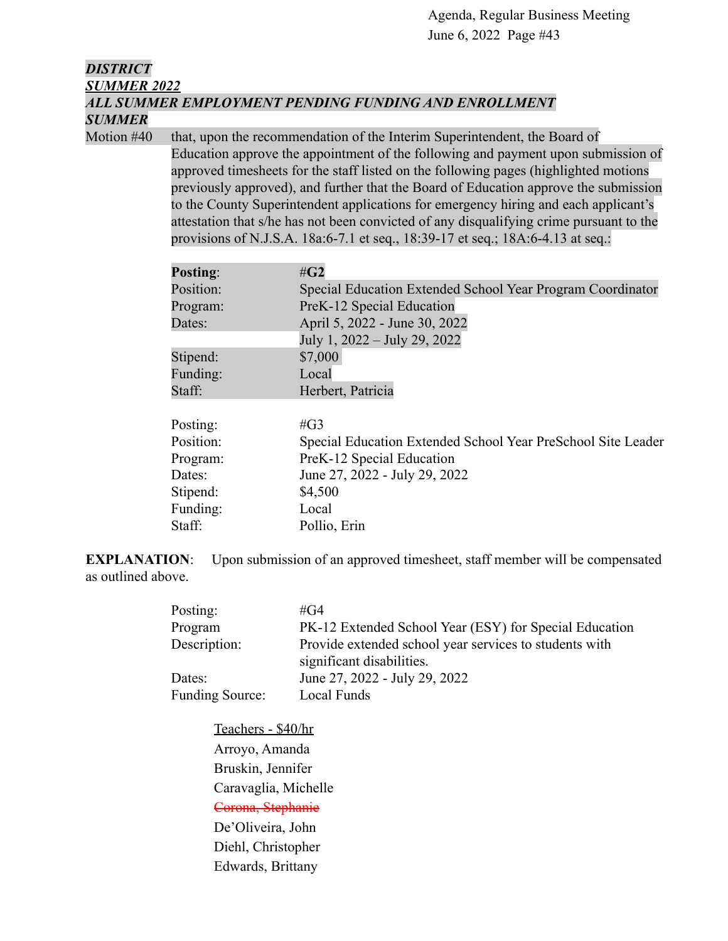## *DISTRICT SUMMER 2022 ALL SUMMER EMPLOYMENT PENDING FUNDING AND ENROLLMENT SUMMER*

Motion #40 that, upon the recommendation of the Interim Superintendent, the Board of Education approve the appointment of the following and payment upon submission of approved timesheets for the staff listed on the following pages (highlighted motions previously approved), and further that the Board of Education approve the submission to the County Superintendent applications for emergency hiring and each applicant's attestation that s/he has not been convicted of any disqualifying crime pursuant to the provisions of N.J.S.A. 18a:6-7.1 et seq., 18:39-17 et seq.; 18A:6-4.13 at seq.:

| $\#G2$                                                       |
|--------------------------------------------------------------|
| Special Education Extended School Year Program Coordinator   |
| PreK-12 Special Education                                    |
| April 5, 2022 - June 30, 2022                                |
| July 1, 2022 – July 29, 2022                                 |
| \$7,000                                                      |
| Local                                                        |
| Herbert, Patricia                                            |
| # $G3$                                                       |
| Special Education Extended School Year PreSchool Site Leader |
| PreK-12 Special Education                                    |
| June 27, 2022 - July 29, 2022                                |
| \$4,500                                                      |
| Local                                                        |
| Pollio, Erin                                                 |
|                                                              |

**EXPLANATION:** Upon submission of an approved timesheet, staff member will be compensated as outlined above.

| Posting:               | #G4                                                                                 |
|------------------------|-------------------------------------------------------------------------------------|
| Program                | PK-12 Extended School Year (ESY) for Special Education                              |
| Description:           | Provide extended school year services to students with<br>significant disabilities. |
| Dates:                 | June 27, 2022 - July 29, 2022                                                       |
| <b>Funding Source:</b> | Local Funds                                                                         |

Teachers - \$40/hr Arroyo, Amanda Bruskin, Jennifer Caravaglia, Michelle Corona, Stephanie De'Oliveira, John Diehl, Christopher Edwards, Brittany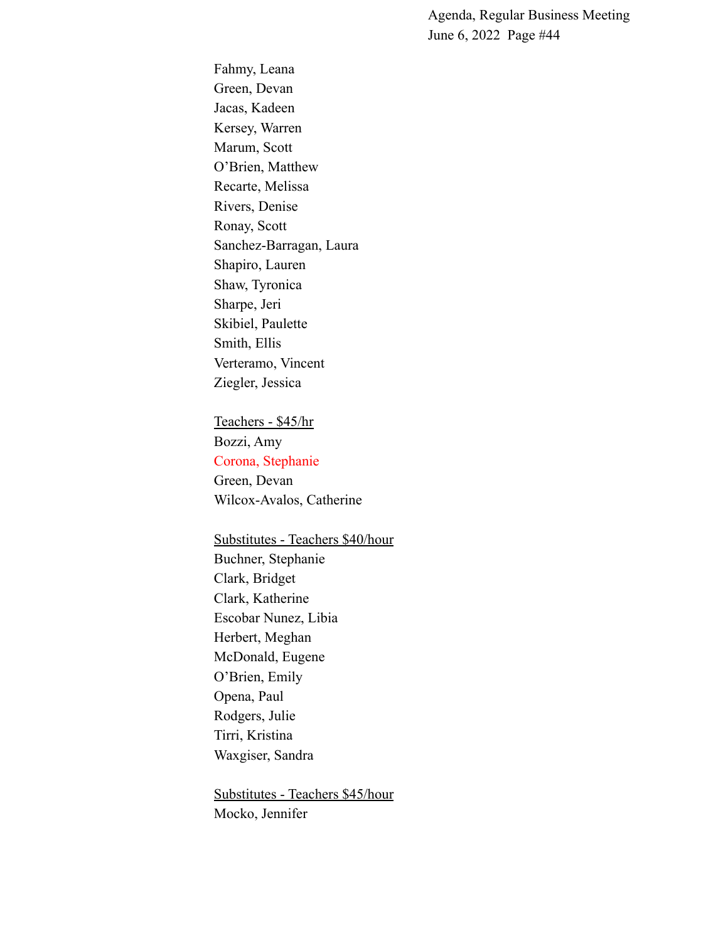Fahmy, Leana Green, Devan Jacas, Kadeen Kersey, Warren Marum, Scott O'Brien, Matthew Recarte, Melissa Rivers, Denise Ronay, Scott Sanchez-Barragan, Laura Shapiro, Lauren Shaw, Tyronica Sharpe, Jeri Skibiel, Paulette Smith, Ellis Verteramo, Vincent Ziegler, Jessica

Teachers - \$45/hr Bozzi, Amy Corona, Stephanie Green, Devan Wilcox-Avalos, Catherine

Substitutes - Teachers \$40/hour Buchner, Stephanie Clark, Bridget Clark, Katherine Escobar Nunez, Libia Herbert, Meghan McDonald, Eugene O'Brien, Emily Opena, Paul Rodgers, Julie Tirri, Kristina Waxgiser, Sandra

Substitutes - Teachers \$45/hour Mocko, Jennifer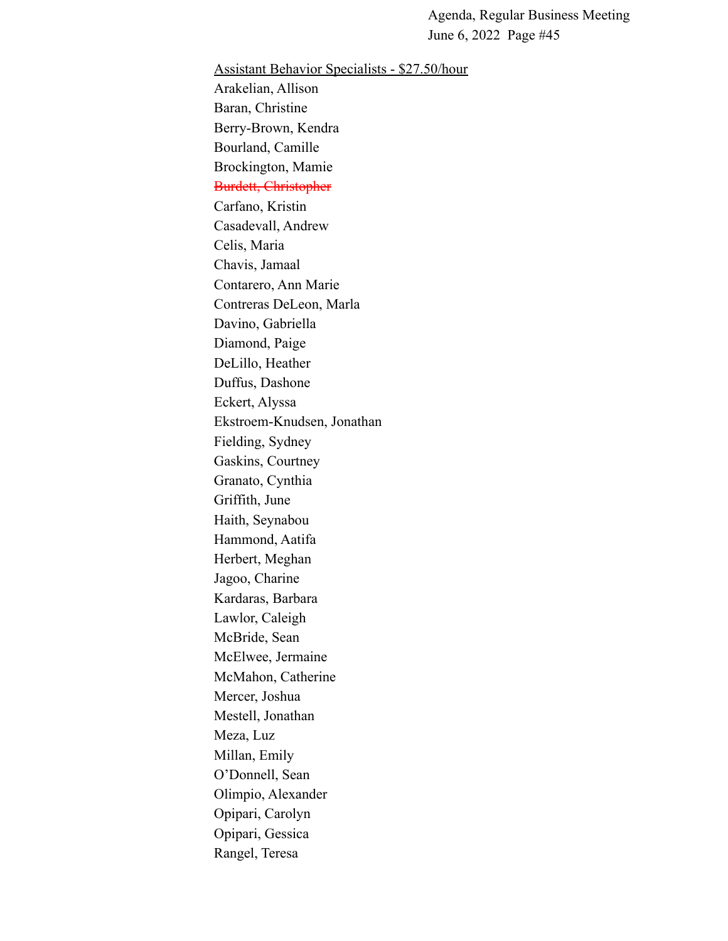Assistant Behavior Specialists - \$27.50/hour Arakelian, Allison Baran, Christine Berry-Brown, Kendra Bourland, Camille Brockington, Mamie Burdett, Christopher Carfano, Kristin Casadevall, Andrew Celis, Maria Chavis, Jamaal Contarero, Ann Marie Contreras DeLeon, Marla Davino, Gabriella Diamond, Paige DeLillo, Heather Duffus, Dashone Eckert, Alyssa Ekstroem-Knudsen, Jonathan Fielding, Sydney Gaskins, Courtney Granato, Cynthia Griffith, June Haith, Seynabou Hammond, Aatifa Herbert, Meghan Jagoo, Charine Kardaras, Barbara Lawlor, Caleigh McBride, Sean McElwee, Jermaine McMahon, Catherine Mercer, Joshua Mestell, Jonathan Meza, Luz Millan, Emily O'Donnell, Sean Olimpio, Alexander Opipari, Carolyn Opipari, Gessica Rangel, Teresa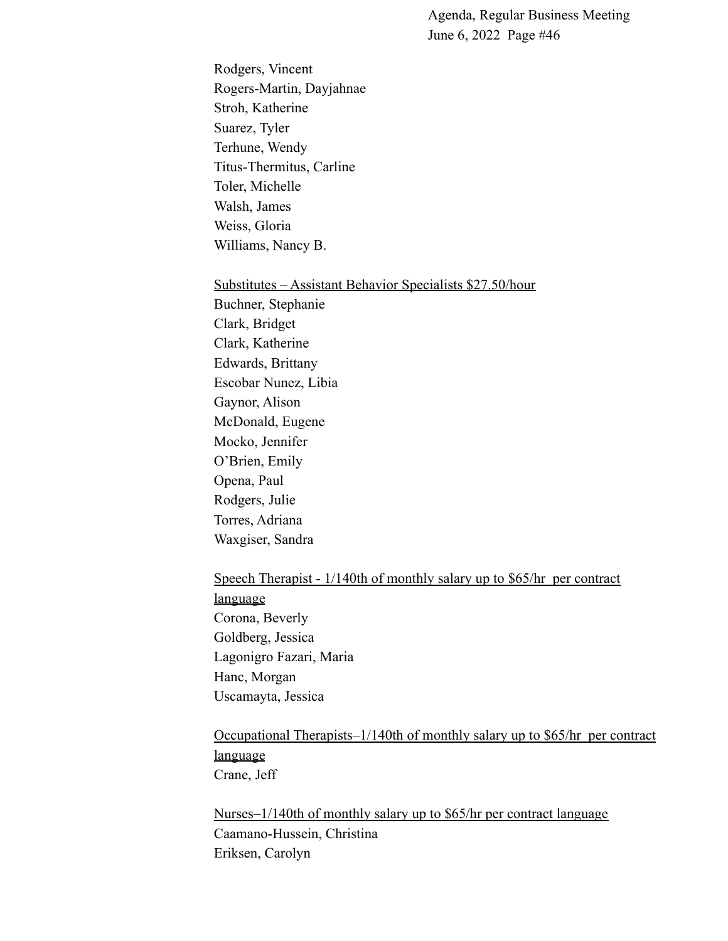Rodgers, Vincent Rogers-Martin, Dayjahnae Stroh, Katherine Suarez, Tyler Terhune, Wendy Titus-Thermitus, Carline Toler, Michelle Walsh, James Weiss, Gloria Williams, Nancy B.

#### Substitutes – Assistant Behavior Specialists \$27.50/hour

Buchner, Stephanie Clark, Bridget Clark, Katherine Edwards, Brittany Escobar Nunez, Libia Gaynor, Alison McDonald, Eugene Mocko, Jennifer O'Brien, Emily Opena, Paul Rodgers, Julie Torres, Adriana Waxgiser, Sandra

# Speech Therapist - 1/140th of monthly salary up to \$65/hr per contract language Corona, Beverly Goldberg, Jessica

Lagonigro Fazari, Maria Hanc, Morgan Uscamayta, Jessica

Occupational Therapists–1/140th of monthly salary up to \$65/hr per contract language Crane, Jeff

Nurses–1/140th of monthly salary up to \$65/hr per contract language Caamano-Hussein, Christina Eriksen, Carolyn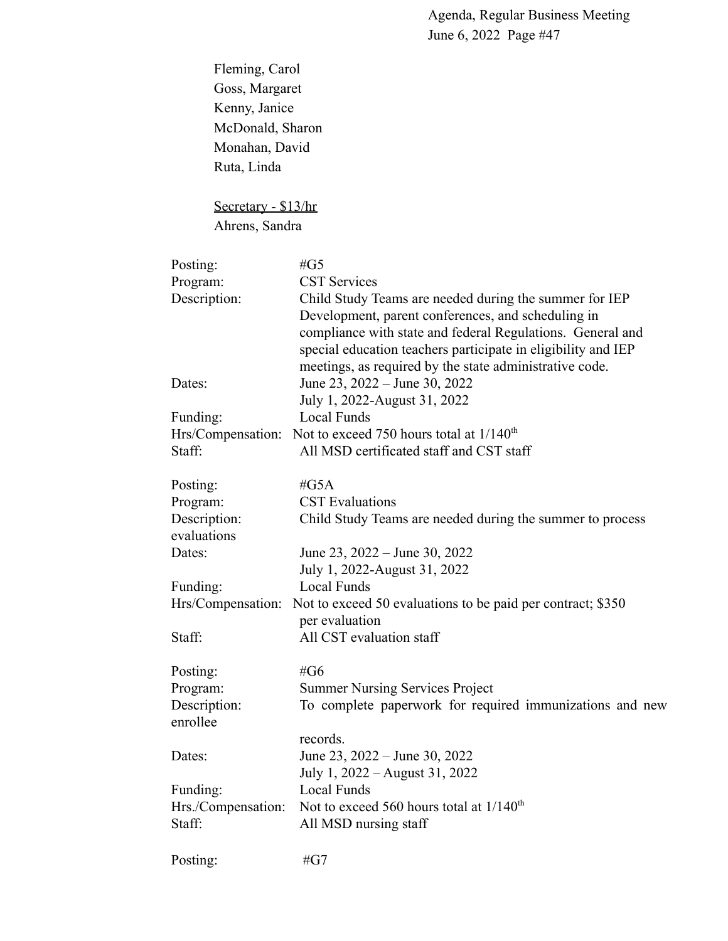Fleming, Carol Goss, Margaret Kenny, Janice McDonald, Sharon Monahan, David Ruta, Linda

## Secretary - \$13/hr Ahrens, Sandra

| Posting:                    | # $G5$                                                                                                                                                                                                                                                                                                 |
|-----------------------------|--------------------------------------------------------------------------------------------------------------------------------------------------------------------------------------------------------------------------------------------------------------------------------------------------------|
| Program:                    | <b>CST Services</b>                                                                                                                                                                                                                                                                                    |
| Description:                | Child Study Teams are needed during the summer for IEP<br>Development, parent conferences, and scheduling in<br>compliance with state and federal Regulations. General and<br>special education teachers participate in eligibility and IEP<br>meetings, as required by the state administrative code. |
| Dates:                      | June 23, 2022 – June 30, 2022<br>July 1, 2022-August 31, 2022                                                                                                                                                                                                                                          |
| Funding:                    | Local Funds                                                                                                                                                                                                                                                                                            |
| Hrs/Compensation:           | Not to exceed 750 hours total at $1/140^{th}$                                                                                                                                                                                                                                                          |
| Staff:                      | All MSD certificated staff and CST staff                                                                                                                                                                                                                                                               |
| Posting:                    | # $G5A$                                                                                                                                                                                                                                                                                                |
| Program:                    | <b>CST</b> Evaluations                                                                                                                                                                                                                                                                                 |
| Description:<br>evaluations | Child Study Teams are needed during the summer to process                                                                                                                                                                                                                                              |
| Dates:                      | June 23, 2022 – June 30, 2022                                                                                                                                                                                                                                                                          |
|                             | July 1, 2022-August 31, 2022                                                                                                                                                                                                                                                                           |
| Funding:                    | <b>Local Funds</b>                                                                                                                                                                                                                                                                                     |
| Hrs/Compensation:           | Not to exceed 50 evaluations to be paid per contract; \$350<br>per evaluation                                                                                                                                                                                                                          |
| Staff:                      | All CST evaluation staff                                                                                                                                                                                                                                                                               |
| Posting:                    | #G6                                                                                                                                                                                                                                                                                                    |
| Program:                    | <b>Summer Nursing Services Project</b>                                                                                                                                                                                                                                                                 |
| Description:<br>enrollee    | To complete paperwork for required immunizations and new                                                                                                                                                                                                                                               |
| Dates:                      | records.<br>June 23, 2022 – June 30, 2022<br>July 1, 2022 – August 31, 2022                                                                                                                                                                                                                            |
| Funding:                    | <b>Local Funds</b>                                                                                                                                                                                                                                                                                     |
| Hrs./Compensation:          | Not to exceed 560 hours total at 1/140 <sup>th</sup>                                                                                                                                                                                                                                                   |
| Staff:                      | All MSD nursing staff                                                                                                                                                                                                                                                                                  |
| Posting:                    | # $G7$                                                                                                                                                                                                                                                                                                 |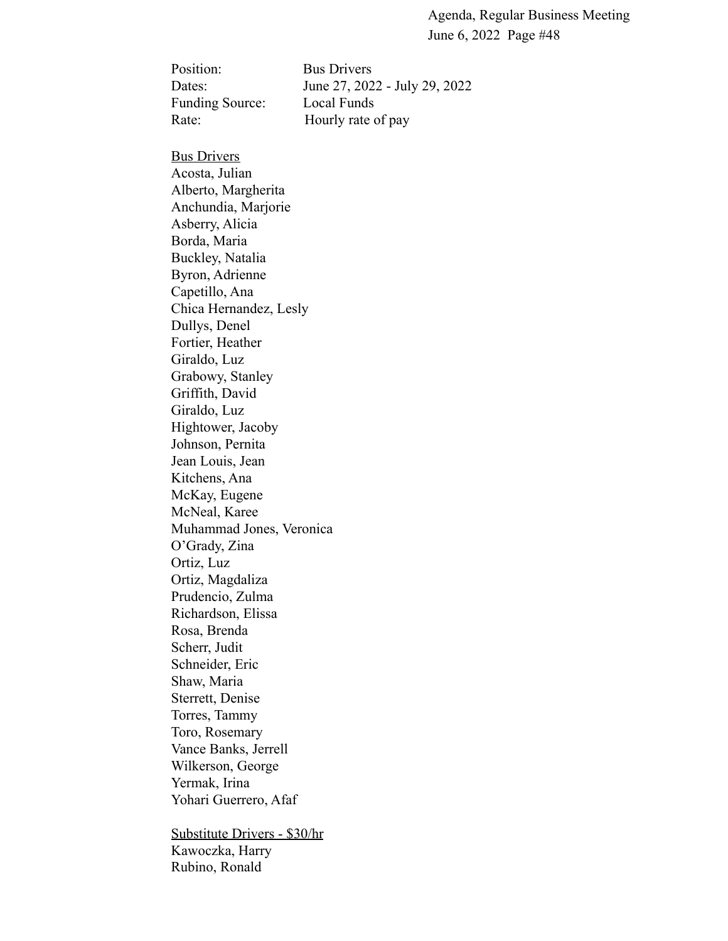Position: Bus Drivers Funding Source: Local Funds

Dates: June 27, 2022 - July 29, 2022 Rate: Hourly rate of pay

#### **Bus Drivers**

Acosta, Julian Alberto, Margherita Anchundia, Marjorie Asberry, Alicia Borda, Maria Buckley, Natalia Byron, Adrienne Capetillo, Ana Chica Hernandez, Lesly Dullys, Denel Fortier, Heather Giraldo, Luz Grabowy, Stanley Griffith, David Giraldo, Luz Hightower, Jacoby Johnson, Pernita Jean Louis, Jean Kitchens, Ana McKay, Eugene McNeal, Karee Muhammad Jones, Veronica O'Grady, Zina Ortiz, Luz Ortiz, Magdaliza Prudencio, Zulma Richardson, Elissa Rosa, Brenda Scherr, Judit Schneider, Eric Shaw, Maria Sterrett, Denise Torres, Tammy Toro, Rosemary Vance Banks, Jerrell Wilkerson, George Yermak, Irina Yohari Guerrero, Afaf

Substitute Drivers - \$30/hr Kawoczka, Harry Rubino, Ronald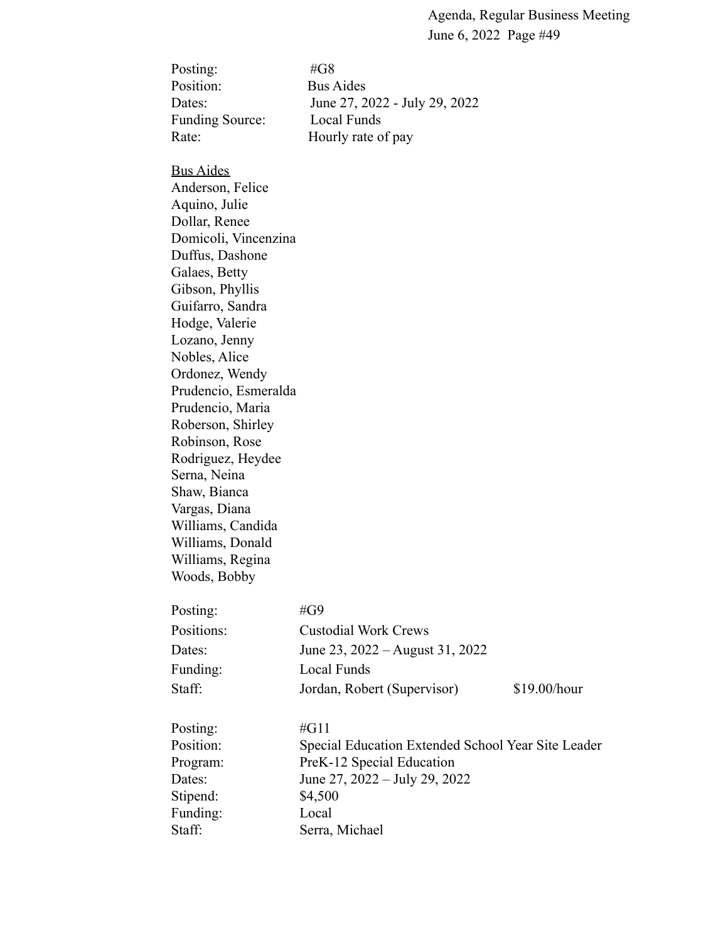| # $G8$                        |
|-------------------------------|
| <b>Bus Aides</b>              |
| June 27, 2022 - July 29, 2022 |
| Local Funds                   |
| Hourly rate of pay            |
|                               |

Bus Aides Anderson, Felice

Aquino, Julie Dollar, Renee Domicoli, Vincenzina Duffus, Dashone Galaes, Betty Gibson, Phyllis Guifarro, Sandra Hodge, Valerie Lozano, Jenny Nobles, Alice Ordonez, Wendy Prudencio, Esmeralda Prudencio, Maria Roberson, Shirley Robinson, Rose Rodriguez, Heydee Serna, Neina Shaw, Bianca Vargas, Diana Williams, Candida Williams, Donald Williams, Regina Woods, Bobby

| Posting:   | #G9                               |              |
|------------|-----------------------------------|--------------|
| Positions: | <b>Custodial Work Crews</b>       |              |
| Dates:     | June 23, $2022 -$ August 31, 2022 |              |
| Funding:   | Local Funds                       |              |
| Staff:     | Jordan, Robert (Supervisor)       | \$19.00/hour |

| Posting:  | #G11                                               |
|-----------|----------------------------------------------------|
| Position: | Special Education Extended School Year Site Leader |
| Program:  | PreK-12 Special Education                          |
| Dates:    | June 27, $2022 - \text{July } 29$ , $2022$         |
| Stipend:  | \$4,500                                            |
| Funding:  | Local                                              |
| Staff:    | Serra, Michael                                     |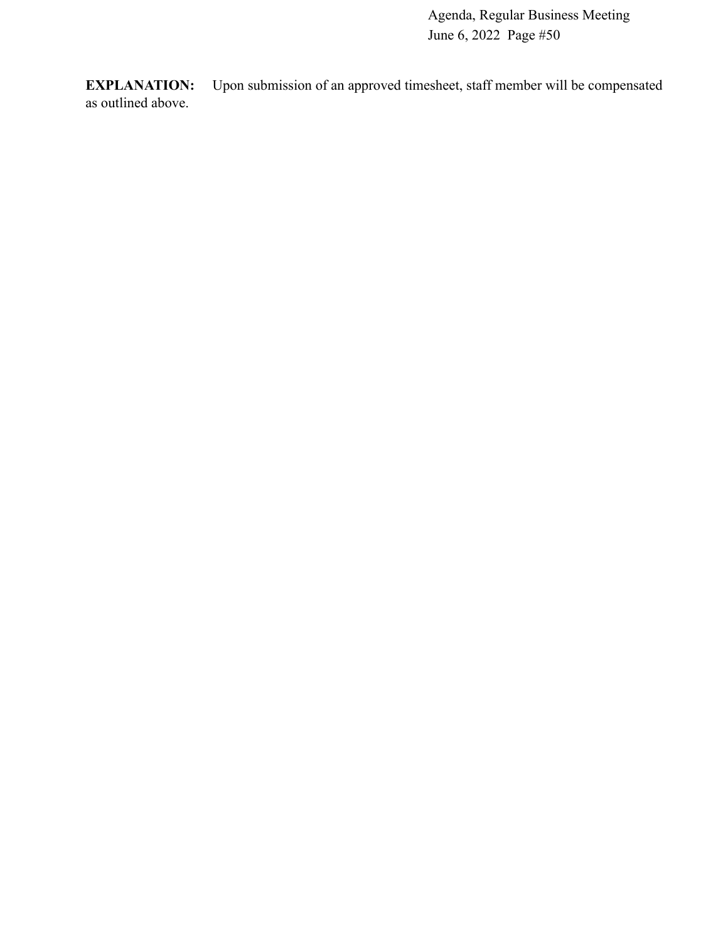**EXPLANATION:** Upon submission of an approved timesheet, staff member will be compensated as outlined above.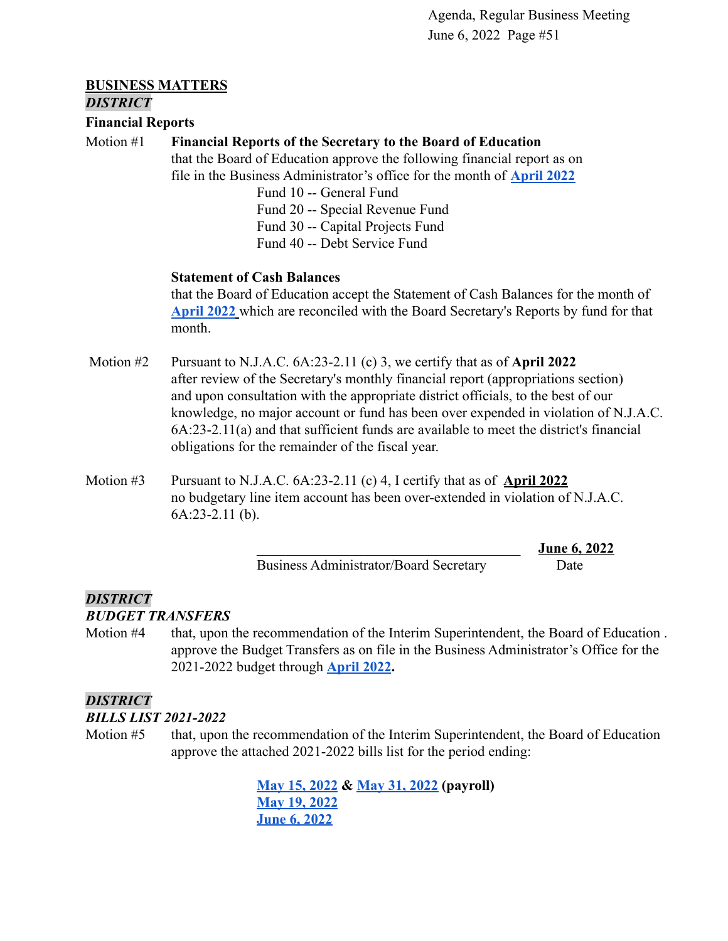#### **BUSINESS MATTERS** *DISTRICT*

#### **Financial Reports**

#### Motion #1 **Financial Reports of the Secretary to the Board of Education**

that the Board of Education approve the following financial report as on file in the Business Administrator's office for the month of **[April 2022](https://drive.google.com/file/d/1qdL1AWkmI7VTNzO3ZfP_k9M5vn76Mxhz/view?usp=sharing)**

Fund 10 -- General Fund Fund 20 -- Special Revenue Fund Fund 30 -- Capital Projects Fund Fund 40 -- Debt Service Fund

#### **Statement of Cash Balances**

that the Board of Education accept the Statement of Cash Balances for the month of **[April 2022](https://drive.google.com/file/d/1uPYBpOUcOt02qIJ0fYEK-pXdZgkvJi8N/view?usp=sharing)** which are reconciled with the Board Secretary's Reports by fund for that month.

- Motion #2 Pursuant to N.J.A.C. 6A:23-2.11 (c) 3, we certify that as of **April 2022** after review of the Secretary's monthly financial report (appropriations section) and upon consultation with the appropriate district officials, to the best of our knowledge, no major account or fund has been over expended in violation of N.J.A.C. 6A:23-2.11(a) and that sufficient funds are available to meet the district's financial obligations for the remainder of the fiscal year.
- Motion #3 Pursuant to N.J.A.C. 6A:23-2.11 (c) 4, I certify that as of **April 2022** no budgetary line item account has been over-extended in violation of N.J.A.C. 6A:23-2.11 (b).

Business Administrator/Board Secretary Date

\_\_\_\_\_\_\_\_\_\_\_\_\_\_\_\_\_\_\_\_\_\_\_\_\_\_\_\_\_\_\_\_\_\_\_\_\_ **June 6, 2022**

#### *DISTRICT*

#### *BUDGET TRANSFERS*

Motion #4 that, upon the recommendation of the Interim Superintendent, the Board of Education . approve the Budget Transfers as on file in the Business Administrator's Office for the 2021-2022 budget through **[April 2022](https://drive.google.com/file/d/1tKJ2oHLn4-piqlJYHWyJbuDQ18SGbpK0/view?usp=sharing).**

#### *DISTRICT*

#### *BILLS LIST 2021-2022*

Motion #5 that, upon the recommendation of the Interim Superintendent, the Board of Education approve the attached 2021-2022 bills list for the period ending:

> **[May 15, 2022](https://drive.google.com/file/d/1160tmdfhd07dnBc-z8E94sL1WTdzOhO-/view?usp=sharing) & [May 31, 2022](https://drive.google.com/file/d/12G7xIe1UAnjSBhd4DKeUlw9guvtWQaJs/view?usp=sharing) (payroll) [May 19, 2022](https://drive.google.com/file/d/1HdO7pdHYwUdch4ibpwvfRBb1CPNZdUes/view?usp=sharing) [June 6, 2022](https://drive.google.com/file/d/1XTkl_8TW-b39PZjim5eCYVcR5gS2zC6t/view?usp=sharing)**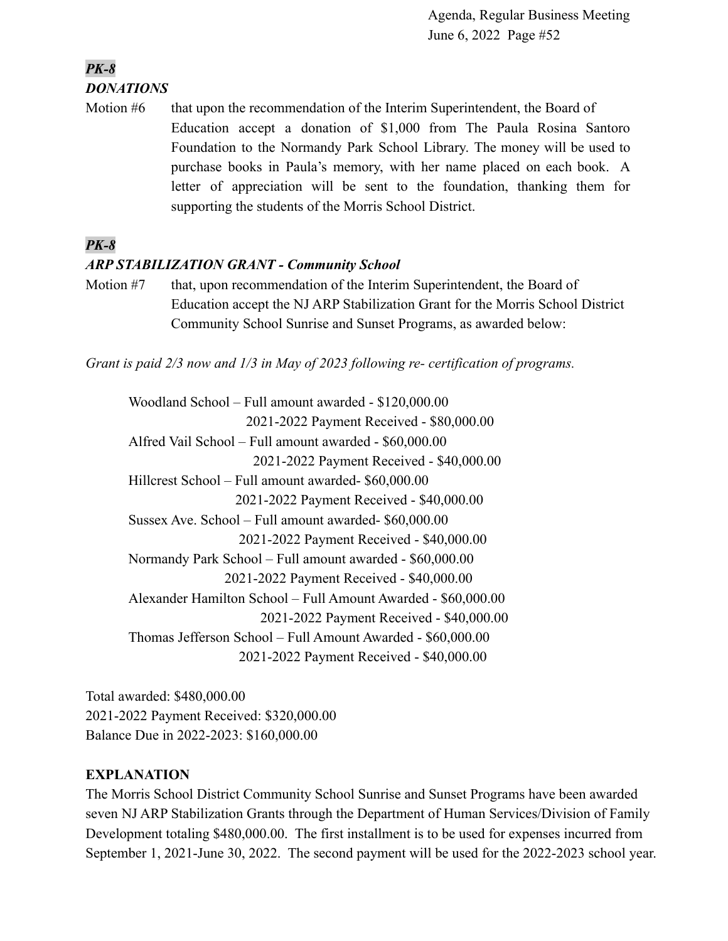## *PK-8 DONATIONS*

Motion #6 that upon the recommendation of the Interim Superintendent, the Board of Education accept a donation of \$1,000 from The Paula Rosina Santoro Foundation to the Normandy Park School Library. The money will be used to purchase books in Paula's memory, with her name placed on each book. A letter of appreciation will be sent to the foundation, thanking them for supporting the students of the Morris School District.

## *PK-8*

## *ARP STABILIZATION GRANT - Community School*

Motion #7 that, upon recommendation of the Interim Superintendent, the Board of Education accept the NJ ARP Stabilization Grant for the Morris School District Community School Sunrise and Sunset Programs, as awarded below:

*Grant is paid 2/3 now and 1/3 in May of 2023 following re- certification of programs.*

Woodland School – Full amount awarded - \$120,000.00 2021-2022 Payment Received - \$80,000.00 Alfred Vail School – Full amount awarded - \$60,000.00 2021-2022 Payment Received - \$40,000.00 Hillcrest School – Full amount awarded- \$60,000.00 2021-2022 Payment Received - \$40,000.00 Sussex Ave. School – Full amount awarded- \$60,000.00 2021-2022 Payment Received - \$40,000.00 Normandy Park School – Full amount awarded - \$60,000.00 2021-2022 Payment Received - \$40,000.00 Alexander Hamilton School – Full Amount Awarded - \$60,000.00 2021-2022 Payment Received - \$40,000.00 Thomas Jefferson School – Full Amount Awarded - \$60,000.00 2021-2022 Payment Received - \$40,000.00

Total awarded: \$480,000.00 2021-2022 Payment Received: \$320,000.00 Balance Due in 2022-2023: \$160,000.00

## **EXPLANATION**

The Morris School District Community School Sunrise and Sunset Programs have been awarded seven NJ ARP Stabilization Grants through the Department of Human Services/Division of Family Development totaling \$480,000.00. The first installment is to be used for expenses incurred from September 1, 2021-June 30, 2022. The second payment will be used for the 2022-2023 school year.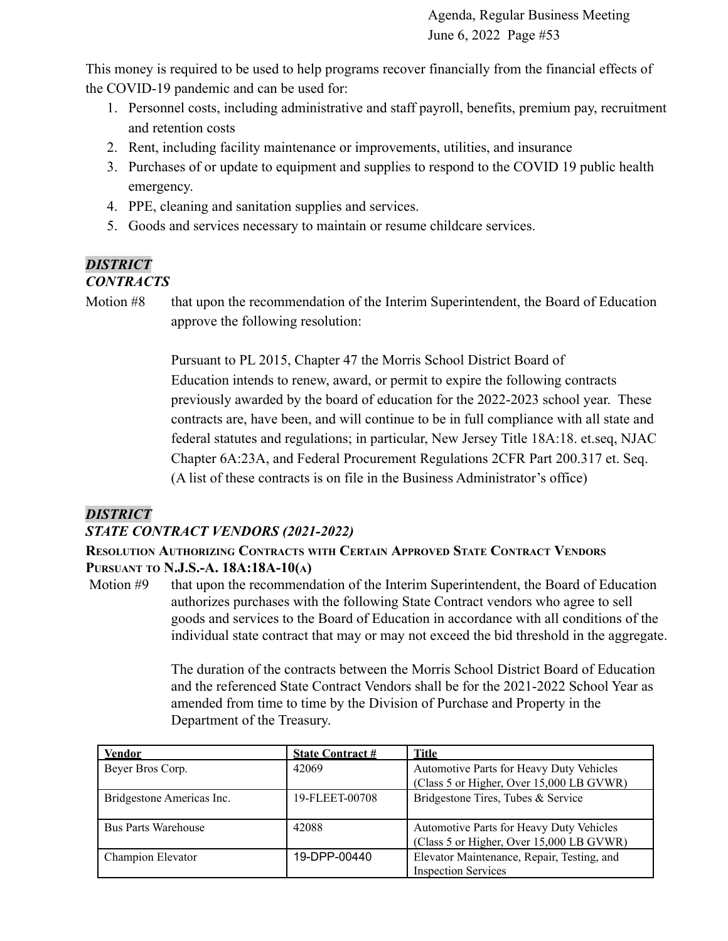This money is required to be used to help programs recover financially from the financial effects of the COVID-19 pandemic and can be used for:

- 1. Personnel costs, including administrative and staff payroll, benefits, premium pay, recruitment and retention costs
- 2. Rent, including facility maintenance or improvements, utilities, and insurance
- 3. Purchases of or update to equipment and supplies to respond to the COVID 19 public health emergency.
- 4. PPE, cleaning and sanitation supplies and services.
- 5. Goods and services necessary to maintain or resume childcare services.

# *DISTRICT*

## *CONTRACTS*

Motion #8 that upon the recommendation of the Interim Superintendent, the Board of Education approve the following resolution:

> Pursuant to PL 2015, Chapter 47 the Morris School District Board of Education intends to renew, award, or permit to expire the following contracts previously awarded by the board of education for the 2022-2023 school year. These contracts are, have been, and will continue to be in full compliance with all state and federal statutes and regulations; in particular, New Jersey Title 18A:18. et.seq, NJAC Chapter 6A:23A, and Federal Procurement Regulations 2CFR Part 200.317 et. Seq. (A list of these contracts is on file in the Business Administrator's office)

# *DISTRICT*

## *STATE CONTRACT VENDORS (2021-2022)*

## **RESOLUTION AUTHORIZING CONTRACTS WITH CERTAIN APPROVED STATE CONTRACT VENDORS PURSUANT TO N.J.S.-A. 18A:18A-10(A)**

Motion #9 that upon the recommendation of the Interim Superintendent, the Board of Education authorizes purchases with the following State Contract vendors who agree to sell goods and services to the Board of Education in accordance with all conditions of the individual state contract that may or may not exceed the bid threshold in the aggregate.

> The duration of the contracts between the Morris School District Board of Education and the referenced State Contract Vendors shall be for the 2021-2022 School Year as amended from time to time by the Division of Purchase and Property in the Department of the Treasury.

| <b>Vendor</b>              | <b>State Contract #</b> | Title                                      |
|----------------------------|-------------------------|--------------------------------------------|
| Beyer Bros Corp.           | 42069                   | Automotive Parts for Heavy Duty Vehicles   |
|                            |                         | (Class 5 or Higher, Over 15,000 LB GVWR)   |
| Bridgestone Americas Inc.  | 19-FLEET-00708          | Bridgestone Tires, Tubes & Service         |
|                            |                         |                                            |
| <b>Bus Parts Warehouse</b> | 42088                   | Automotive Parts for Heavy Duty Vehicles   |
|                            |                         | (Class 5 or Higher, Over 15,000 LB GVWR)   |
| Champion Elevator          | 19-DPP-00440            | Elevator Maintenance, Repair, Testing, and |
|                            |                         | <b>Inspection Services</b>                 |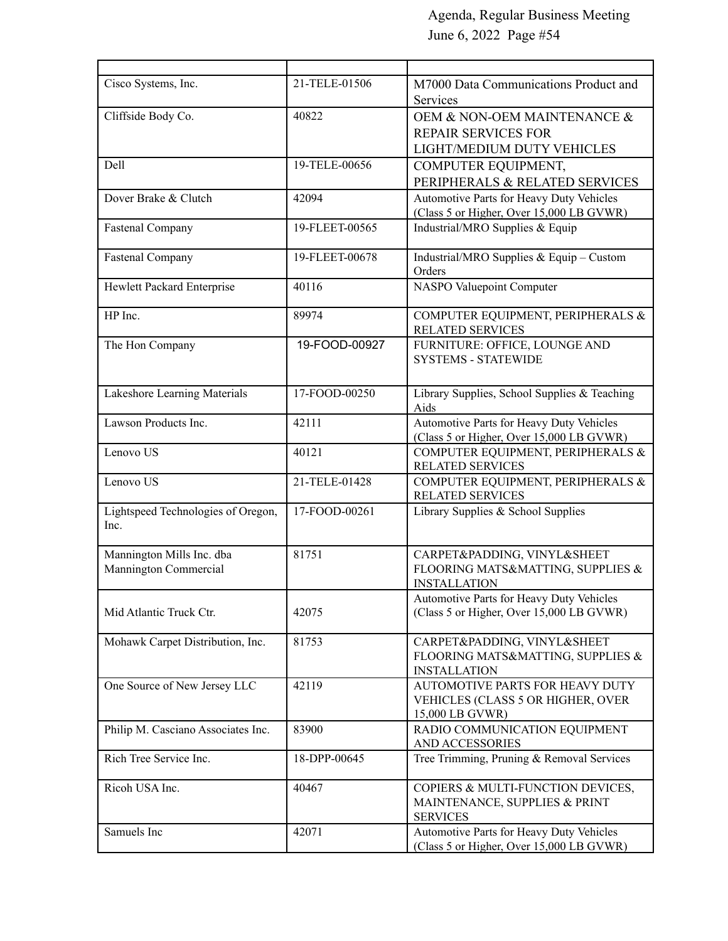| Cisco Systems, Inc.                                | 21-TELE-01506  | M7000 Data Communications Product and<br>Services                                       |  |
|----------------------------------------------------|----------------|-----------------------------------------------------------------------------------------|--|
| Cliffside Body Co.                                 | 40822          | OEM & NON-OEM MAINTENANCE &<br><b>REPAIR SERVICES FOR</b><br>LIGHT/MEDIUM DUTY VEHICLES |  |
| Dell                                               | 19-TELE-00656  |                                                                                         |  |
|                                                    |                | COMPUTER EQUIPMENT,<br>PERIPHERALS & RELATED SERVICES                                   |  |
| Dover Brake & Clutch                               | 42094          | Automotive Parts for Heavy Duty Vehicles<br>(Class 5 or Higher, Over 15,000 LB GVWR)    |  |
| <b>Fastenal Company</b>                            | 19-FLEET-00565 | Industrial/MRO Supplies & Equip                                                         |  |
| <b>Fastenal Company</b>                            | 19-FLEET-00678 | Industrial/MRO Supplies & Equip - Custom<br>Orders                                      |  |
| Hewlett Packard Enterprise                         | 40116          | NASPO Valuepoint Computer                                                               |  |
| HP Inc.                                            | 89974          | COMPUTER EQUIPMENT, PERIPHERALS &<br><b>RELATED SERVICES</b>                            |  |
| The Hon Company                                    | 19-FOOD-00927  | FURNITURE: OFFICE, LOUNGE AND<br><b>SYSTEMS - STATEWIDE</b>                             |  |
| Lakeshore Learning Materials                       | 17-FOOD-00250  | Library Supplies, School Supplies & Teaching<br>Aids                                    |  |
| Lawson Products Inc.                               | 42111          | Automotive Parts for Heavy Duty Vehicles<br>(Class 5 or Higher, Over 15,000 LB GVWR)    |  |
| Lenovo US                                          | 40121          | COMPUTER EQUIPMENT, PERIPHERALS &<br>RELATED SERVICES                                   |  |
| Lenovo US                                          | 21-TELE-01428  | COMPUTER EQUIPMENT, PERIPHERALS &<br><b>RELATED SERVICES</b>                            |  |
| Lightspeed Technologies of Oregon,<br>Inc.         | 17-FOOD-00261  | Library Supplies & School Supplies                                                      |  |
| Mannington Mills Inc. dba<br>Mannington Commercial | 81751          | CARPET&PADDING, VINYL&SHEET<br>FLOORING MATS&MATTING, SUPPLIES &<br><b>INSTALLATION</b> |  |
| Mid Atlantic Truck Ctr.                            | 42075          | Automotive Parts for Heavy Duty Vehicles<br>(Class 5 or Higher, Over 15,000 LB GVWR)    |  |
| Mohawk Carpet Distribution, Inc.                   | 81753          | CARPET&PADDING, VINYL&SHEET<br>FLOORING MATS&MATTING, SUPPLIES &<br><b>INSTALLATION</b> |  |
| One Source of New Jersey LLC                       | 42119          | AUTOMOTIVE PARTS FOR HEAVY DUTY<br>VEHICLES (CLASS 5 OR HIGHER, OVER<br>15,000 LB GVWR) |  |
| Philip M. Casciano Associates Inc.                 | 83900          | RADIO COMMUNICATION EQUIPMENT<br><b>AND ACCESSORIES</b>                                 |  |
| Rich Tree Service Inc.                             | 18-DPP-00645   | Tree Trimming, Pruning & Removal Services                                               |  |
| Ricoh USA Inc.                                     | 40467          | COPIERS & MULTI-FUNCTION DEVICES,<br>MAINTENANCE, SUPPLIES & PRINT<br><b>SERVICES</b>   |  |
| Samuels Inc                                        | 42071          | Automotive Parts for Heavy Duty Vehicles<br>(Class 5 or Higher, Over 15,000 LB GVWR)    |  |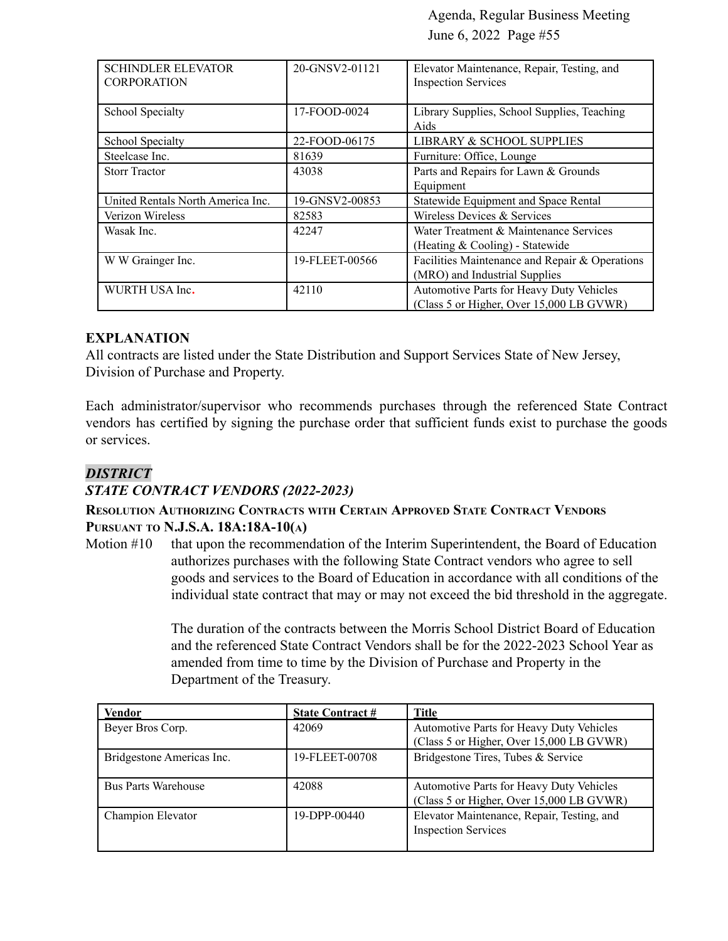| <b>SCHINDLER ELEVATOR</b><br><b>CORPORATION</b> | 20-GNSV2-01121 | Elevator Maintenance, Repair, Testing, and<br><b>Inspection Services</b>             |
|-------------------------------------------------|----------------|--------------------------------------------------------------------------------------|
| School Specialty                                | 17-FOOD-0024   | Library Supplies, School Supplies, Teaching<br>Aids                                  |
| School Specialty                                | 22-FOOD-06175  | LIBRARY & SCHOOL SUPPLIES                                                            |
| Steelcase Inc.                                  | 81639          | Furniture: Office, Lounge                                                            |
| <b>Storr Tractor</b>                            | 43038          | Parts and Repairs for Lawn & Grounds<br>Equipment                                    |
| United Rentals North America Inc.               | 19-GNSV2-00853 | Statewide Equipment and Space Rental                                                 |
| Verizon Wireless                                | 82583          | Wireless Devices & Services                                                          |
| Wasak Inc.                                      | 42247          | Water Treatment & Maintenance Services<br>(Heating & Cooling) - Statewide            |
| W W Grainger Inc.                               | 19-FLEET-00566 | Facilities Maintenance and Repair & Operations<br>(MRO) and Industrial Supplies      |
| WURTH USA Inc.                                  | 42110          | Automotive Parts for Heavy Duty Vehicles<br>(Class 5 or Higher, Over 15,000 LB GVWR) |

#### **EXPLANATION**

All contracts are listed under the State Distribution and Support Services State of New Jersey, Division of Purchase and Property.

Each administrator/supervisor who recommends purchases through the referenced State Contract vendors has certified by signing the purchase order that sufficient funds exist to purchase the goods or services.

#### *DISTRICT*

#### *STATE CONTRACT VENDORS (2022-2023)*

#### **RESOLUTION AUTHORIZING CONTRACTS WITH CERTAIN APPROVED STATE CONTRACT VENDORS PURSUANT TO N.J.S.A. 18A:18A-10(A)**

Motion #10 that upon the recommendation of the Interim Superintendent, the Board of Education authorizes purchases with the following State Contract vendors who agree to sell goods and services to the Board of Education in accordance with all conditions of the individual state contract that may or may not exceed the bid threshold in the aggregate.

> The duration of the contracts between the Morris School District Board of Education and the referenced State Contract Vendors shall be for the 2022-2023 School Year as amended from time to time by the Division of Purchase and Property in the Department of the Treasury.

| <b>Vendor</b>              | <b>State Contract #</b> | Title                                                                                |
|----------------------------|-------------------------|--------------------------------------------------------------------------------------|
| Beyer Bros Corp.           | 42069                   | Automotive Parts for Heavy Duty Vehicles                                             |
|                            |                         | (Class 5 or Higher, Over 15,000 LB GVWR)                                             |
| Bridgestone Americas Inc.  | 19-FLEET-00708          | Bridgestone Tires, Tubes & Service                                                   |
| <b>Bus Parts Warehouse</b> | 42088                   | Automotive Parts for Heavy Duty Vehicles<br>(Class 5 or Higher, Over 15,000 LB GVWR) |
| Champion Elevator          | 19-DPP-00440            | Elevator Maintenance, Repair, Testing, and<br><b>Inspection Services</b>             |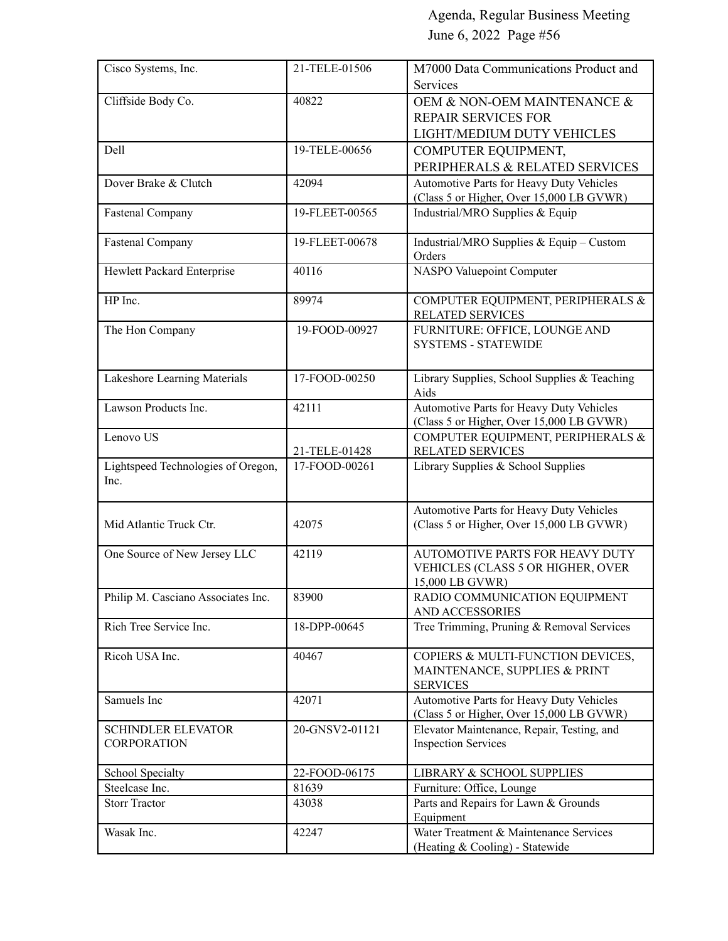| Cisco Systems, Inc.                             | 21-TELE-01506  | M7000 Data Communications Product and                                                 |
|-------------------------------------------------|----------------|---------------------------------------------------------------------------------------|
|                                                 |                | Services                                                                              |
| Cliffside Body Co.                              | 40822          | OEM & NON-OEM MAINTENANCE &                                                           |
|                                                 |                | <b>REPAIR SERVICES FOR</b>                                                            |
|                                                 |                | LIGHT/MEDIUM DUTY VEHICLES                                                            |
| Dell                                            | 19-TELE-00656  | COMPUTER EQUIPMENT,                                                                   |
|                                                 |                | PERIPHERALS & RELATED SERVICES                                                        |
| Dover Brake & Clutch                            | 42094          | Automotive Parts for Heavy Duty Vehicles                                              |
|                                                 |                | (Class 5 or Higher, Over 15,000 LB GVWR)                                              |
| <b>Fastenal Company</b>                         | 19-FLEET-00565 | Industrial/MRO Supplies & Equip                                                       |
| <b>Fastenal Company</b>                         | 19-FLEET-00678 | Industrial/MRO Supplies & Equip - Custom<br>Orders                                    |
| Hewlett Packard Enterprise                      | 40116          | NASPO Valuepoint Computer                                                             |
| HP Inc.                                         | 89974          | COMPUTER EQUIPMENT, PERIPHERALS &<br><b>RELATED SERVICES</b>                          |
| The Hon Company                                 | 19-FOOD-00927  | FURNITURE: OFFICE, LOUNGE AND<br><b>SYSTEMS - STATEWIDE</b>                           |
| Lakeshore Learning Materials                    | 17-FOOD-00250  | Library Supplies, School Supplies & Teaching<br>Aids                                  |
| Lawson Products Inc.                            | 42111          | Automotive Parts for Heavy Duty Vehicles<br>(Class 5 or Higher, Over 15,000 LB GVWR)  |
| Lenovo US                                       |                | COMPUTER EQUIPMENT, PERIPHERALS &                                                     |
|                                                 | 21-TELE-01428  | <b>RELATED SERVICES</b>                                                               |
| Lightspeed Technologies of Oregon,<br>Inc.      | 17-FOOD-00261  | Library Supplies & School Supplies                                                    |
| Mid Atlantic Truck Ctr.                         | 42075          | Automotive Parts for Heavy Duty Vehicles<br>(Class 5 or Higher, Over 15,000 LB GVWR)  |
| One Source of New Jersey LLC                    | 42119          | AUTOMOTIVE PARTS FOR HEAVY DUTY                                                       |
|                                                 |                | VEHICLES (CLASS 5 OR HIGHER, OVER                                                     |
|                                                 |                | 15,000 LB GVWR)                                                                       |
| Philip M. Casciano Associates Inc.              | 83900          | RADIO COMMUNICATION EQUIPMENT<br>AND ACCESSORIES                                      |
| Rich Tree Service Inc.                          | 18-DPP-00645   | Tree Trimming, Pruning & Removal Services                                             |
| Ricoh USA Inc.                                  | 40467          | COPIERS & MULTI-FUNCTION DEVICES,<br>MAINTENANCE, SUPPLIES & PRINT<br><b>SERVICES</b> |
| Samuels Inc                                     | 42071          | Automotive Parts for Heavy Duty Vehicles                                              |
|                                                 |                | (Class 5 or Higher, Over 15,000 LB GVWR)                                              |
| <b>SCHINDLER ELEVATOR</b><br><b>CORPORATION</b> | 20-GNSV2-01121 | Elevator Maintenance, Repair, Testing, and<br><b>Inspection Services</b>              |
| School Specialty                                | 22-FOOD-06175  | LIBRARY & SCHOOL SUPPLIES                                                             |
| Steelcase Inc.                                  | 81639          | Furniture: Office, Lounge                                                             |
| <b>Storr Tractor</b>                            | 43038          | Parts and Repairs for Lawn & Grounds                                                  |
| Wasak Inc.                                      | 42247          | Equipment<br>Water Treatment & Maintenance Services                                   |
|                                                 |                | (Heating & Cooling) - Statewide                                                       |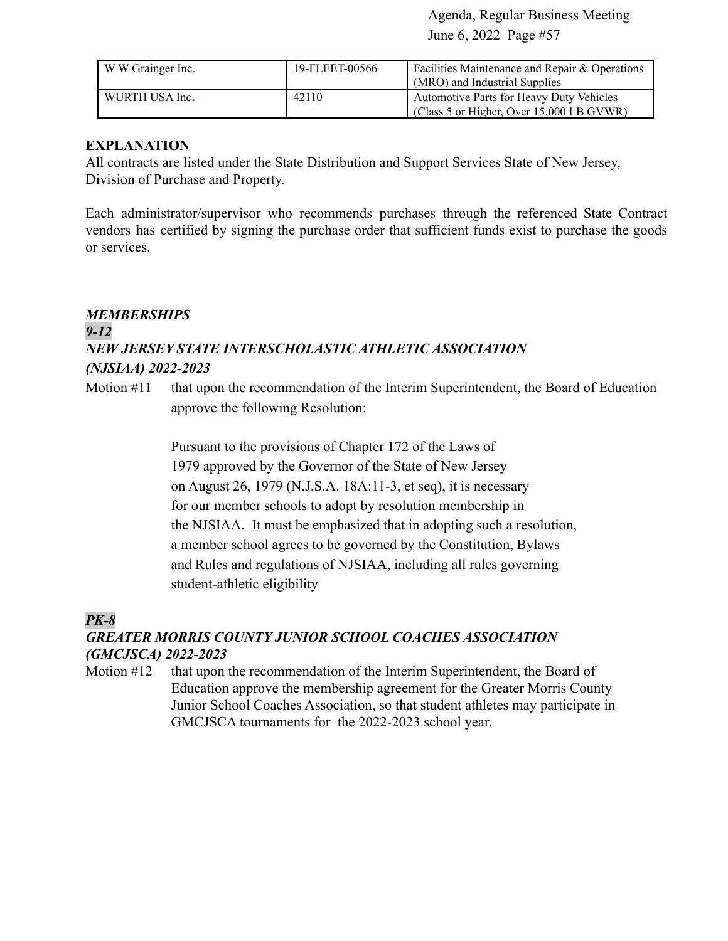| W W Grainger Inc. | 19-FLEET-00566 | <b>Facilities Maintenance and Repair &amp; Operations</b><br>(MRO) and Industrial Supplies |
|-------------------|----------------|--------------------------------------------------------------------------------------------|
| WURTH USA Inc.    | 42110          | Automotive Parts for Heavy Duty Vehicles<br>(Class 5 or Higher, Over 15,000 LB GVWR)       |

#### **EXPLANATION**

All contracts are listed under the State Distribution and Support Services State of New Jersey, Division of Purchase and Property.

Each administrator/supervisor who recommends purchases through the referenced State Contract vendors has certified by signing the purchase order that sufficient funds exist to purchase the goods or services.

# *MEMBERSHIPS 9-12 NEW JERSEY STATE INTERSCHOLASTIC ATHLETIC ASSOCIATION (NJSIAA) 2022-2023*

Motion #11 that upon the recommendation of the Interim Superintendent, the Board of Education approve the following Resolution:

> Pursuant to the provisions of Chapter 172 of the Laws of 1979 approved by the Governor of the State of New Jersey on August 26, 1979 (N.J.S.A. 18A:11-3, et seq), it is necessary for our member schools to adopt by resolution membership in the NJSIAA. It must be emphasized that in adopting such a resolution, a member school agrees to be governed by the Constitution, Bylaws and Rules and regulations of NJSIAA, including all rules governing student-athletic eligibility

## *PK-8*

#### *GREATER MORRIS COUNTY JUNIOR SCHOOL COACHES ASSOCIATION (GMCJSCA) 2022-2023*

Motion #12 that upon the recommendation of the Interim Superintendent, the Board of Education approve the membership agreement for the Greater Morris County Junior School Coaches Association, so that student athletes may participate in GMCJSCA tournaments for the 2022-2023 school year.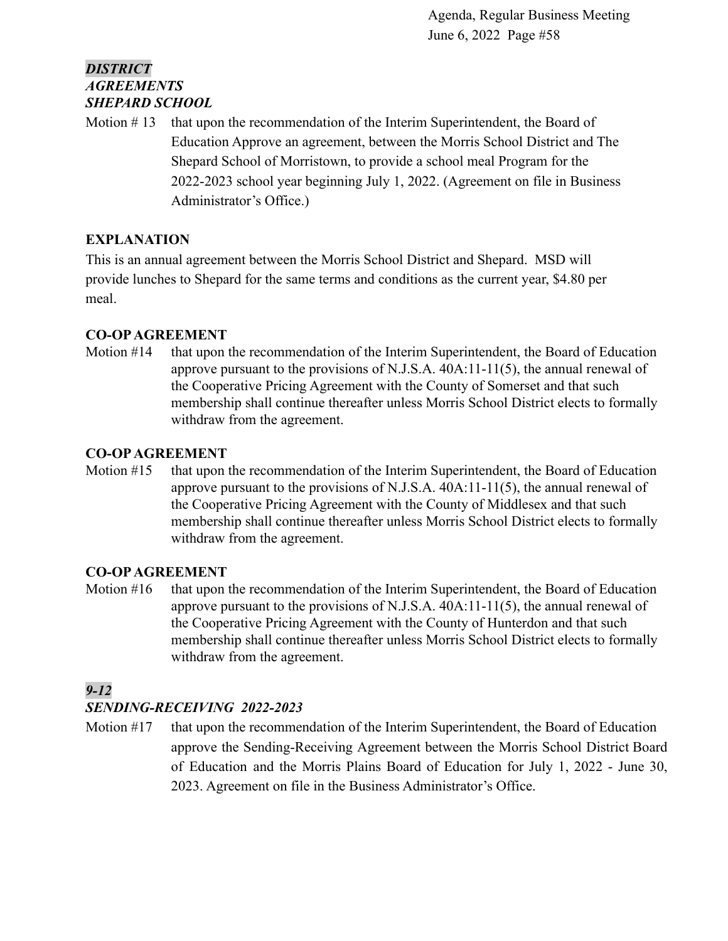## *DISTRICT AGREEMENTS SHEPARD SCHOOL*

Motion  $# 13$  that upon the recommendation of the Interim Superintendent, the Board of Education Approve an agreement, between the Morris School District and The Shepard School of Morristown, to provide a school meal Program for the 2022-2023 school year beginning July 1, 2022. (Agreement on file in Business Administrator's Office.)

## **EXPLANATION**

This is an annual agreement between the Morris School District and Shepard. MSD will provide lunches to Shepard for the same terms and conditions as the current year, \$4.80 per meal.

## **CO-OPAGREEMENT**

Motion #14 that upon the recommendation of the Interim Superintendent, the Board of Education approve pursuant to the provisions of N.J.S.A. 40A:11-11(5), the annual renewal of the Cooperative Pricing Agreement with the County of Somerset and that such membership shall continue thereafter unless Morris School District elects to formally withdraw from the agreement.

## **CO-OPAGREEMENT**

Motion #15 that upon the recommendation of the Interim Superintendent, the Board of Education approve pursuant to the provisions of N.J.S.A.  $40A:11-11(5)$ , the annual renewal of the Cooperative Pricing Agreement with the County of Middlesex and that such membership shall continue thereafter unless Morris School District elects to formally withdraw from the agreement.

## **CO-OPAGREEMENT**

Motion  $#16$  that upon the recommendation of the Interim Superintendent, the Board of Education approve pursuant to the provisions of N.J.S.A. 40A:11-11(5), the annual renewal of the Cooperative Pricing Agreement with the County of Hunterdon and that such membership shall continue thereafter unless Morris School District elects to formally withdraw from the agreement.

## *9-12*

## *SENDING-RECEIVING 2022-2023*

Motion #17 that upon the recommendation of the Interim Superintendent, the Board of Education approve the Sending-Receiving Agreement between the Morris School District Board of Education and the Morris Plains Board of Education for July 1, 2022 - June 30, 2023. Agreement on file in the Business Administrator's Office.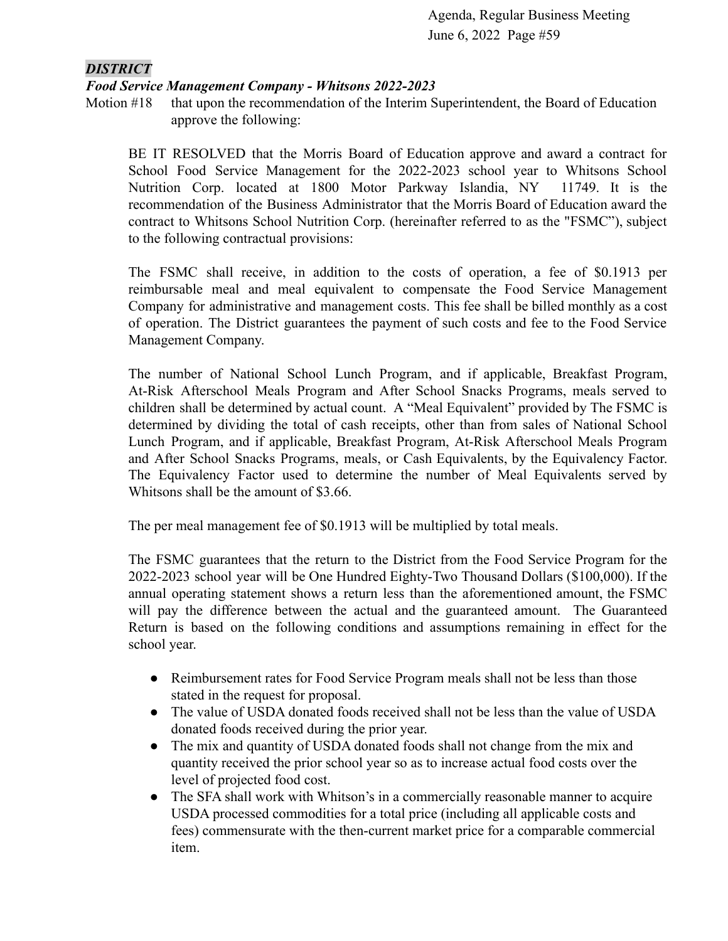## *DISTRICT*

#### *Food Service Management Company - Whitsons 2022-2023*

Motion #18 that upon the recommendation of the Interim Superintendent, the Board of Education approve the following:

BE IT RESOLVED that the Morris Board of Education approve and award a contract for School Food Service Management for the 2022-2023 school year to Whitsons School Nutrition Corp. located at 1800 Motor Parkway Islandia, NY 11749. It is the recommendation of the Business Administrator that the Morris Board of Education award the contract to Whitsons School Nutrition Corp. (hereinafter referred to as the "FSMC"), subject to the following contractual provisions:

The FSMC shall receive, in addition to the costs of operation, a fee of \$0.1913 per reimbursable meal and meal equivalent to compensate the Food Service Management Company for administrative and management costs. This fee shall be billed monthly as a cost of operation. The District guarantees the payment of such costs and fee to the Food Service Management Company.

The number of National School Lunch Program, and if applicable, Breakfast Program, At-Risk Afterschool Meals Program and After School Snacks Programs, meals served to children shall be determined by actual count. A "Meal Equivalent" provided by The FSMC is determined by dividing the total of cash receipts, other than from sales of National School Lunch Program, and if applicable, Breakfast Program, At-Risk Afterschool Meals Program and After School Snacks Programs, meals, or Cash Equivalents, by the Equivalency Factor. The Equivalency Factor used to determine the number of Meal Equivalents served by Whitsons shall be the amount of \$3.66.

The per meal management fee of \$0.1913 will be multiplied by total meals.

The FSMC guarantees that the return to the District from the Food Service Program for the 2022-2023 school year will be One Hundred Eighty-Two Thousand Dollars (\$100,000). If the annual operating statement shows a return less than the aforementioned amount, the FSMC will pay the difference between the actual and the guaranteed amount. The Guaranteed Return is based on the following conditions and assumptions remaining in effect for the school year.

- Reimbursement rates for Food Service Program meals shall not be less than those stated in the request for proposal.
- The value of USDA donated foods received shall not be less than the value of USDA donated foods received during the prior year.
- The mix and quantity of USDA donated foods shall not change from the mix and quantity received the prior school year so as to increase actual food costs over the level of projected food cost.
- The SFA shall work with Whitson's in a commercially reasonable manner to acquire USDA processed commodities for a total price (including all applicable costs and fees) commensurate with the then-current market price for a comparable commercial item.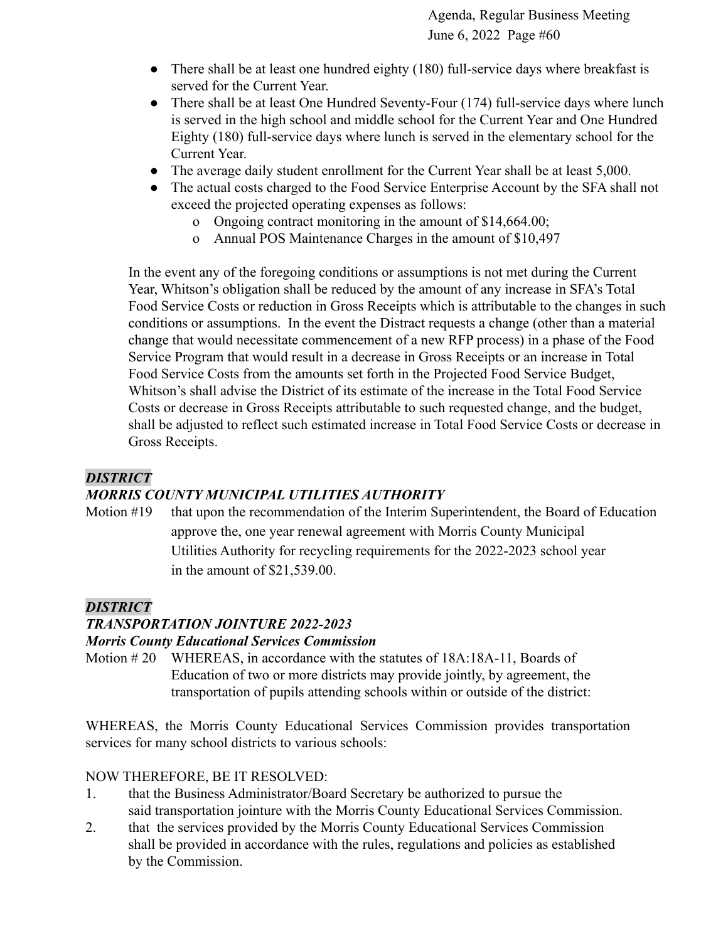- There shall be at least one hundred eighty (180) full-service days where breakfast is served for the Current Year.
- There shall be at least One Hundred Seventy-Four (174) full-service days where lunch is served in the high school and middle school for the Current Year and One Hundred Eighty (180) full-service days where lunch is served in the elementary school for the Current Year.
- The average daily student enrollment for the Current Year shall be at least 5,000.
- The actual costs charged to the Food Service Enterprise Account by the SFA shall not exceed the projected operating expenses as follows:
	- o Ongoing contract monitoring in the amount of \$14,664.00;
	- o Annual POS Maintenance Charges in the amount of \$10,497

In the event any of the foregoing conditions or assumptions is not met during the Current Year, Whitson's obligation shall be reduced by the amount of any increase in SFA's Total Food Service Costs or reduction in Gross Receipts which is attributable to the changes in such conditions or assumptions. In the event the Distract requests a change (other than a material change that would necessitate commencement of a new RFP process) in a phase of the Food Service Program that would result in a decrease in Gross Receipts or an increase in Total Food Service Costs from the amounts set forth in the Projected Food Service Budget, Whitson's shall advise the District of its estimate of the increase in the Total Food Service Costs or decrease in Gross Receipts attributable to such requested change, and the budget, shall be adjusted to reflect such estimated increase in Total Food Service Costs or decrease in Gross Receipts.

## *DISTRICT*

## *MORRIS COUNTY MUNICIPAL UTILITIES AUTHORITY*

Motion #19 that upon the recommendation of the Interim Superintendent, the Board of Education approve the, one year renewal agreement with Morris County Municipal Utilities Authority for recycling requirements for the 2022-2023 school year in the amount of \$21,539.00.

## *DISTRICT*

## *TRANSPORTATION JOINTURE 2022-2023*

#### *Morris County Educational Services Commission*

Motion # 20 WHEREAS, in accordance with the statutes of 18A:18A-11, Boards of Education of two or more districts may provide jointly, by agreement, the transportation of pupils attending schools within or outside of the district:

WHEREAS, the Morris County Educational Services Commission provides transportation services for many school districts to various schools:

## NOW THEREFORE, BE IT RESOLVED:

- 1. that the Business Administrator/Board Secretary be authorized to pursue the said transportation jointure with the Morris County Educational Services Commission.
- 2. that the services provided by the Morris County Educational Services Commission shall be provided in accordance with the rules, regulations and policies as established by the Commission.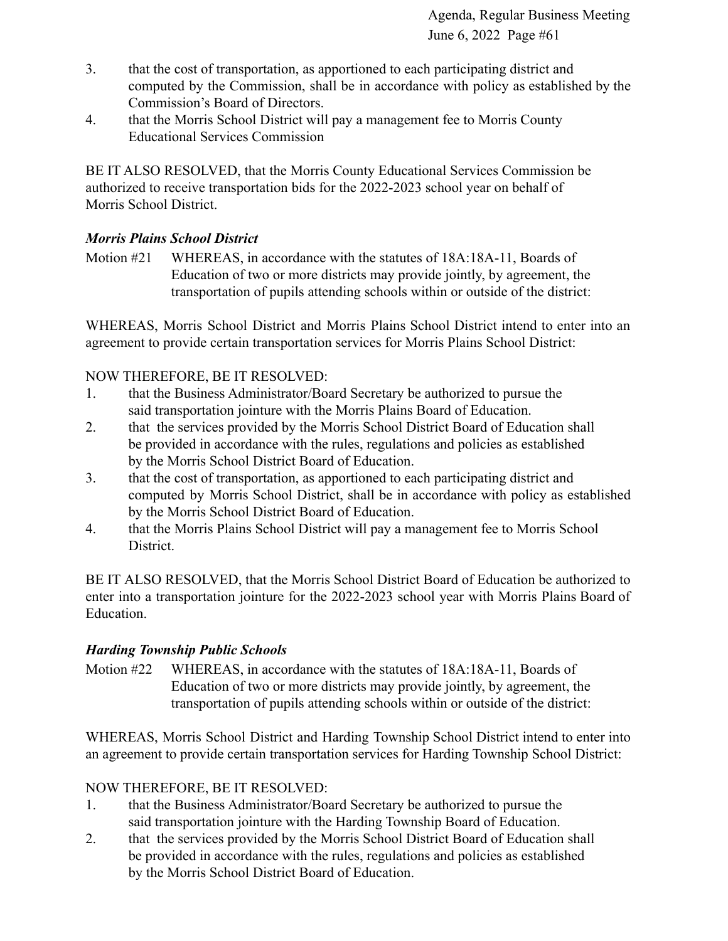- 3. that the cost of transportation, as apportioned to each participating district and computed by the Commission, shall be in accordance with policy as established by the Commission's Board of Directors.
- 4. that the Morris School District will pay a management fee to Morris County Educational Services Commission

BE IT ALSO RESOLVED, that the Morris County Educational Services Commission be authorized to receive transportation bids for the 2022-2023 school year on behalf of Morris School District.

## *Morris Plains School District*

Motion #21 WHEREAS, in accordance with the statutes of 18A:18A-11, Boards of Education of two or more districts may provide jointly, by agreement, the transportation of pupils attending schools within or outside of the district:

WHEREAS, Morris School District and Morris Plains School District intend to enter into an agreement to provide certain transportation services for Morris Plains School District:

## NOW THEREFORE, BE IT RESOLVED:

- 1. that the Business Administrator/Board Secretary be authorized to pursue the said transportation jointure with the Morris Plains Board of Education.
- 2. that the services provided by the Morris School District Board of Education shall be provided in accordance with the rules, regulations and policies as established by the Morris School District Board of Education.
- 3. that the cost of transportation, as apportioned to each participating district and computed by Morris School District, shall be in accordance with policy as established by the Morris School District Board of Education.
- 4. that the Morris Plains School District will pay a management fee to Morris School District.

BE IT ALSO RESOLVED, that the Morris School District Board of Education be authorized to enter into a transportation jointure for the 2022-2023 school year with Morris Plains Board of Education.

## *Harding Township Public Schools*

Motion #22 WHEREAS, in accordance with the statutes of 18A:18A-11, Boards of Education of two or more districts may provide jointly, by agreement, the transportation of pupils attending schools within or outside of the district:

WHEREAS, Morris School District and Harding Township School District intend to enter into an agreement to provide certain transportation services for Harding Township School District:

## NOW THEREFORE, BE IT RESOLVED:

- 1. that the Business Administrator/Board Secretary be authorized to pursue the said transportation jointure with the Harding Township Board of Education.
- 2. that the services provided by the Morris School District Board of Education shall be provided in accordance with the rules, regulations and policies as established by the Morris School District Board of Education.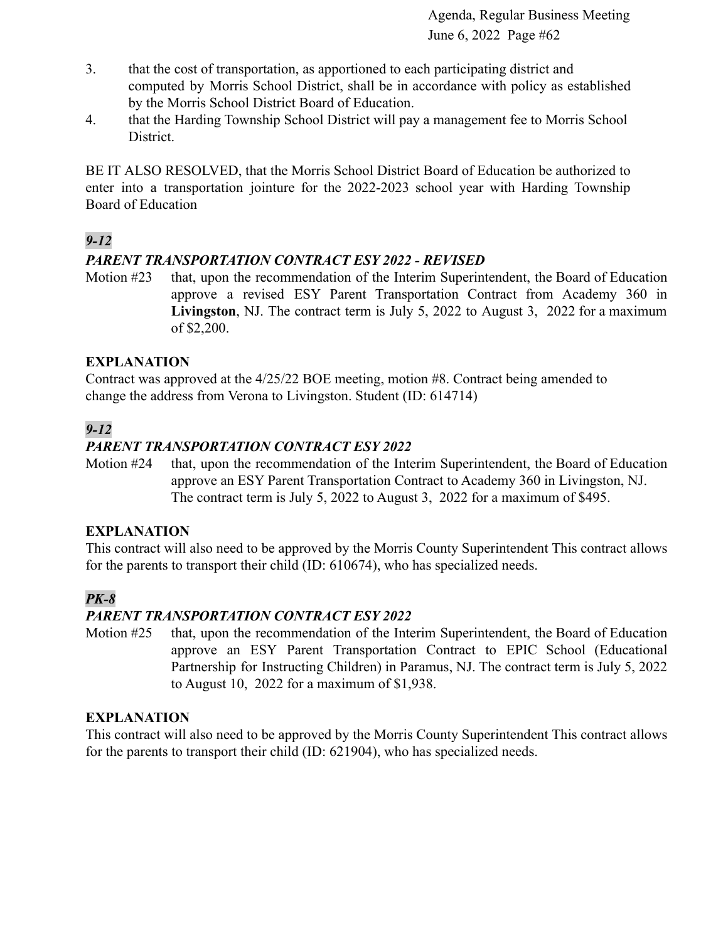- 3. that the cost of transportation, as apportioned to each participating district and computed by Morris School District, shall be in accordance with policy as established by the Morris School District Board of Education.
- 4. that the Harding Township School District will pay a management fee to Morris School District.

BE IT ALSO RESOLVED, that the Morris School District Board of Education be authorized to enter into a transportation jointure for the 2022-2023 school year with Harding Township Board of Education

# *9-12*

## *PARENT TRANSPORTATION CONTRACT ESY 2022 - REVISED*

Motion #23 that, upon the recommendation of the Interim Superintendent, the Board of Education approve a revised ESY Parent Transportation Contract from Academy 360 in **Livingston**, NJ. The contract term is July 5, 2022 to August 3, 2022 for a maximum of \$2,200.

## **EXPLANATION**

Contract was approved at the 4/25/22 BOE meeting, motion #8. Contract being amended to change the address from Verona to Livingston. Student (ID: 614714)

# *9-12*

## *PARENT TRANSPORTATION CONTRACT ESY 2022*

Motion #24 that, upon the recommendation of the Interim Superintendent, the Board of Education approve an ESY Parent Transportation Contract to Academy 360 in Livingston, NJ. The contract term is July 5, 2022 to August 3, 2022 for a maximum of \$495.

#### **EXPLANATION**

This contract will also need to be approved by the Morris County Superintendent This contract allows for the parents to transport their child (ID: 610674), who has specialized needs.

## *PK-8*

## *PARENT TRANSPORTATION CONTRACT ESY 2022*

Motion #25 that, upon the recommendation of the Interim Superintendent, the Board of Education approve an ESY Parent Transportation Contract to EPIC School (Educational Partnership for Instructing Children) in Paramus, NJ. The contract term is July 5, 2022 to August 10, 2022 for a maximum of \$1,938.

#### **EXPLANATION**

This contract will also need to be approved by the Morris County Superintendent This contract allows for the parents to transport their child (ID: 621904), who has specialized needs.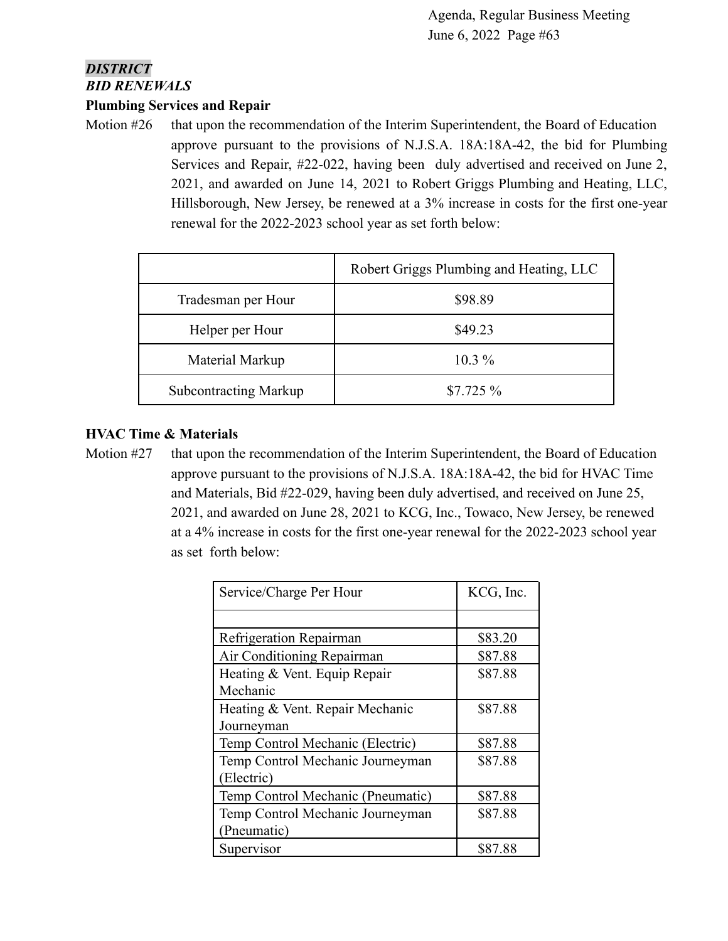## *DISTRICT BID RENEWALS*

#### **Plumbing Services and Repair**

Motion #26 that upon the recommendation of the Interim Superintendent, the Board of Education approve pursuant to the provisions of N.J.S.A. 18A:18A-42, the bid for Plumbing Services and Repair, #22-022, having been duly advertised and received on June 2, 2021, and awarded on June 14, 2021 to Robert Griggs Plumbing and Heating, LLC, Hillsborough, New Jersey, be renewed at a 3% increase in costs for the first one-year renewal for the 2022-2023 school year as set forth below:

|                              | Robert Griggs Plumbing and Heating, LLC |
|------------------------------|-----------------------------------------|
| Tradesman per Hour           | \$98.89                                 |
| Helper per Hour              | \$49.23                                 |
| Material Markup              | $10.3\%$                                |
| <b>Subcontracting Markup</b> | $$7.725\%$                              |

#### **HVAC Time & Materials**

Motion #27 that upon the recommendation of the Interim Superintendent, the Board of Education approve pursuant to the provisions of N.J.S.A. 18A:18A-42, the bid for HVAC Time and Materials, Bid #22-029, having been duly advertised, and received on June 25, 2021, and awarded on June 28, 2021 to KCG, Inc., Towaco, New Jersey, be renewed at a 4% increase in costs for the first one-year renewal for the 2022-2023 school year as set forth below:

| Service/Charge Per Hour           | KCG, Inc. |
|-----------------------------------|-----------|
|                                   |           |
| Refrigeration Repairman           | \$83.20   |
| Air Conditioning Repairman        | \$87.88   |
| Heating & Vent. Equip Repair      | \$87.88   |
| Mechanic                          |           |
| Heating & Vent. Repair Mechanic   | \$87.88   |
| Journeyman                        |           |
| Temp Control Mechanic (Electric)  | \$87.88   |
| Temp Control Mechanic Journeyman  | \$87.88   |
| (Electric)                        |           |
| Temp Control Mechanic (Pneumatic) | \$87.88   |
| Temp Control Mechanic Journeyman  | \$87.88   |
| (Pneumatic)                       |           |
| Supervisor                        | \$87.88   |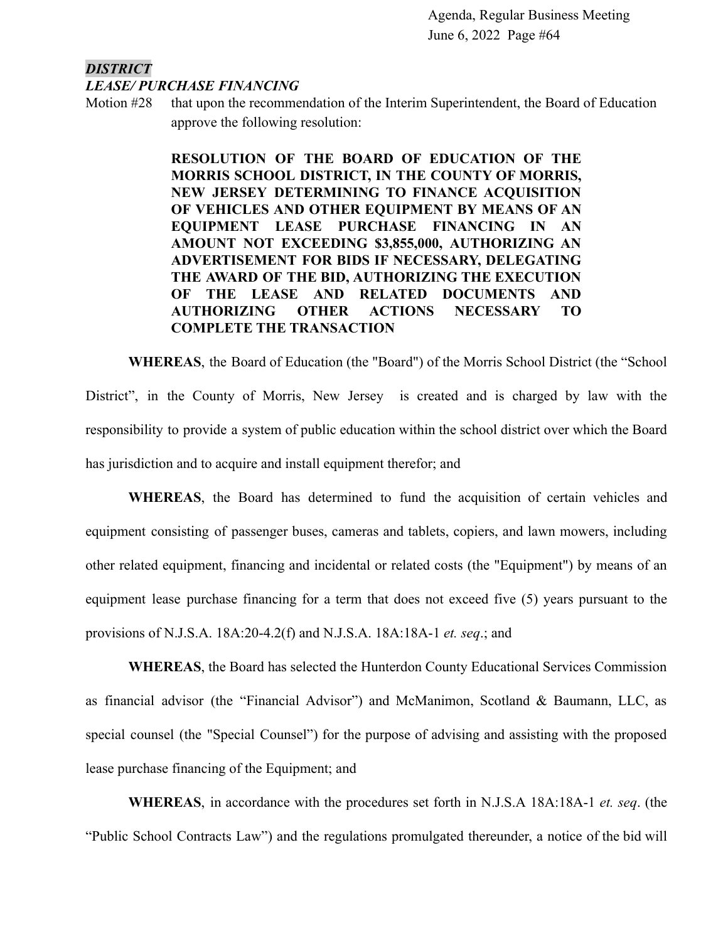#### *DISTRICT LEASE/ PURCHASE FINANCING*

Motion #28 that upon the recommendation of the Interim Superintendent, the Board of Education approve the following resolution:

> **RESOLUTION OF THE BOARD OF EDUCATION OF THE MORRIS SCHOOL DISTRICT, IN THE COUNTY OF MORRIS, NEW JERSEY DETERMINING TO FINANCE ACQUISITION OF VEHICLES AND OTHER EQUIPMENT BY MEANS OF AN EQUIPMENT LEASE PURCHASE FINANCING IN AN AMOUNT NOT EXCEEDING \$3,855,000, AUTHORIZING AN ADVERTISEMENT FOR BIDS IF NECESSARY, DELEGATING THE AWARD OF THE BID, AUTHORIZING THE EXECUTION OF THE LEASE AND RELATED DOCUMENTS AND AUTHORIZING OTHER ACTIONS NECESSARY TO COMPLETE THE TRANSACTION**

**WHEREAS**, the Board of Education (the "Board") of the Morris School District (the "School District", in the County of Morris, New Jersey is created and is charged by law with the responsibility to provide a system of public education within the school district over which the Board has jurisdiction and to acquire and install equipment therefor; and

**WHEREAS**, the Board has determined to fund the acquisition of certain vehicles and equipment consisting of passenger buses, cameras and tablets, copiers, and lawn mowers, including other related equipment, financing and incidental or related costs (the "Equipment") by means of an equipment lease purchase financing for a term that does not exceed five (5) years pursuant to the provisions of N.J.S.A. 18A:20-4.2(f) and N.J.S.A. 18A:18A-1 *et. seq*.; and

**WHEREAS**, the Board has selected the Hunterdon County Educational Services Commission as financial advisor (the "Financial Advisor") and McManimon, Scotland & Baumann, LLC, as special counsel (the "Special Counsel") for the purpose of advising and assisting with the proposed lease purchase financing of the Equipment; and

**WHEREAS**, in accordance with the procedures set forth in N.J.S.A 18A:18A-1 *et. seq*. (the "Public School Contracts Law") and the regulations promulgated thereunder, a notice of the bid will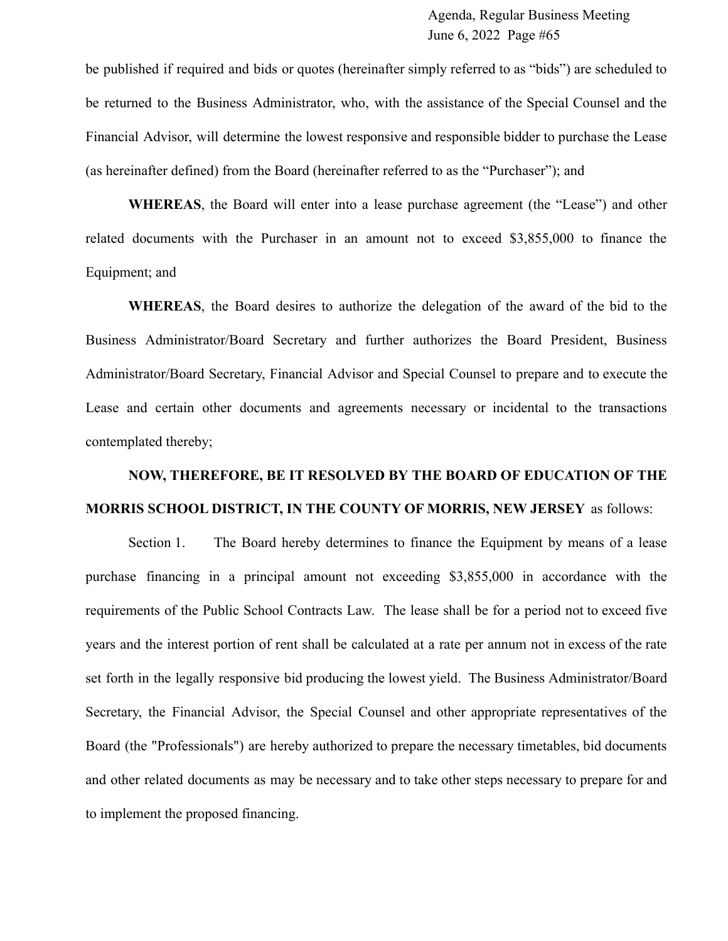be published if required and bids or quotes (hereinafter simply referred to as "bids") are scheduled to be returned to the Business Administrator, who, with the assistance of the Special Counsel and the Financial Advisor, will determine the lowest responsive and responsible bidder to purchase the Lease (as hereinafter defined) from the Board (hereinafter referred to as the "Purchaser"); and

**WHEREAS**, the Board will enter into a lease purchase agreement (the "Lease") and other related documents with the Purchaser in an amount not to exceed \$3,855,000 to finance the Equipment; and

**WHEREAS**, the Board desires to authorize the delegation of the award of the bid to the Business Administrator/Board Secretary and further authorizes the Board President, Business Administrator/Board Secretary, Financial Advisor and Special Counsel to prepare and to execute the Lease and certain other documents and agreements necessary or incidental to the transactions contemplated thereby;

# **NOW, THEREFORE, BE IT RESOLVED BY THE BOARD OF EDUCATION OF THE MORRIS SCHOOL DISTRICT, IN THE COUNTY OF MORRIS, NEW JERSEY** as follows:

Section 1. The Board hereby determines to finance the Equipment by means of a lease purchase financing in a principal amount not exceeding \$3,855,000 in accordance with the requirements of the Public School Contracts Law. The lease shall be for a period not to exceed five years and the interest portion of rent shall be calculated at a rate per annum not in excess of the rate set forth in the legally responsive bid producing the lowest yield. The Business Administrator/Board Secretary, the Financial Advisor, the Special Counsel and other appropriate representatives of the Board (the "Professionals") are hereby authorized to prepare the necessary timetables, bid documents and other related documents as may be necessary and to take other steps necessary to prepare for and to implement the proposed financing.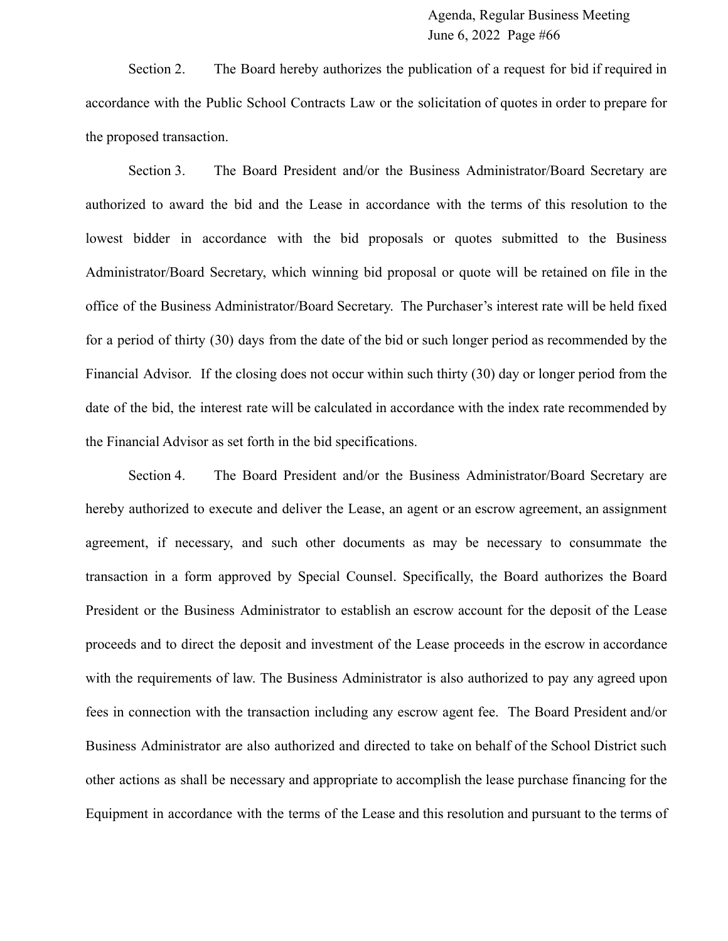Section 2. The Board hereby authorizes the publication of a request for bid if required in accordance with the Public School Contracts Law or the solicitation of quotes in order to prepare for the proposed transaction.

Section 3. The Board President and/or the Business Administrator/Board Secretary are authorized to award the bid and the Lease in accordance with the terms of this resolution to the lowest bidder in accordance with the bid proposals or quotes submitted to the Business Administrator/Board Secretary, which winning bid proposal or quote will be retained on file in the office of the Business Administrator/Board Secretary. The Purchaser's interest rate will be held fixed for a period of thirty (30) days from the date of the bid or such longer period as recommended by the Financial Advisor. If the closing does not occur within such thirty (30) day or longer period from the date of the bid, the interest rate will be calculated in accordance with the index rate recommended by the Financial Advisor as set forth in the bid specifications.

Section 4. The Board President and/or the Business Administrator/Board Secretary are hereby authorized to execute and deliver the Lease, an agent or an escrow agreement, an assignment agreement, if necessary, and such other documents as may be necessary to consummate the transaction in a form approved by Special Counsel. Specifically, the Board authorizes the Board President or the Business Administrator to establish an escrow account for the deposit of the Lease proceeds and to direct the deposit and investment of the Lease proceeds in the escrow in accordance with the requirements of law. The Business Administrator is also authorized to pay any agreed upon fees in connection with the transaction including any escrow agent fee. The Board President and/or Business Administrator are also authorized and directed to take on behalf of the School District such other actions as shall be necessary and appropriate to accomplish the lease purchase financing for the Equipment in accordance with the terms of the Lease and this resolution and pursuant to the terms of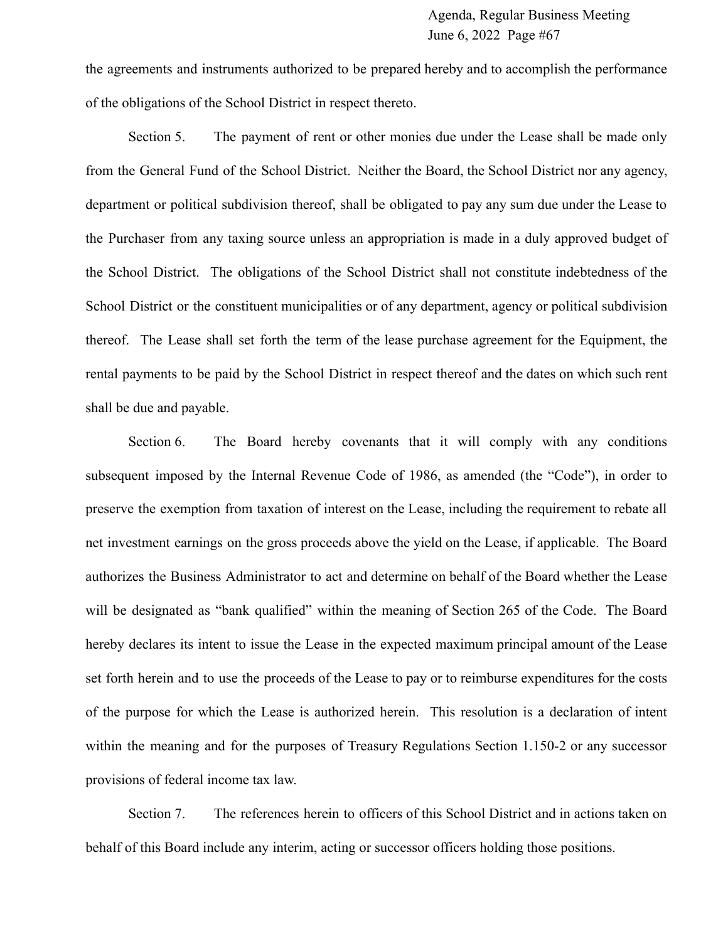the agreements and instruments authorized to be prepared hereby and to accomplish the performance of the obligations of the School District in respect thereto.

Section 5. The payment of rent or other monies due under the Lease shall be made only from the General Fund of the School District. Neither the Board, the School District nor any agency, department or political subdivision thereof, shall be obligated to pay any sum due under the Lease to the Purchaser from any taxing source unless an appropriation is made in a duly approved budget of the School District. The obligations of the School District shall not constitute indebtedness of the School District or the constituent municipalities or of any department, agency or political subdivision thereof. The Lease shall set forth the term of the lease purchase agreement for the Equipment, the rental payments to be paid by the School District in respect thereof and the dates on which such rent shall be due and payable.

Section 6. The Board hereby covenants that it will comply with any conditions subsequent imposed by the Internal Revenue Code of 1986, as amended (the "Code"), in order to preserve the exemption from taxation of interest on the Lease, including the requirement to rebate all net investment earnings on the gross proceeds above the yield on the Lease, if applicable. The Board authorizes the Business Administrator to act and determine on behalf of the Board whether the Lease will be designated as "bank qualified" within the meaning of Section 265 of the Code. The Board hereby declares its intent to issue the Lease in the expected maximum principal amount of the Lease set forth herein and to use the proceeds of the Lease to pay or to reimburse expenditures for the costs of the purpose for which the Lease is authorized herein. This resolution is a declaration of intent within the meaning and for the purposes of Treasury Regulations Section 1.150-2 or any successor provisions of federal income tax law.

Section 7. The references herein to officers of this School District and in actions taken on behalf of this Board include any interim, acting or successor officers holding those positions.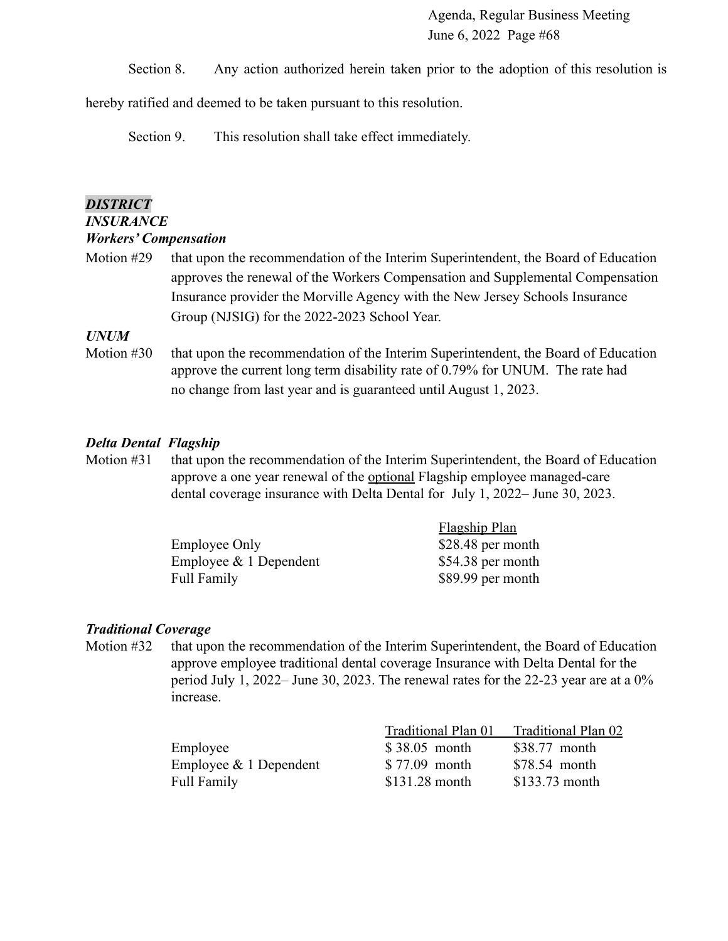Section 8. Any action authorized herein taken prior to the adoption of this resolution is

hereby ratified and deemed to be taken pursuant to this resolution.

Section 9. This resolution shall take effect immediately.

#### *DISTRICT*

# *INSURANCE*

- *Workers' Compensation*
- Motion #29 that upon the recommendation of the Interim Superintendent, the Board of Education approves the renewal of the Workers Compensation and Supplemental Compensation Insurance provider the Morville Agency with the New Jersey Schools Insurance Group (NJSIG) for the 2022-2023 School Year.

#### *UNUM*

Motion #30 that upon the recommendation of the Interim Superintendent, the Board of Education approve the current long term disability rate of 0.79% for UNUM. The rate had no change from last year and is guaranteed until August 1, 2023.

#### *Delta Dental Flagship*

Motion #31 that upon the recommendation of the Interim Superintendent, the Board of Education approve a one year renewal of the optional Flagship employee managed-care dental coverage insurance with Delta Dental for July 1, 2022– June 30, 2023.

|                           | <b>Flagship Plan</b> |
|---------------------------|----------------------|
| Employee Only             | \$28.48 per month    |
| Employee $\&$ 1 Dependent | $$54.38$ per month   |
| Full Family               | \$89.99 per month    |

#### *Traditional Coverage*

Motion #32 that upon the recommendation of the Interim Superintendent, the Board of Education approve employee traditional dental coverage Insurance with Delta Dental for the period July 1, 2022– June 30, 2023. The renewal rates for the 22-23 year are at a 0% increase.

|                          | Traditional Plan 01 | Traditional Plan 02 |
|--------------------------|---------------------|---------------------|
| Employee                 | \$38.05 month       | \$38.77 month       |
| Employee $& 1$ Dependent | \$77.09 month       | \$78.54 month       |
| Full Family              | $$131.28$ month     | $$133.73$ month     |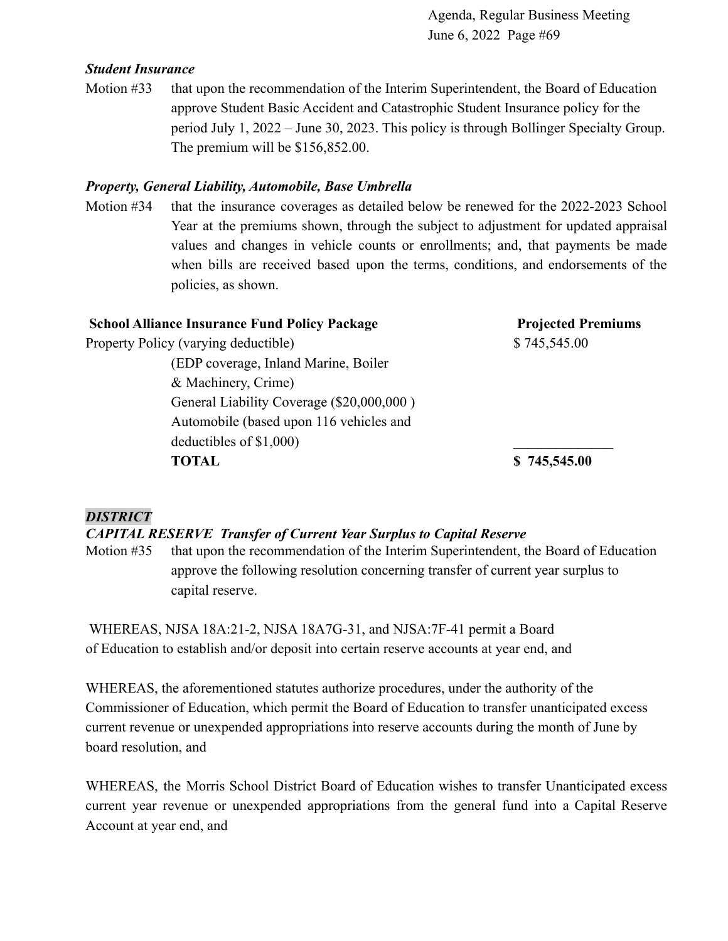#### *Student Insurance*

Motion #33 that upon the recommendation of the Interim Superintendent, the Board of Education approve Student Basic Accident and Catastrophic Student Insurance policy for the period July 1, 2022 – June 30, 2023. This policy is through Bollinger Specialty Group. The premium will be \$156,852.00.

#### *Property, General Liability, Automobile, Base Umbrella*

Motion #34 that the insurance coverages as detailed below be renewed for the 2022-2023 School Year at the premiums shown, through the subject to adjustment for updated appraisal values and changes in vehicle counts or enrollments; and, that payments be made when bills are received based upon the terms, conditions, and endorsements of the policies, as shown.

| <b>School Alliance Insurance Fund Policy Package</b> | <b>Projected Premiums</b> |
|------------------------------------------------------|---------------------------|
| Property Policy (varying deductible)                 | \$745,545.00              |
| (EDP coverage, Inland Marine, Boiler)                |                           |
| & Machinery, Crime)                                  |                           |
| General Liability Coverage (\$20,000,000)            |                           |
| Automobile (based upon 116 vehicles and              |                           |
| deductibles of $$1,000$ )                            |                           |
| TOTAL                                                | \$745,545.00              |

#### *DISTRICT*

#### *CAPITAL RESERVE Transfer of Current Year Surplus to Capital Reserve*

Motion #35 that upon the recommendation of the Interim Superintendent, the Board of Education approve the following resolution concerning transfer of current year surplus to capital reserve.

WHEREAS, NJSA 18A:21-2, NJSA 18A7G-31, and NJSA:7F-41 permit a Board of Education to establish and/or deposit into certain reserve accounts at year end, and

WHEREAS, the aforementioned statutes authorize procedures, under the authority of the Commissioner of Education, which permit the Board of Education to transfer unanticipated excess current revenue or unexpended appropriations into reserve accounts during the month of June by board resolution, and

WHEREAS, the Morris School District Board of Education wishes to transfer Unanticipated excess current year revenue or unexpended appropriations from the general fund into a Capital Reserve Account at year end, and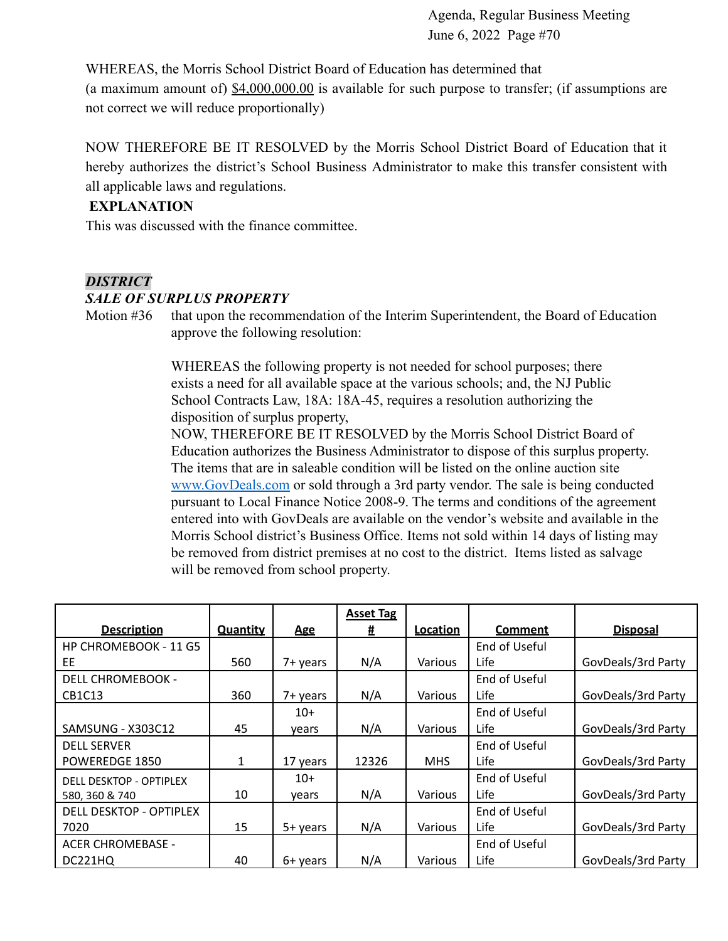WHEREAS, the Morris School District Board of Education has determined that (a maximum amount of)  $$4,000,000.00$  is available for such purpose to transfer; (if assumptions are not correct we will reduce proportionally)

NOW THEREFORE BE IT RESOLVED by the Morris School District Board of Education that it hereby authorizes the district's School Business Administrator to make this transfer consistent with all applicable laws and regulations.

#### **EXPLANATION**

This was discussed with the finance committee.

#### *DISTRICT*

#### *SALE OF SURPLUS PROPERTY*

Motion #36 that upon the recommendation of the Interim Superintendent, the Board of Education approve the following resolution:

> WHEREAS the following property is not needed for school purposes; there exists a need for all available space at the various schools; and, the NJ Public School Contracts Law, 18A: 18A-45, requires a resolution authorizing the disposition of surplus property,

NOW, THEREFORE BE IT RESOLVED by the Morris School District Board of Education authorizes the Business Administrator to dispose of this surplus property. The items that are in saleable condition will be listed on the online auction site [www.GovDeals.com](http://www.govdeals.com) or sold through a 3rd party vendor. The sale is being conducted pursuant to Local Finance Notice 2008-9. The terms and conditions of the agreement entered into with GovDeals are available on the vendor's website and available in the Morris School district's Business Office. Items not sold within 14 days of listing may be removed from district premises at no cost to the district. Items listed as salvage will be removed from school property.

|                                 |                 |            | <b>Asset Tag</b> |            |                |                    |
|---------------------------------|-----------------|------------|------------------|------------|----------------|--------------------|
| <b>Description</b>              | <b>Quantity</b> | <b>Age</b> | 坓                | Location   | <b>Comment</b> | <b>Disposal</b>    |
| HP CHROMEBOOK - 11 G5           |                 |            |                  |            | End of Useful  |                    |
| EE                              | 560             | 7+ years   | N/A              | Various    | <b>Life</b>    | GovDeals/3rd Party |
| <b>DELL CHROMEBOOK -</b>        |                 |            |                  |            | End of Useful  |                    |
| CB <sub>1</sub> C <sub>13</sub> | 360             | 7+ years   | N/A              | Various    | Life           | GovDeals/3rd Party |
|                                 |                 | $10+$      |                  |            | End of Useful  |                    |
| SAMSUNG - X303C12               | 45              | years      | N/A              | Various    | Life           | GovDeals/3rd Party |
| <b>DELL SERVER</b>              |                 |            |                  |            | End of Useful  |                    |
| POWEREDGE 1850                  | 1               | 17 years   | 12326            | <b>MHS</b> | <b>Life</b>    | GovDeals/3rd Party |
| <b>DELL DESKTOP - OPTIPLEX</b>  |                 | $10+$      |                  |            | End of Useful  |                    |
| 580, 360 & 740                  | 10              | years      | N/A              | Various    | Life           | GovDeals/3rd Party |
| DELL DESKTOP - OPTIPLEX         |                 |            |                  |            | End of Useful  |                    |
| 7020                            | 15              | 5+ years   | N/A              | Various    | <b>Life</b>    | GovDeals/3rd Party |
| <b>ACER CHROMEBASE -</b>        |                 |            |                  |            | End of Useful  |                    |
| DC221HQ                         | 40              | 6+ years   | N/A              | Various    | Life           | GovDeals/3rd Party |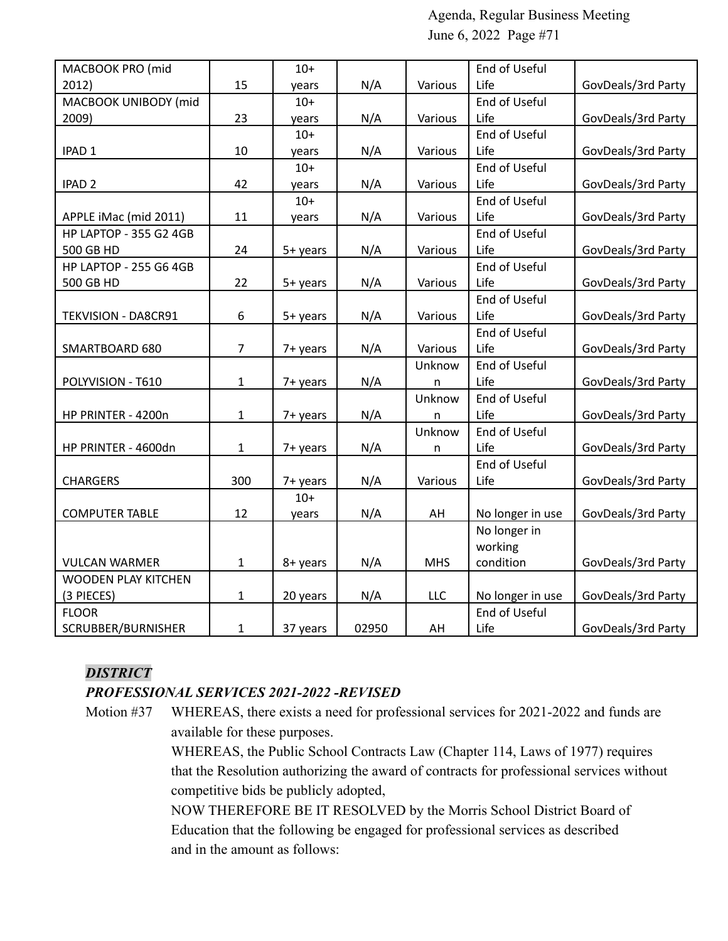| MACBOOK PRO (mid              |                | $10+$    |       |            | End of Useful    |                    |
|-------------------------------|----------------|----------|-------|------------|------------------|--------------------|
| 2012)                         | 15             | years    | N/A   | Various    | Life             | GovDeals/3rd Party |
| MACBOOK UNIBODY (mid          |                | $10+$    |       |            | End of Useful    |                    |
| 2009)                         | 23             | years    | N/A   | Various    | Life             | GovDeals/3rd Party |
|                               |                | $10+$    |       |            | End of Useful    |                    |
| IPAD <sub>1</sub>             | 10             | years    | N/A   | Various    | Life             | GovDeals/3rd Party |
|                               |                | $10+$    |       |            | End of Useful    |                    |
| IPAD <sub>2</sub>             | 42             | years    | N/A   | Various    | Life             | GovDeals/3rd Party |
|                               |                | $10+$    |       |            | End of Useful    |                    |
| APPLE iMac (mid 2011)         | 11             | years    | N/A   | Various    | Life             | GovDeals/3rd Party |
| <b>HP LAPTOP - 355 G2 4GB</b> |                |          |       |            | End of Useful    |                    |
| 500 GB HD                     | 24             | 5+ years | N/A   | Various    | Life             | GovDeals/3rd Party |
| <b>HP LAPTOP - 255 G6 4GB</b> |                |          |       |            | End of Useful    |                    |
| 500 GB HD                     | 22             | 5+ years | N/A   | Various    | Life             | GovDeals/3rd Party |
|                               |                |          |       |            | End of Useful    |                    |
| TEKVISION - DA8CR91           | 6              | 5+ years | N/A   | Various    | Life             | GovDeals/3rd Party |
|                               |                |          |       |            | End of Useful    |                    |
| SMARTBOARD 680                | $\overline{7}$ | 7+ years | N/A   | Various    | Life             | GovDeals/3rd Party |
|                               |                |          |       | Unknow     | End of Useful    |                    |
| POLYVISION - T610             | 1              | 7+ years | N/A   | n          | Life             | GovDeals/3rd Party |
|                               |                |          |       | Unknow     | End of Useful    |                    |
| HP PRINTER - 4200n            | $\mathbf{1}$   | 7+ years | N/A   | $\sf n$    | Life             | GovDeals/3rd Party |
|                               |                |          |       | Unknow     | End of Useful    |                    |
| HP PRINTER - 4600dn           | $\mathbf{1}$   | 7+ years | N/A   | n          | Life             | GovDeals/3rd Party |
|                               |                |          |       |            | End of Useful    |                    |
| <b>CHARGERS</b>               | 300            | 7+ years | N/A   | Various    | Life             | GovDeals/3rd Party |
|                               |                | $10+$    |       |            |                  |                    |
| <b>COMPUTER TABLE</b>         | 12             | years    | N/A   | AH         | No longer in use | GovDeals/3rd Party |
|                               |                |          |       |            | No longer in     |                    |
|                               |                |          |       |            | working          |                    |
| <b>VULCAN WARMER</b>          | $\mathbf{1}$   | 8+ years | N/A   | <b>MHS</b> | condition        | GovDeals/3rd Party |
| <b>WOODEN PLAY KITCHEN</b>    |                |          |       |            |                  |                    |
| (3 PIECES)                    | $\mathbf{1}$   | 20 years | N/A   | <b>LLC</b> | No longer in use | GovDeals/3rd Party |
| <b>FLOOR</b>                  |                |          |       |            | End of Useful    |                    |
| SCRUBBER/BURNISHER            | $\mathbf 1$    | 37 years | 02950 | AH         | Life             | GovDeals/3rd Party |

## *DISTRICT*

## *PROFESSIONAL SERVICES 2021-2022 -REVISED*

Motion #37 WHEREAS, there exists a need for professional services for 2021-2022 and funds are available for these purposes.

> WHEREAS, the Public School Contracts Law (Chapter 114, Laws of 1977) requires that the Resolution authorizing the award of contracts for professional services without competitive bids be publicly adopted,

NOW THEREFORE BE IT RESOLVED by the Morris School District Board of Education that the following be engaged for professional services as described and in the amount as follows: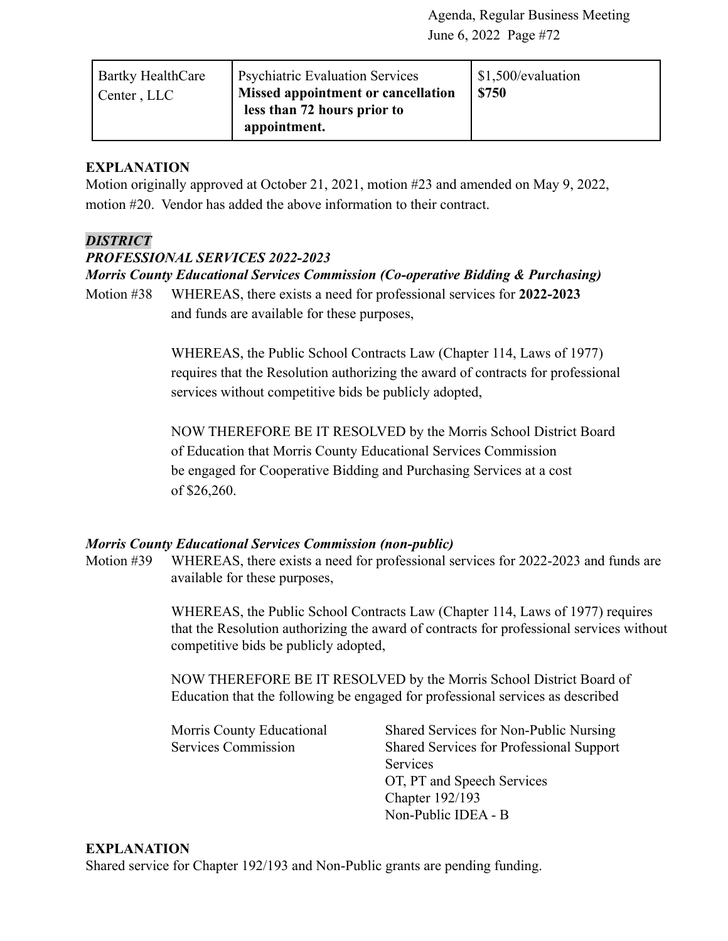| <b>Psychiatric Evaluation Services</b><br><b>Bartky HealthCare</b><br>Missed appointment or cancellation<br>Center, LLC<br>less than 72 hours prior to<br>appointment. | \$1,500/evaluation<br>\$750 |
|------------------------------------------------------------------------------------------------------------------------------------------------------------------------|-----------------------------|
|------------------------------------------------------------------------------------------------------------------------------------------------------------------------|-----------------------------|

### **EXPLANATION**

Motion originally approved at October 21, 2021, motion #23 and amended on May 9, 2022, motion #20. Vendor has added the above information to their contract.

#### *DISTRICT*

#### *PROFESSIONAL SERVICES 2022-2023*

*Morris County Educational Services Commission (Co-operative Bidding & Purchasing)*

Motion #38 WHEREAS, there exists a need for professional services for **2022-2023** and funds are available for these purposes,

> WHEREAS, the Public School Contracts Law (Chapter 114, Laws of 1977) requires that the Resolution authorizing the award of contracts for professional services without competitive bids be publicly adopted,

> NOW THEREFORE BE IT RESOLVED by the Morris School District Board of Education that Morris County Educational Services Commission be engaged for Cooperative Bidding and Purchasing Services at a cost of \$26,260.

#### *Morris County Educational Services Commission (non-public)*

Motion #39 WHEREAS, there exists a need for professional services for 2022-2023 and funds are available for these purposes,

> WHEREAS, the Public School Contracts Law (Chapter 114, Laws of 1977) requires that the Resolution authorizing the award of contracts for professional services without competitive bids be publicly adopted,

NOW THEREFORE BE IT RESOLVED by the Morris School District Board of Education that the following be engaged for professional services as described

Morris County Educational Shared Services for Non-Public Nursing Services Commission Shared Services for Professional Support Services OT, PT and Speech Services Chapter 192/193 Non-Public IDEA - B

#### **EXPLANATION**

Shared service for Chapter 192/193 and Non-Public grants are pending funding.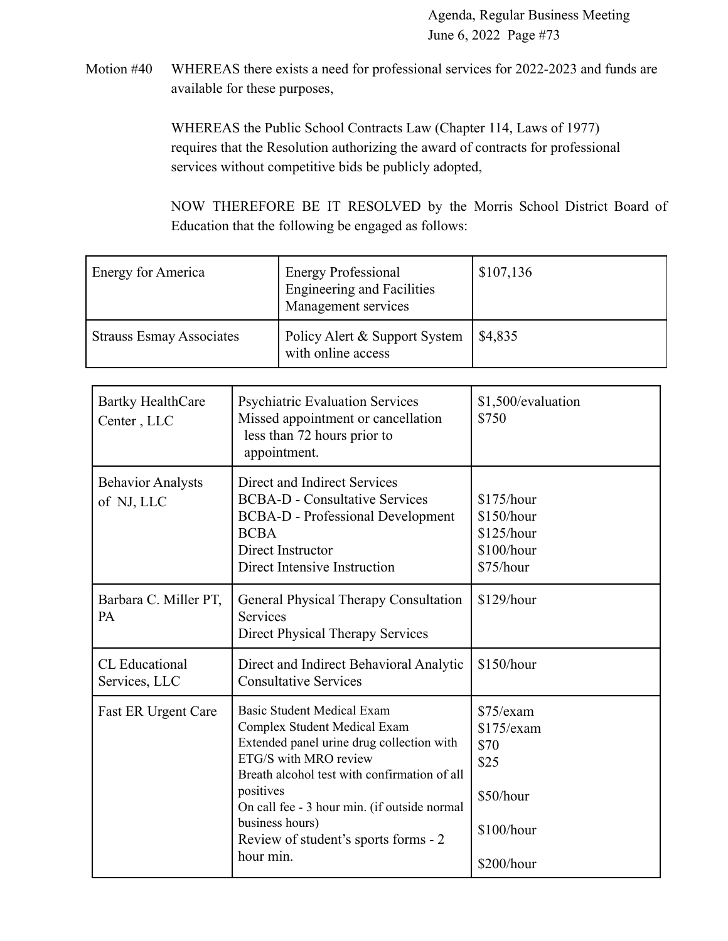Motion #40 WHEREAS there exists a need for professional services for 2022-2023 and funds are available for these purposes,

> WHEREAS the Public School Contracts Law (Chapter 114, Laws of 1977) requires that the Resolution authorizing the award of contracts for professional services without competitive bids be publicly adopted,

NOW THEREFORE BE IT RESOLVED by the Morris School District Board of Education that the following be engaged as follows:

| Energy for America              | <b>Energy Professional</b><br><b>Engineering and Facilities</b><br>Management services | \$107,136 |
|---------------------------------|----------------------------------------------------------------------------------------|-----------|
| <b>Strauss Esmay Associates</b> | Policy Alert & Support System<br>with online access                                    | \$4,835   |

| <b>Bartky HealthCare</b><br>Center, LLC | <b>Psychiatric Evaluation Services</b><br>Missed appointment or cancellation<br>less than 72 hours prior to<br>appointment.                                                                                                                                                                                                  | \$1,500/evaluation<br>\$750                                                        |
|-----------------------------------------|------------------------------------------------------------------------------------------------------------------------------------------------------------------------------------------------------------------------------------------------------------------------------------------------------------------------------|------------------------------------------------------------------------------------|
| <b>Behavior Analysts</b><br>of NJ, LLC  | Direct and Indirect Services<br><b>BCBA-D - Consultative Services</b><br><b>BCBA-D</b> - Professional Development<br><b>BCBA</b><br>Direct Instructor<br>Direct Intensive Instruction                                                                                                                                        | \$175/hour<br>\$150/hour<br>\$125/hour<br>\$100/hour<br>\$75/hour                  |
| Barbara C. Miller PT,<br>PA             | General Physical Therapy Consultation<br>Services<br><b>Direct Physical Therapy Services</b>                                                                                                                                                                                                                                 | \$129/hour                                                                         |
| <b>CL</b> Educational<br>Services, LLC  | Direct and Indirect Behavioral Analytic<br><b>Consultative Services</b>                                                                                                                                                                                                                                                      | \$150/hour                                                                         |
| Fast ER Urgent Care                     | <b>Basic Student Medical Exam</b><br>Complex Student Medical Exam<br>Extended panel urine drug collection with<br>ETG/S with MRO review<br>Breath alcohol test with confirmation of all<br>positives<br>On call fee - 3 hour min. (if outside normal<br>business hours)<br>Review of student's sports forms - 2<br>hour min. | \$75/exam<br>$$175$ /exam<br>\$70<br>\$25<br>\$50/hour<br>\$100/hour<br>\$200/hour |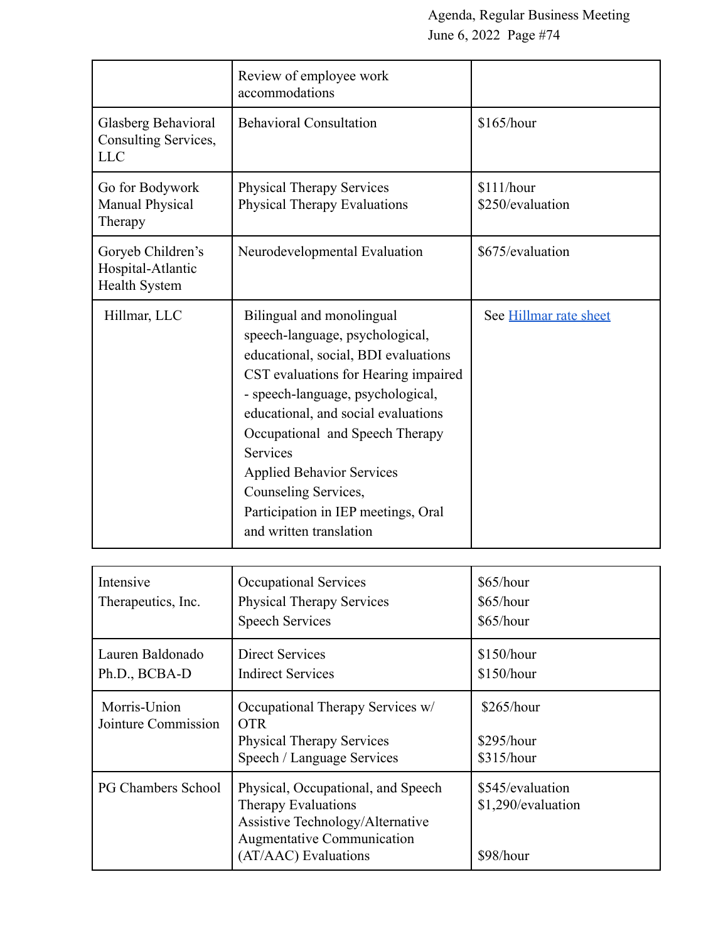|                                                                | Review of employee work<br>accommodations                                                                                                                                                                                                                                                                                                                                                             |                                |
|----------------------------------------------------------------|-------------------------------------------------------------------------------------------------------------------------------------------------------------------------------------------------------------------------------------------------------------------------------------------------------------------------------------------------------------------------------------------------------|--------------------------------|
| Glasberg Behavioral<br>Consulting Services,<br><b>LLC</b>      | <b>Behavioral Consultation</b>                                                                                                                                                                                                                                                                                                                                                                        | \$165/hour                     |
| Go for Bodywork<br><b>Manual Physical</b><br>Therapy           | <b>Physical Therapy Services</b><br>Physical Therapy Evaluations                                                                                                                                                                                                                                                                                                                                      | \$111/hour<br>\$250/evaluation |
| Goryeb Children's<br>Hospital-Atlantic<br><b>Health System</b> | Neurodevelopmental Evaluation                                                                                                                                                                                                                                                                                                                                                                         | \$675/evaluation               |
| Hillmar, LLC                                                   | Bilingual and monolingual<br>speech-language, psychological,<br>educational, social, BDI evaluations<br>CST evaluations for Hearing impaired<br>- speech-language, psychological,<br>educational, and social evaluations<br>Occupational and Speech Therapy<br>Services<br><b>Applied Behavior Services</b><br>Counseling Services,<br>Participation in IEP meetings, Oral<br>and written translation | See Hillmar rate sheet         |

| Intensive<br>Therapeutics, Inc.     | Occupational Services<br><b>Physical Therapy Services</b><br><b>Speech Services</b>                                                                               | \$65/hour<br>\$65/hour<br>\$65/hour                 |
|-------------------------------------|-------------------------------------------------------------------------------------------------------------------------------------------------------------------|-----------------------------------------------------|
| Lauren Baldonado<br>Ph.D., BCBA-D   | <b>Direct Services</b><br><b>Indirect Services</b>                                                                                                                | \$150/hour<br>\$150/hour                            |
| Morris-Union<br>Jointure Commission | Occupational Therapy Services w/<br><b>OTR</b><br><b>Physical Therapy Services</b><br>Speech / Language Services                                                  | \$265/hour<br>\$295/hour<br>\$315/hour              |
| <b>PG Chambers School</b>           | Physical, Occupational, and Speech<br><b>Therapy Evaluations</b><br>Assistive Technology/Alternative<br><b>Augmentative Communication</b><br>(AT/AAC) Evaluations | \$545/evaluation<br>\$1,290/evaluation<br>\$98/hour |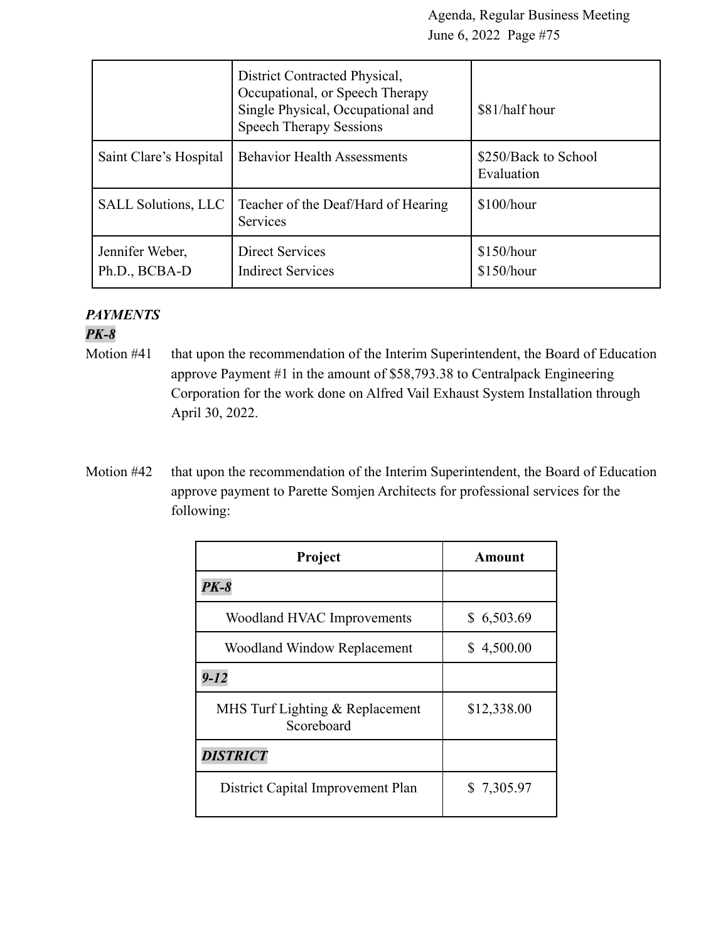|                                  | District Contracted Physical,<br>Occupational, or Speech Therapy<br>Single Physical, Occupational and<br><b>Speech Therapy Sessions</b> | \$81/half hour                     |
|----------------------------------|-----------------------------------------------------------------------------------------------------------------------------------------|------------------------------------|
| Saint Clare's Hospital           | <b>Behavior Health Assessments</b>                                                                                                      | \$250/Back to School<br>Evaluation |
| <b>SALL Solutions, LLC</b>       | Teacher of the Deaf/Hard of Hearing<br><b>Services</b>                                                                                  | $$100/h$ our                       |
| Jennifer Weber,<br>Ph.D., BCBA-D | <b>Direct Services</b><br><b>Indirect Services</b>                                                                                      | \$150/hour<br>\$150/hour           |

# *PAYMENTS*

# *PK-8*

- Motion #41 that upon the recommendation of the Interim Superintendent, the Board of Education approve Payment #1 in the amount of \$58,793.38 to Centralpack Engineering Corporation for the work done on Alfred Vail Exhaust System Installation through April 30, 2022.
- Motion #42 that upon the recommendation of the Interim Superintendent, the Board of Education approve payment to Parette Somjen Architects for professional services for the following:

| Project                                       | Amount      |
|-----------------------------------------------|-------------|
| $PK-8$                                        |             |
| Woodland HVAC Improvements                    | \$6,503.69  |
| <b>Woodland Window Replacement</b>            | \$4,500.00  |
| $9 - 12$                                      |             |
| MHS Turf Lighting & Replacement<br>Scoreboard | \$12,338.00 |
| <b>DISTRICT</b>                               |             |
| District Capital Improvement Plan             | \$7,305.97  |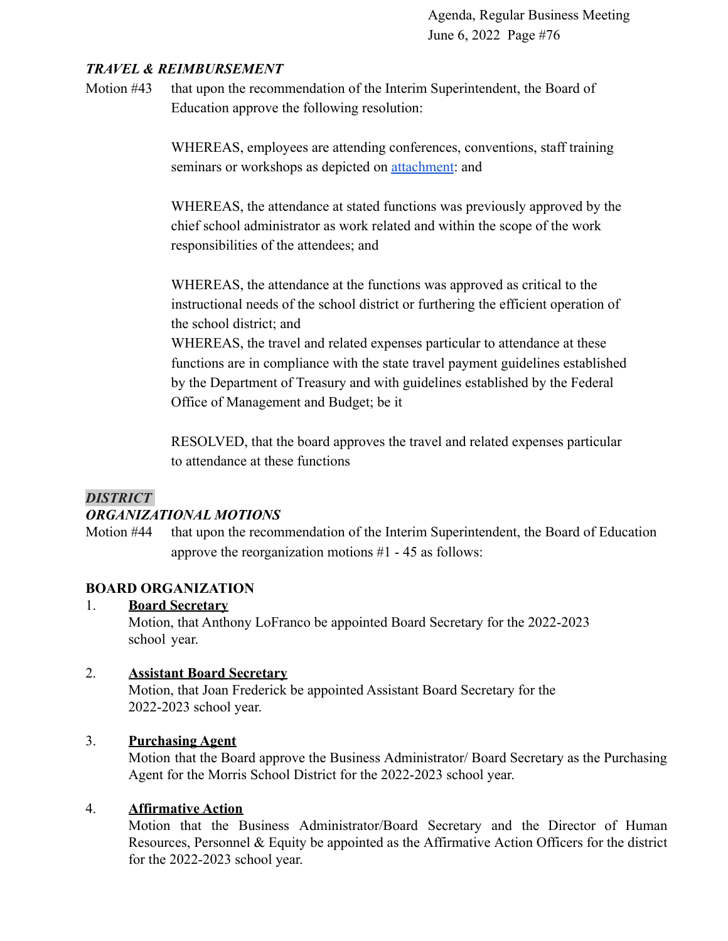# *TRAVEL & REIMBURSEMENT*

Motion #43 that upon the recommendation of the Interim Superintendent, the Board of Education approve the following resolution:

> WHEREAS, employees are attending conferences, conventions, staff training seminars or workshops as depicted on **attachment**: and

WHEREAS, the attendance at stated functions was previously approved by the chief school administrator as work related and within the scope of the work responsibilities of the attendees; and

WHEREAS, the attendance at the functions was approved as critical to the instructional needs of the school district or furthering the efficient operation of the school district; and

WHEREAS, the travel and related expenses particular to attendance at these functions are in compliance with the state travel payment guidelines established by the Department of Treasury and with guidelines established by the Federal Office of Management and Budget; be it

RESOLVED, that the board approves the travel and related expenses particular to attendance at these functions

# *DISTRICT*

# *ORGANIZATIONAL MOTIONS*

Motion #44 that upon the recommendation of the Interim Superintendent, the Board of Education approve the reorganization motions #1 - 45 as follows:

# **BOARD ORGANIZATION**

# 1. **Board Secretary**

Motion, that Anthony LoFranco be appointed Board Secretary for the 2022-2023 school year.

# 2. **Assistant Board Secretary**

Motion, that Joan Frederick be appointed Assistant Board Secretary for the 2022-2023 school year.

# 3. **Purchasing Agent**

Motion that the Board approve the Business Administrator/ Board Secretary as the Purchasing Agent for the Morris School District for the 2022-2023 school year.

#### 4. **Affirmative Action**

Motion that the Business Administrator/Board Secretary and the Director of Human Resources, Personnel & Equity be appointed as the Affirmative Action Officers for the district for the 2022-2023 school year.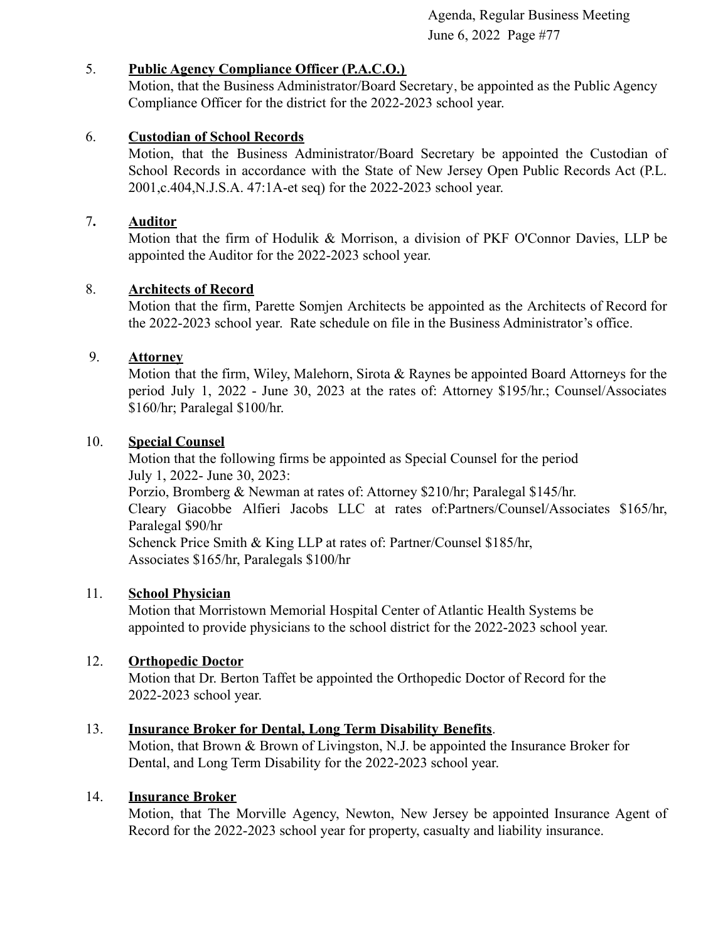# 5. **Public Agency Compliance Officer (P.A.C.O.)**

Motion, that the Business Administrator/Board Secretary, be appointed as the Public Agency Compliance Officer for the district for the 2022-2023 school year.

# 6. **Custodian of School Records**

Motion, that the Business Administrator/Board Secretary be appointed the Custodian of School Records in accordance with the State of New Jersey Open Public Records Act (P.L. 2001,c.404,N.J.S.A. 47:1A-et seq) for the 2022-2023 school year.

# 7**. Auditor**

Motion that the firm of Hodulik & Morrison, a division of PKF O'Connor Davies, LLP be appointed the Auditor for the 2022-2023 school year.

# 8. **Architects of Record**

Motion that the firm, Parette Somjen Architects be appointed as the Architects of Record for the 2022-2023 school year. Rate schedule on file in the Business Administrator's office.

# 9. **Attorney**

Motion that the firm, Wiley, Malehorn, Sirota & Raynes be appointed Board Attorneys for the period July 1, 2022 - June 30, 2023 at the rates of: Attorney \$195/hr.; Counsel/Associates \$160/hr; Paralegal \$100/hr.

# 10. **Special Counsel**

Motion that the following firms be appointed as Special Counsel for the period July 1, 2022- June 30, 2023: Porzio, Bromberg & Newman at rates of: Attorney \$210/hr; Paralegal \$145/hr. Cleary Giacobbe Alfieri Jacobs LLC at rates of:Partners/Counsel/Associates \$165/hr, Paralegal \$90/hr Schenck Price Smith & King LLP at rates of: Partner/Counsel \$185/hr, Associates \$165/hr, Paralegals \$100/hr

# 11. **School Physician**

Motion that Morristown Memorial Hospital Center of Atlantic Health Systems be appointed to provide physicians to the school district for the 2022-2023 school year.

# 12. **Orthopedic Doctor**

Motion that Dr. Berton Taffet be appointed the Orthopedic Doctor of Record for the 2022-2023 school year.

# 13. **Insurance Broker for Dental, Long Term Disability Benefits**.

Motion, that Brown & Brown of Livingston, N.J. be appointed the Insurance Broker for Dental, and Long Term Disability for the 2022-2023 school year.

# 14. **Insurance Broker**

Motion, that The Morville Agency, Newton, New Jersey be appointed Insurance Agent of Record for the 2022-2023 school year for property, casualty and liability insurance.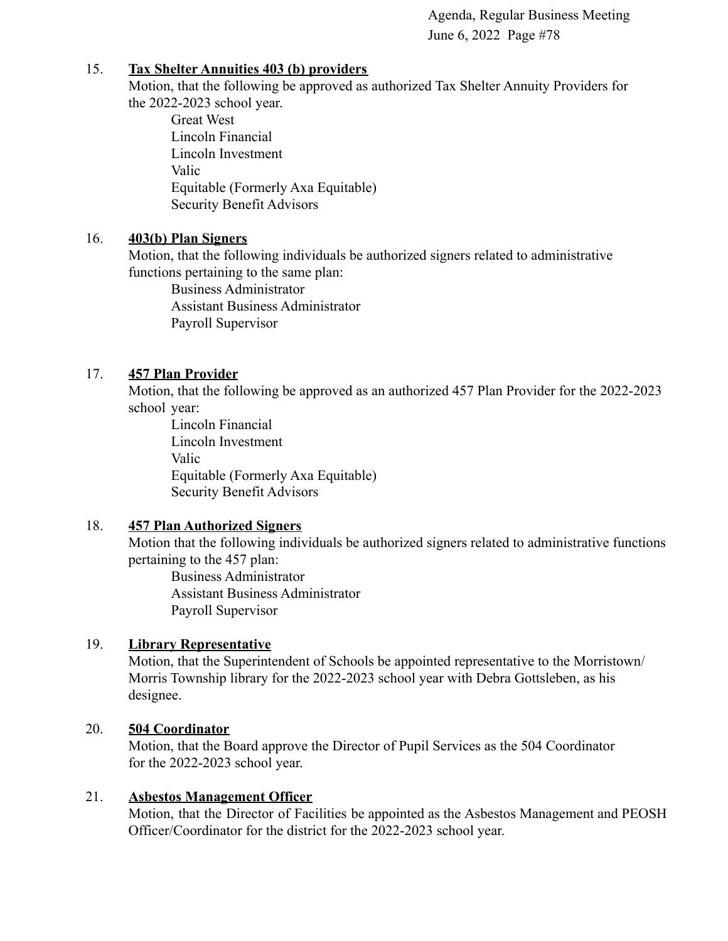#### 15. **Tax Shelter Annuities 403 (b) providers**

Motion, that the following be approved as authorized Tax Shelter Annuity Providers for the 2022-2023 school year.

Great West Lincoln Financial Lincoln Investment Valic Equitable (Formerly Axa Equitable) Security Benefit Advisors

# 16. **403(b) Plan Signers**

Motion, that the following individuals be authorized signers related to administrative functions pertaining to the same plan:

Business Administrator Assistant Business Administrator Payroll Supervisor

# 17. **457 Plan Provider**

Motion, that the following be approved as an authorized 457 Plan Provider for the 2022-2023 school year:

Lincoln Financial Lincoln Investment Valic Equitable (Formerly Axa Equitable) Security Benefit Advisors

# 18. **457 Plan Authorized Signers**

Motion that the following individuals be authorized signers related to administrative functions pertaining to the 457 plan:

Business Administrator Assistant Business Administrator Payroll Supervisor

# 19. **Library Representative**

Motion, that the Superintendent of Schools be appointed representative to the Morristown/ Morris Township library for the 2022-2023 school year with Debra Gottsleben, as his designee.

# 20. **504 Coordinator**

Motion, that the Board approve the Director of Pupil Services as the 504 Coordinator for the 2022-2023 school year.

# 21. **Asbestos Management Officer**

Motion, that the Director of Facilities be appointed as the Asbestos Management and PEOSH Officer/Coordinator for the district for the 2022-2023 school year.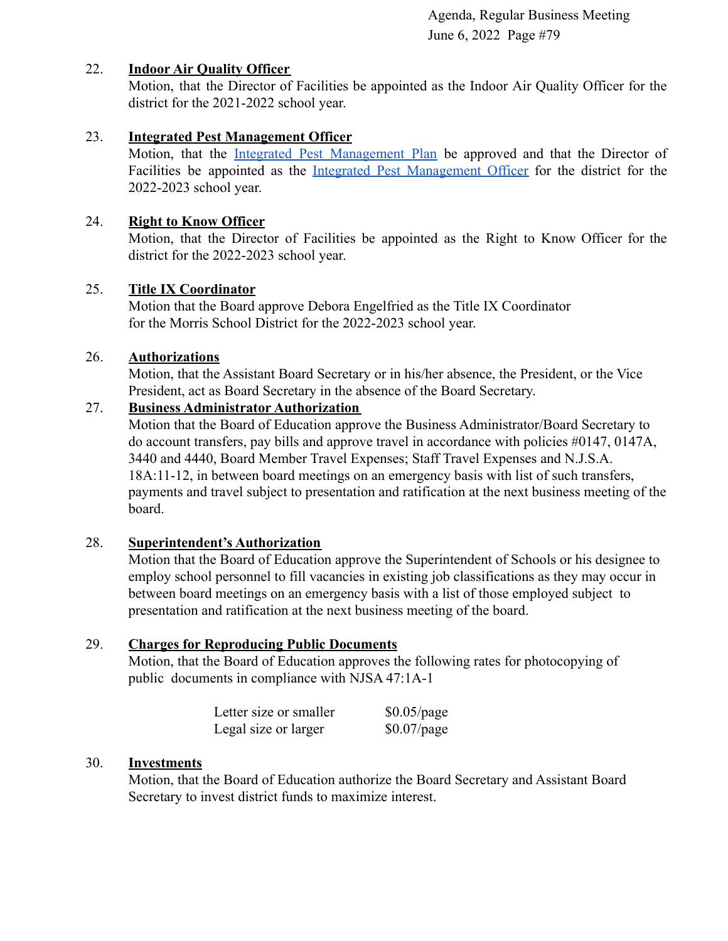# 22. **Indoor Air Quality Officer**

Motion, that the Director of Facilities be appointed as the Indoor Air Quality Officer for the district for the 2021-2022 school year.

# 23. **Integrated Pest Management Officer**

Motion, that the Integrated Pest [Management](https://drive.google.com/file/d/1gvwbVCXXyEu_mAy_SAG5RTTiAQESUILr/view?usp=sharing) Plan be approved and that the Director of Facilities be appointed as the Integrated Pest [Management](https://drive.google.com/file/d/1o6rqq6zqHpGVxI3_DNxOWrr69B5zb6zw/view?usp=sharing) Officer for the district for the 2022-2023 school year.

# 24. **Right to Know Officer**

Motion, that the Director of Facilities be appointed as the Right to Know Officer for the district for the 2022-2023 school year.

# 25. **Title IX Coordinator**

Motion that the Board approve Debora Engelfried as the Title IX Coordinator for the Morris School District for the 2022-2023 school year.

# 26. **Authorizations**

Motion, that the Assistant Board Secretary or in his/her absence, the President, or the Vice President, act as Board Secretary in the absence of the Board Secretary.

# 27. **Business Administrator Authorization**

Motion that the Board of Education approve the Business Administrator/Board Secretary to do account transfers, pay bills and approve travel in accordance with policies #0147, 0147A, 3440 and 4440, Board Member Travel Expenses; Staff Travel Expenses and N.J.S.A. 18A:11-12, in between board meetings on an emergency basis with list of such transfers, payments and travel subject to presentation and ratification at the next business meeting of the board.

# 28. **Superintendent's Authorization**

Motion that the Board of Education approve the Superintendent of Schools or his designee to employ school personnel to fill vacancies in existing job classifications as they may occur in between board meetings on an emergency basis with a list of those employed subject to presentation and ratification at the next business meeting of the board.

# 29. **Charges for Reproducing Public Documents**

Motion, that the Board of Education approves the following rates for photocopying of public documents in compliance with NJSA 47:1A-1

| Letter size or smaller | $$0.05$ /page |
|------------------------|---------------|
| Legal size or larger   | $$0.07$ /page |

# 30. **Investments**

Motion, that the Board of Education authorize the Board Secretary and Assistant Board Secretary to invest district funds to maximize interest.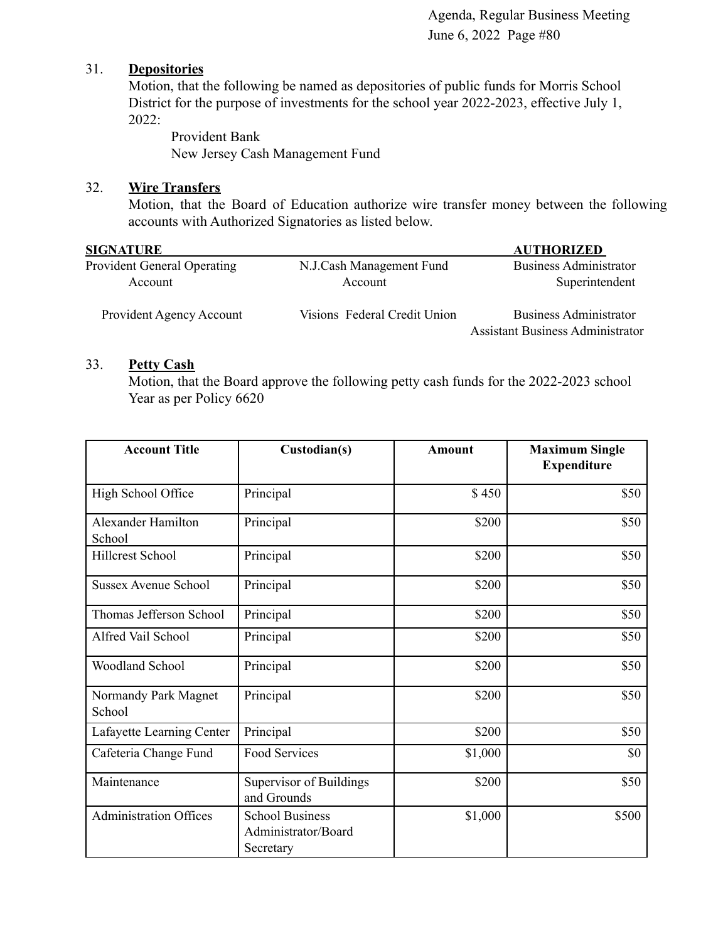#### 31. **Depositories**

Motion, that the following be named as depositories of public funds for Morris School District for the purpose of investments for the school year 2022-2023, effective July 1, 2022:

Provident Bank New Jersey Cash Management Fund

# 32. **Wire Transfers**

Motion, that the Board of Education authorize wire transfer money between the following accounts with Authorized Signatories as listed below.

| <b>SIGNATURE</b>                              |                                     | <b>AUTHORIZED</b>                                                        |
|-----------------------------------------------|-------------------------------------|--------------------------------------------------------------------------|
| <b>Provident General Operating</b><br>Account | N.J.Cash Management Fund<br>Account | <b>Business Administrator</b><br>Superintendent                          |
| Provident Agency Account                      | Visions Federal Credit Union        | <b>Business Administrator</b><br><b>Assistant Business Administrator</b> |

#### 33. **Petty Cash**

Motion, that the Board approve the following petty cash funds for the 2022-2023 school Year as per Policy 6620

| <b>Account Title</b>           | Custodian(s)                                               | <b>Amount</b> | <b>Maximum Single</b><br><b>Expenditure</b> |
|--------------------------------|------------------------------------------------------------|---------------|---------------------------------------------|
| High School Office             | Principal                                                  | \$450         | \$50                                        |
| Alexander Hamilton<br>School   | Principal                                                  | \$200         | \$50                                        |
| <b>Hillcrest School</b>        | Principal                                                  | \$200         | \$50                                        |
| <b>Sussex Avenue School</b>    | Principal                                                  | \$200         | \$50                                        |
| Thomas Jefferson School        | Principal                                                  | \$200         | \$50                                        |
| Alfred Vail School             | Principal                                                  | \$200         | \$50                                        |
| Woodland School                | Principal                                                  | \$200         | \$50                                        |
| Normandy Park Magnet<br>School | Principal                                                  | \$200         | \$50                                        |
| Lafayette Learning Center      | Principal                                                  | \$200         | \$50                                        |
| Cafeteria Change Fund          | Food Services                                              | \$1,000       | \$0                                         |
| Maintenance                    | Supervisor of Buildings<br>and Grounds                     | \$200         | \$50                                        |
| <b>Administration Offices</b>  | <b>School Business</b><br>Administrator/Board<br>Secretary | \$1,000       | \$500                                       |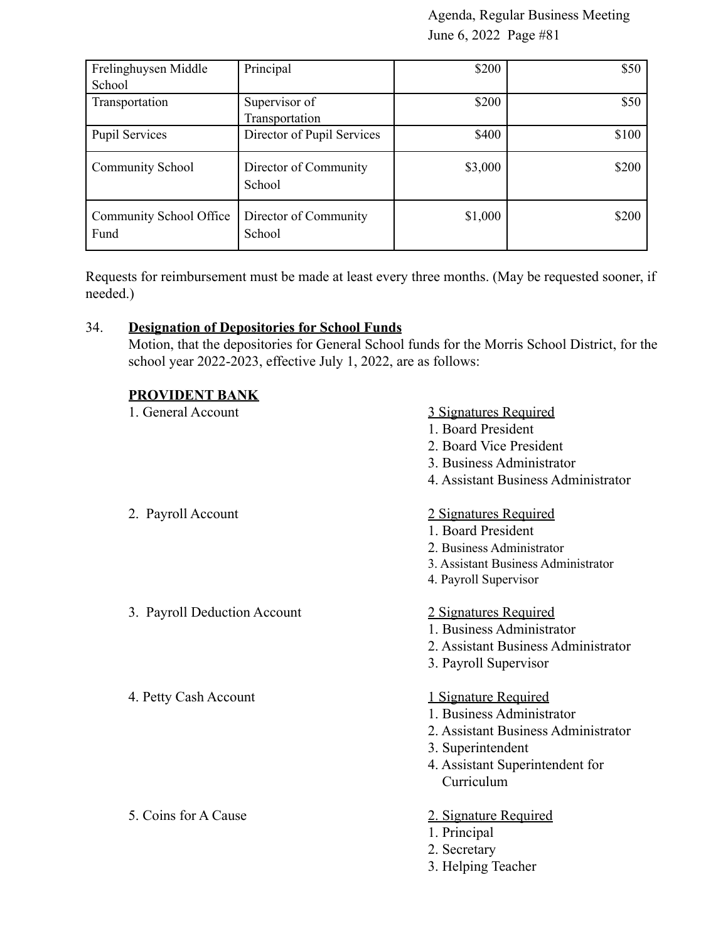| Frelinghuysen Middle            | Principal                       | \$200   | \$50  |
|---------------------------------|---------------------------------|---------|-------|
| School                          |                                 |         |       |
| Transportation                  | Supervisor of<br>Transportation | \$200   | \$50  |
| <b>Pupil Services</b>           | Director of Pupil Services      | \$400   | \$100 |
| <b>Community School</b>         | Director of Community<br>School | \$3,000 | \$200 |
| Community School Office<br>Fund | Director of Community<br>School | \$1,000 | \$200 |

Requests for reimbursement must be made at least every three months. (May be requested sooner, if needed.)

# 34. **Designation of Depositories for School Funds**

Motion, that the depositories for General School funds for the Morris School District, for the school year 2022-2023, effective July 1, 2022, are as follows:

# **PROVIDENT BANK**

| 1. General Account           | 3 Signatures Required<br>1. Board President<br>2. Board Vice President<br>3. Business Administrator<br>4. Assistant Business Administrator                            |
|------------------------------|-----------------------------------------------------------------------------------------------------------------------------------------------------------------------|
| 2. Payroll Account           | 2 Signatures Required<br>1. Board President<br>2. Business Administrator<br>3. Assistant Business Administrator<br>4. Payroll Supervisor                              |
| 3. Payroll Deduction Account | 2 Signatures Required<br>1. Business Administrator<br>2. Assistant Business Administrator<br>3. Payroll Supervisor                                                    |
| 4. Petty Cash Account        | <u>1 Signature Required</u><br>1. Business Administrator<br>2. Assistant Business Administrator<br>3. Superintendent<br>4. Assistant Superintendent for<br>Curriculum |
| 5. Coins for A Cause         | 2. Signature Required<br>1. Principal<br>2. Secretary                                                                                                                 |

3. Helping Teacher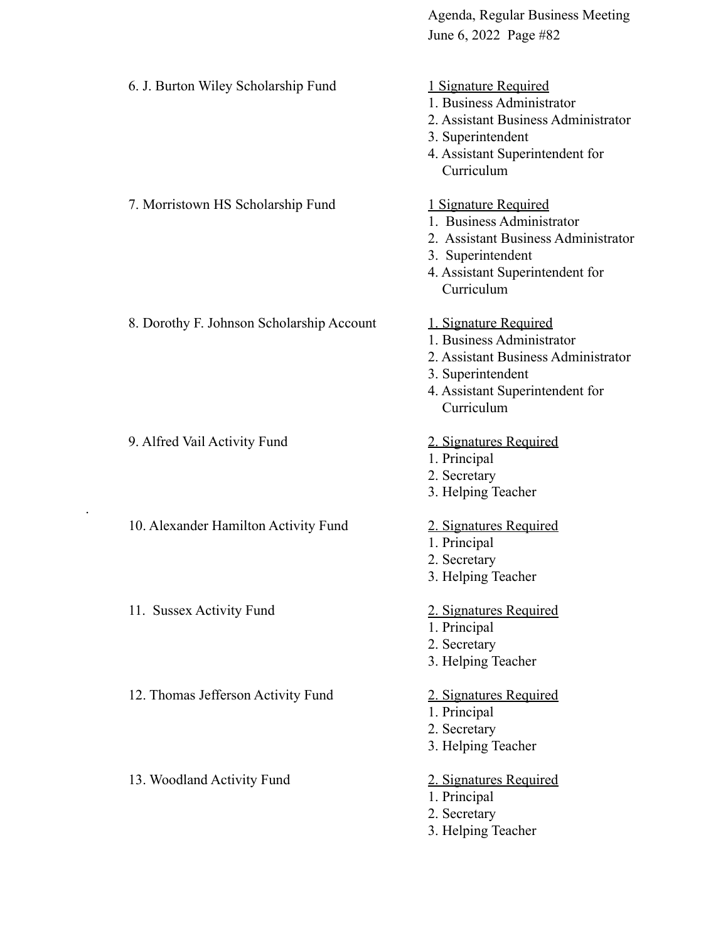| 6. J. Burton Wiley Scholarship Fund       | 1 Signature Required<br>1. Business Administrator<br>2. Assistant Business Administrator<br>3. Superintendent<br>4. Assistant Superintendent for<br>Curriculum  |
|-------------------------------------------|-----------------------------------------------------------------------------------------------------------------------------------------------------------------|
| 7. Morristown HS Scholarship Fund         | 1 Signature Required<br>1. Business Administrator<br>2. Assistant Business Administrator<br>3. Superintendent<br>4. Assistant Superintendent for<br>Curriculum  |
| 8. Dorothy F. Johnson Scholarship Account | 1. Signature Required<br>1. Business Administrator<br>2. Assistant Business Administrator<br>3. Superintendent<br>4. Assistant Superintendent for<br>Curriculum |
| 9. Alfred Vail Activity Fund              | 2. Signatures Required<br>1. Principal<br>2. Secretary<br>3. Helping Teacher                                                                                    |
| 10. Alexander Hamilton Activity Fund      | 2. Signatures Required<br>1. Principal<br>2. Secretary<br>3. Helping Teacher                                                                                    |
| 11. Sussex Activity Fund                  | 2. Signatures Required<br>1. Principal<br>2. Secretary<br>3. Helping Teacher                                                                                    |
| 12. Thomas Jefferson Activity Fund        | 2. Signatures Required<br>1. Principal<br>2. Secretary<br>3. Helping Teacher                                                                                    |
| 13. Woodland Activity Fund                | 2. Signatures Required<br>1. Principal<br>2. Secretary<br>3. Helping Teacher                                                                                    |

.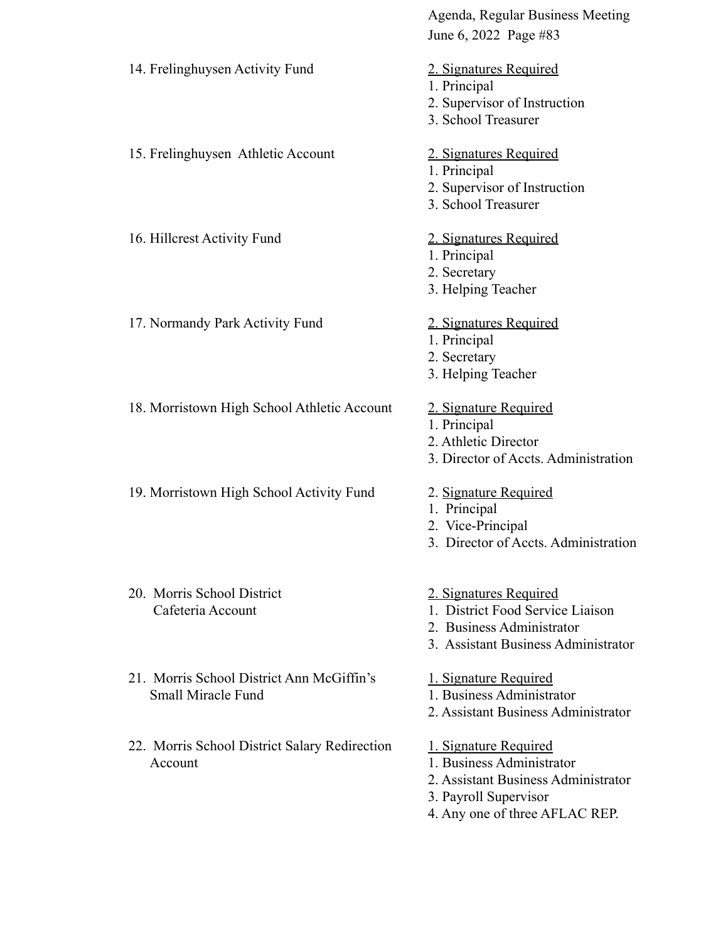|                                                                        | Agenda, Regular Business Meeting<br>June 6, 2022 Page #83                                                                                            |
|------------------------------------------------------------------------|------------------------------------------------------------------------------------------------------------------------------------------------------|
| 14. Frelinghuysen Activity Fund                                        | 2. Signatures Required<br>1. Principal<br>2. Supervisor of Instruction<br>3. School Treasurer                                                        |
| 15. Frelinghuysen Athletic Account                                     | 2. Signatures Required<br>1. Principal<br>2. Supervisor of Instruction<br>3. School Treasurer                                                        |
| 16. Hillcrest Activity Fund                                            | 2. Signatures Required<br>1. Principal<br>2. Secretary<br>3. Helping Teacher                                                                         |
| 17. Normandy Park Activity Fund                                        | 2. Signatures Required<br>1. Principal<br>2. Secretary<br>3. Helping Teacher                                                                         |
| 18. Morristown High School Athletic Account                            | 2. Signature Required<br>1. Principal<br>2. Athletic Director<br>3. Director of Accts. Administration                                                |
| 19. Morristown High School Activity Fund                               | 2. Signature Required<br>1. Principal<br>2. Vice-Principal<br>3. Director of Accts. Administration                                                   |
| 20. Morris School District<br>Cafeteria Account                        | 2. Signatures Required<br>1. District Food Service Liaison<br>2. Business Administrator<br>3. Assistant Business Administrator                       |
| 21. Morris School District Ann McGiffin's<br><b>Small Miracle Fund</b> | 1. Signature Required<br>1. Business Administrator<br>2. Assistant Business Administrator                                                            |
| 22. Morris School District Salary Redirection<br>Account               | 1. Signature Required<br>1. Business Administrator<br>2. Assistant Business Administrator<br>3. Payroll Supervisor<br>4. Any one of three AFLAC REP. |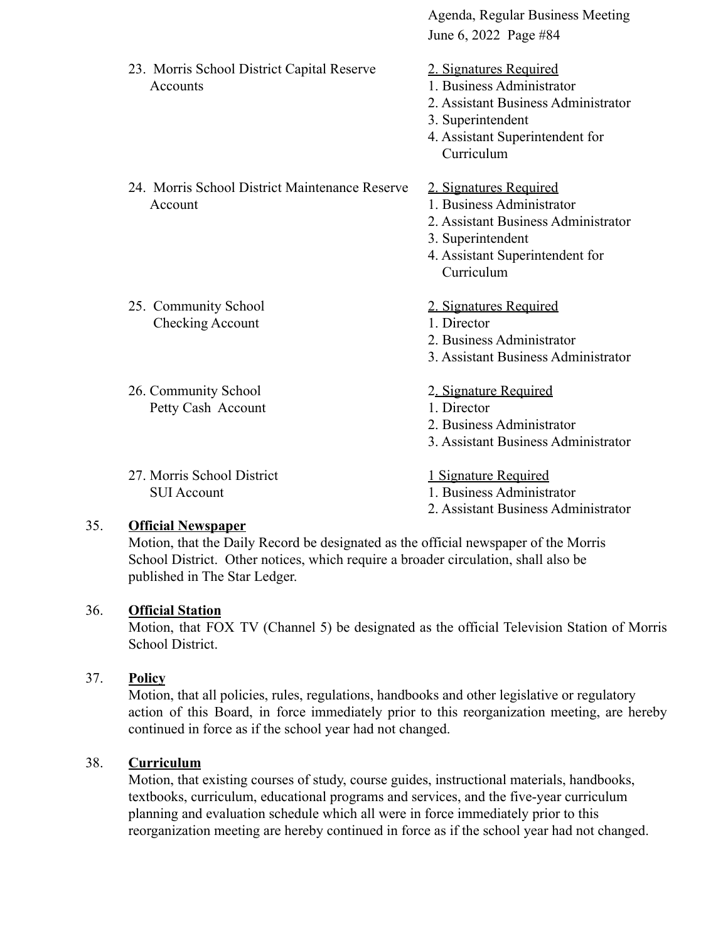June 6, 2022 Page #84 23. Morris School District Capital Reserve 2. Signatures Required Accounts 1. Business Administrator 2. Assistant Business Administrator 3. Superintendent 4. Assistant Superintendent for Curriculum 24. Morris School District Maintenance Reserve 2. Signatures Required Account **1. Business Administrator** 2. Assistant Business Administrator 3. Superintendent 4. Assistant Superintendent for Curriculum 25. Community School 2. Signatures Required Checking Account 1. Director 2. Business Administrator 3. Assistant Business Administrator 26. Community School 2. Signature Required Petty Cash Account 1. Director 2. Business Administrator 3. Assistant Business Administrator 27. Morris School District 1 Signature Required SUI Account 1. Business Administrator 2. Assistant Business Administrator

Agenda, Regular Business Meeting

# 35. **Official Newspaper**

Motion, that the Daily Record be designated as the official newspaper of the Morris School District. Other notices, which require a broader circulation, shall also be published in The Star Ledger.

# 36. **Official Station**

Motion, that FOX TV (Channel 5) be designated as the official Television Station of Morris School District.

# 37. **Policy**

Motion, that all policies, rules, regulations, handbooks and other legislative or regulatory action of this Board, in force immediately prior to this reorganization meeting, are hereby continued in force as if the school year had not changed.

# 38. **Curriculum**

Motion, that existing courses of study, course guides, instructional materials, handbooks, textbooks, curriculum, educational programs and services, and the five-year curriculum planning and evaluation schedule which all were in force immediately prior to this reorganization meeting are hereby continued in force as if the school year had not changed.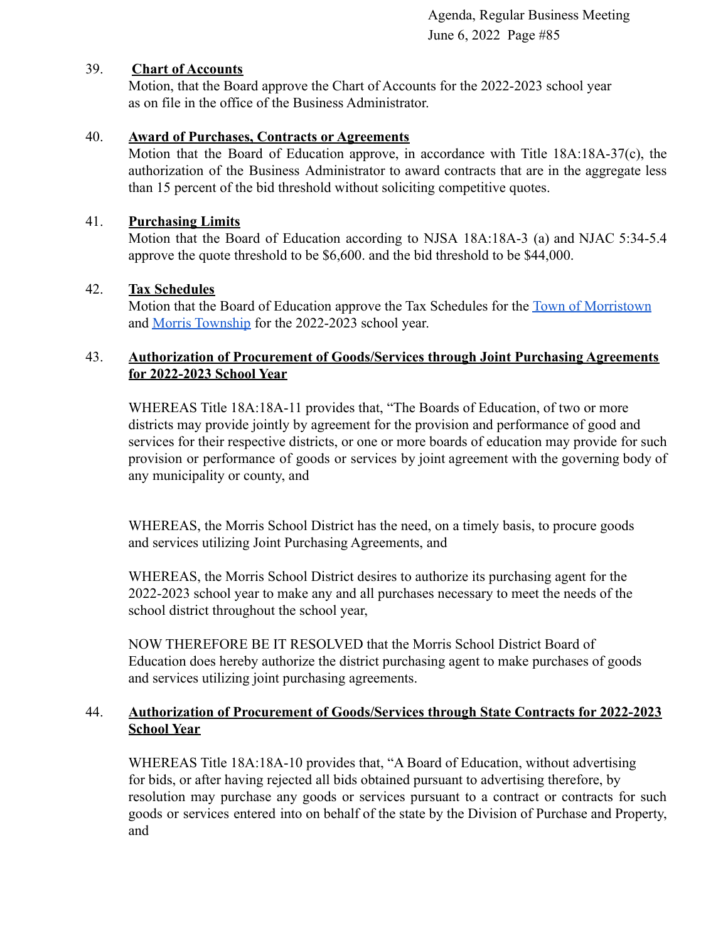#### 39. **Chart of Accounts**

Motion, that the Board approve the Chart of Accounts for the 2022-2023 school year as on file in the office of the Business Administrator.

#### 40. **Award of Purchases, Contracts or Agreements**

Motion that the Board of Education approve, in accordance with Title 18A:18A-37(c), the authorization of the Business Administrator to award contracts that are in the aggregate less than 15 percent of the bid threshold without soliciting competitive quotes.

#### 41. **Purchasing Limits**

Motion that the Board of Education according to NJSA 18A:18A-3 (a) and NJAC 5:34-5.4 approve the quote threshold to be \$6,600. and the bid threshold to be \$44,000.

#### 42. **Tax Schedules**

Motion that the Board of Education approve the Tax Schedules for the [Town of Morristown](https://drive.google.com/file/d/1kTKOhTYwr8ZeLSBjb6DBpoSCm_Dkc-w9/view?usp=sharing) and [Morris Township](https://drive.google.com/file/d/1p-8LstZECyR35ltSllZMgkVZ-CBTXkXm/view?usp=sharing) for the 2022-2023 school year.

#### 43. **Authorization of Procurement of Goods/Services through Joint Purchasing Agreements for 2022-2023 School Year**

WHEREAS Title 18A:18A-11 provides that, "The Boards of Education, of two or more districts may provide jointly by agreement for the provision and performance of good and services for their respective districts, or one or more boards of education may provide for such provision or performance of goods or services by joint agreement with the governing body of any municipality or county, and

WHEREAS, the Morris School District has the need, on a timely basis, to procure goods and services utilizing Joint Purchasing Agreements, and

WHEREAS, the Morris School District desires to authorize its purchasing agent for the 2022-2023 school year to make any and all purchases necessary to meet the needs of the school district throughout the school year,

NOW THEREFORE BE IT RESOLVED that the Morris School District Board of Education does hereby authorize the district purchasing agent to make purchases of goods and services utilizing joint purchasing agreements.

# 44. **Authorization of Procurement of Goods/Services through State Contracts for 2022-2023 School Year**

WHEREAS Title 18A:18A-10 provides that, "A Board of Education, without advertising for bids, or after having rejected all bids obtained pursuant to advertising therefore, by resolution may purchase any goods or services pursuant to a contract or contracts for such goods or services entered into on behalf of the state by the Division of Purchase and Property, and